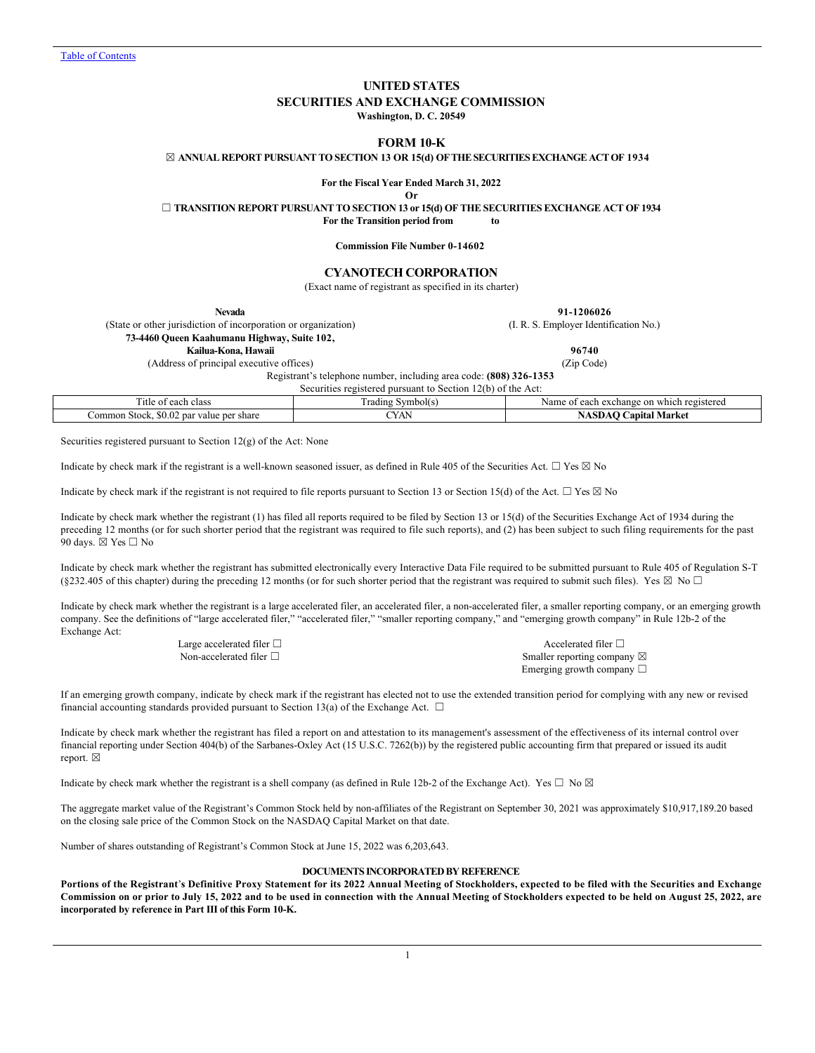[Table of Contents](#page-1-0)

# **UNITED STATES SECURITIES AND EXCHANGE COMMISSION**

**Washington, D. C. 20549**

#### **FORM 10-K**

☒ **ANNUAL REPORT PURSUANT TO SECTION 13 OR 15(d) OF THE SECURITIES EXCHANGE ACT OF 1934**

**For the Fiscal Year Ended March 31, 2022**

**Or** ☐ **TRANSITION REPORT PURSUANT TO SECTION 13 or 15(d) OF THE SECURITIES EXCHANGE ACT OF 1934 For the Transition period from to**

**Commission File Number 0-14602**

## **CYANOTECH CORPORATION**

(Exact name of registrant as specified in its charter)

**Nevada 91-1206026**

(State or other jurisdiction of incorporation or organization) (I. R. S. Employer Identification No.) **73-4460 Queen Kaahumanu Highway, Suite 102,**

**Kailua-Kona, Hawaii 96740**

(Address of principal executive offices) (Zip Code)

Registrant's telephone number, including area code: **(808) 326-1353** Securities registered pursuant to Section 12(b) of the Act:

|                                                     | becames registered barsuant to bechon rzi or the rict. |                                                  |
|-----------------------------------------------------|--------------------------------------------------------|--------------------------------------------------|
| $\sim$<br>class<br>each<br><sup>1</sup> tle<br>: OT | : Symbol(s)<br>radıng                                  | Name<br>f each exchange on which registered<br>വ |
| Common Stock. \$0.02<br>! par value per share       | CYAN                                                   | `apital l<br>Market<br>8A512                     |

Securities registered pursuant to Section 12(g) of the Act: None

Indicate by check mark if the registrant is a well-known seasoned issuer, as defined in Rule 405 of the Securities Act.  $\Box$  Yes  $\boxtimes$  No

Indicate by check mark if the registrant is not required to file reports pursuant to Section 13 or Section 15(d) of the Act.  $\Box$  Yes  $\boxtimes$  No

Indicate by check mark whether the registrant (1) has filed all reports required to be filed by Section 13 or 15(d) of the Securities Exchange Act of 1934 during the preceding 12 months (or for such shorter period that the registrant was required to file such reports), and (2) has been subject to such filing requirements for the past 90 days. ⊠ Yes □ No

Indicate by check mark whether the registrant has submitted electronically every Interactive Data File required to be submitted pursuant to Rule 405 of Regulation S-T (§232.405 of this chapter) during the preceding 12 months (or for such shorter period that the registrant was required to submit such files). Yes  $\boxtimes$  No  $\Box$ 

Indicate by check mark whether the registrant is a large accelerated filer, an accelerated filer, a non-accelerated filer, a smaller reporting company, or an emerging growth company. See the definitions of "large accelerated filer," "accelerated filer," "smaller reporting company," and "emerging growth company" in Rule 12b-2 of the Exchange Act:

| Large accelerated filer $\Box$  |  |
|---------------------------------|--|
| Non-accelerated filer $\square$ |  |

Accelerated filer  $□$ Smaller reporting company  $\boxtimes$ Emerging growth company ☐

If an emerging growth company, indicate by check mark if the registrant has elected not to use the extended transition period for complying with any new or revised financial accounting standards provided pursuant to Section 13(a) of the Exchange Act.  $\Box$ 

Indicate by check mark whether the registrant has filed a report on and attestation to its management's assessment of the effectiveness of its internal control over financial reporting under Section 404(b) of the Sarbanes-Oxley Act (15 U.S.C. 7262(b)) by the registered public accounting firm that prepared or issued its audit report.  $\boxtimes$ 

Indicate by check mark whether the registrant is a shell company (as defined in Rule 12b-2 of the Exchange Act). Yes  $\Box$  No  $\boxtimes$ 

The aggregate market value of the Registrant's Common Stock held by non-affiliates of the Registrant on September 30, 2021 was approximately \$10,917,189.20 based on the closing sale price of the Common Stock on the NASDAQ Capital Market on that date.

Number of shares outstanding of Registrant's Common Stock at June 15, 2022 was 6,203,643.

#### **DOCUMENTS INCORPORATED BY REFERENCE**

**Portions of the Registrant**'**s Definitive Proxy Statement for its 2022 Annual Meeting of Stockholders, expected to be filed with the Securities and Exchange Commission on or prior to July 15, 2022 and to be used in connection with the Annual Meeting of Stockholders expected to be held on August 25, 2022, are incorporated by reference in Part III of this Form 10-K.**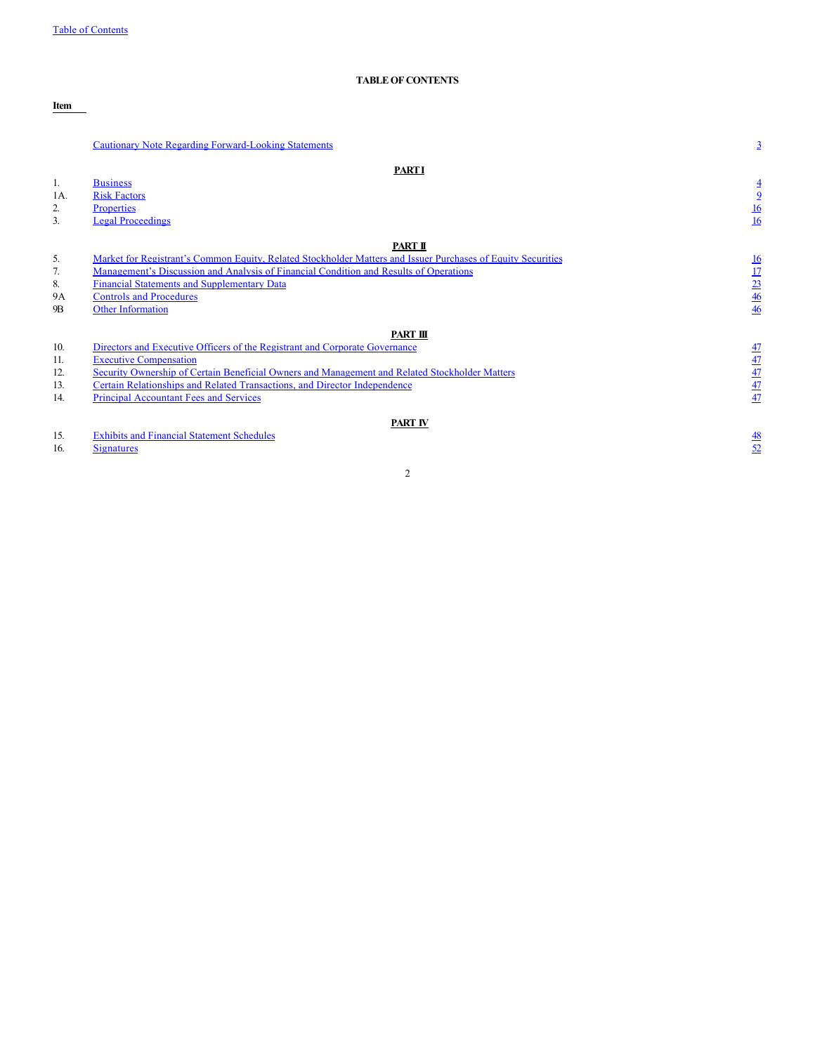#### **Item**

Cautionary Note Regarding [Forward-Looking Statements](#page-2-0) [3](#page-2-0)

# <span id="page-1-0"></span>**PART I**

- 1. [Business](#page-3-0)  $\frac{4}{3}$  $\frac{4}{3}$  $\frac{4}{3}$ 1. Business<br>
1A. <u>Risk Factors</u><br>
2. <u>Properties</u><br>
3. <u>[Legal Proceedings](#page-16-1)</u><br> [16](#page-16-1)
- 1A. [Risk Factors](#page-8-0) 2
- 2. [Properties](#page-16-0) and the contract of the contract of the contract of the contract of the contract of the contract of the contract of the contract of the contract of the contract of the contract of the contract of the contract
- 

# **PART II**

- 5. [Market for Registrant's Common Equity, Related Stockholder Matters and Issuer Purchases of Equity Securities](#page-16-2) [16](#page-16-2)<br>
16 Management's Discussion and Analysis of Financial Condition and Results of Operations<br>
17 The Financial
- [Management's Discussion and Analysis of Financial Condition and Results of Operations](#page-17-0)
- 8. [Financial Statements and Supplementary Data](#page-24-0)
- 9A [Controls and Procedures](#page-47-0) [46](#page-47-0)<br>9B Other Information 46
- [Other Information](#page-47-1)

# **PART III**

- 10. [Directors and Executive Officers of the Registrant and Corporate Governance](#page-48-0)<br>
11. Executive Compensation [47](#page-48-0)
- 11. [Executive Compensation](#page-48-1) **[47](#page-48-1)**
- 12. [Security Ownership of Certain Beneficial Owners and Management and Related Stockholder Matters](#page-48-2) [47](#page-48-2)
- 13. [Certain Relationships and Related Transactions, and Director Independence](#page-48-3) **[47](#page-48-3)** Certain Relationships and Related Transactions, and Director Independence
- 14. [Principal Accountant Fees and Services](#page-48-4) [47](#page-48-4)

# **PART IV**

- 15. [Exhibits and Financial Statement Schedules](#page-49-0) [48](#page-49-0)<br>16. Signatures 52
- 16. [Signatures](#page-53-0)  $\frac{52}{2}$  $\frac{52}{2}$  $\frac{52}{2}$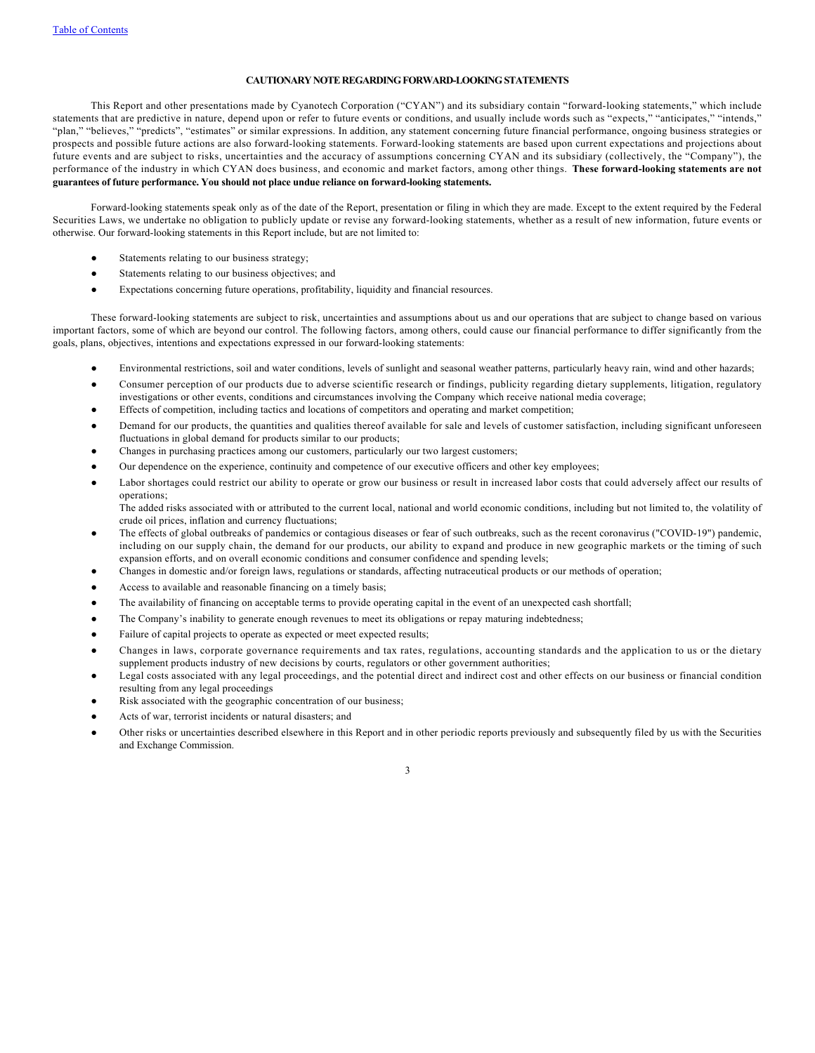#### <span id="page-2-0"></span>**CAUTIONARY NOTE REGARDING FORWARD-LOOKING STATEMENTS**

This Report and other presentations made by Cyanotech Corporation ("CYAN") and its subsidiary contain "forward-looking statements," which include statements that are predictive in nature, depend upon or refer to future events or conditions, and usually include words such as "expects," "anticipates," "intends," "plan," "believes," "predicts", "estimates" or similar expressions. In addition, any statement concerning future financial performance, ongoing business strategies or prospects and possible future actions are also forward-looking statements. Forward-looking statements are based upon current expectations and projections about future events and are subject to risks, uncertainties and the accuracy of assumptions concerning CYAN and its subsidiary (collectively, the "Company"), the performance of the industry in which CYAN does business, and economic and market factors, among other things. **These forward-looking statements are not guarantees of future performance. You should not place undue reliance on forward-looking statements.**

Forward-looking statements speak only as of the date of the Report, presentation or filing in which they are made. Except to the extent required by the Federal Securities Laws, we undertake no obligation to publicly update or revise any forward-looking statements, whether as a result of new information, future events or otherwise. Our forward-looking statements in this Report include, but are not limited to:

- Statements relating to our business strategy;
- Statements relating to our business objectives; and
- Expectations concerning future operations, profitability, liquidity and financial resources.

These forward-looking statements are subject to risk, uncertainties and assumptions about us and our operations that are subject to change based on various important factors, some of which are beyond our control. The following factors, among others, could cause our financial performance to differ significantly from the goals, plans, objectives, intentions and expectations expressed in our forward-looking statements:

- Environmental restrictions, soil and water conditions, levels of sunlight and seasonal weather patterns, particularly heavy rain, wind and other hazards;
- Consumer perception of our products due to adverse scientific research or findings, publicity regarding dietary supplements, litigation, regulatory investigations or other events, conditions and circumstances involving the Company which receive national media coverage;
- Effects of competition, including tactics and locations of competitors and operating and market competition;
- Demand for our products, the quantities and qualities thereof available for sale and levels of customer satisfaction, including significant unforeseen fluctuations in global demand for products similar to our products;
- Changes in purchasing practices among our customers, particularly our two largest customers;
- Our dependence on the experience, continuity and competence of our executive officers and other key employees;
- Labor shortages could restrict our ability to operate or grow our business or result in increased labor costs that could adversely affect our results of operations;

The added risks associated with or attributed to the current local, national and world economic conditions, including but not limited to, the volatility of crude oil prices, inflation and currency fluctuations;

- The effects of global outbreaks of pandemics or contagious diseases or fear of such outbreaks, such as the recent coronavirus ("COVID-19") pandemic, including on our supply chain, the demand for our products, our ability to expand and produce in new geographic markets or the timing of such expansion efforts, and on overall economic conditions and consumer confidence and spending levels;
- Changes in domestic and/or foreign laws, regulations or standards, affecting nutraceutical products or our methods of operation;
- Access to available and reasonable financing on a timely basis;
- The availability of financing on acceptable terms to provide operating capital in the event of an unexpected cash shortfall;
- The Company's inability to generate enough revenues to meet its obligations or repay maturing indebtedness;
- Failure of capital projects to operate as expected or meet expected results;
- Changes in laws, corporate governance requirements and tax rates, regulations, accounting standards and the application to us or the dietary supplement products industry of new decisions by courts, regulators or other government authorities;
- Legal costs associated with any legal proceedings, and the potential direct and indirect cost and other effects on our business or financial condition resulting from any legal proceedings
- Risk associated with the geographic concentration of our business;
- Acts of war, terrorist incidents or natural disasters; and
- Other risks or uncertainties described elsewhere in this Report and in other periodic reports previously and subsequently filed by us with the Securities and Exchange Commission.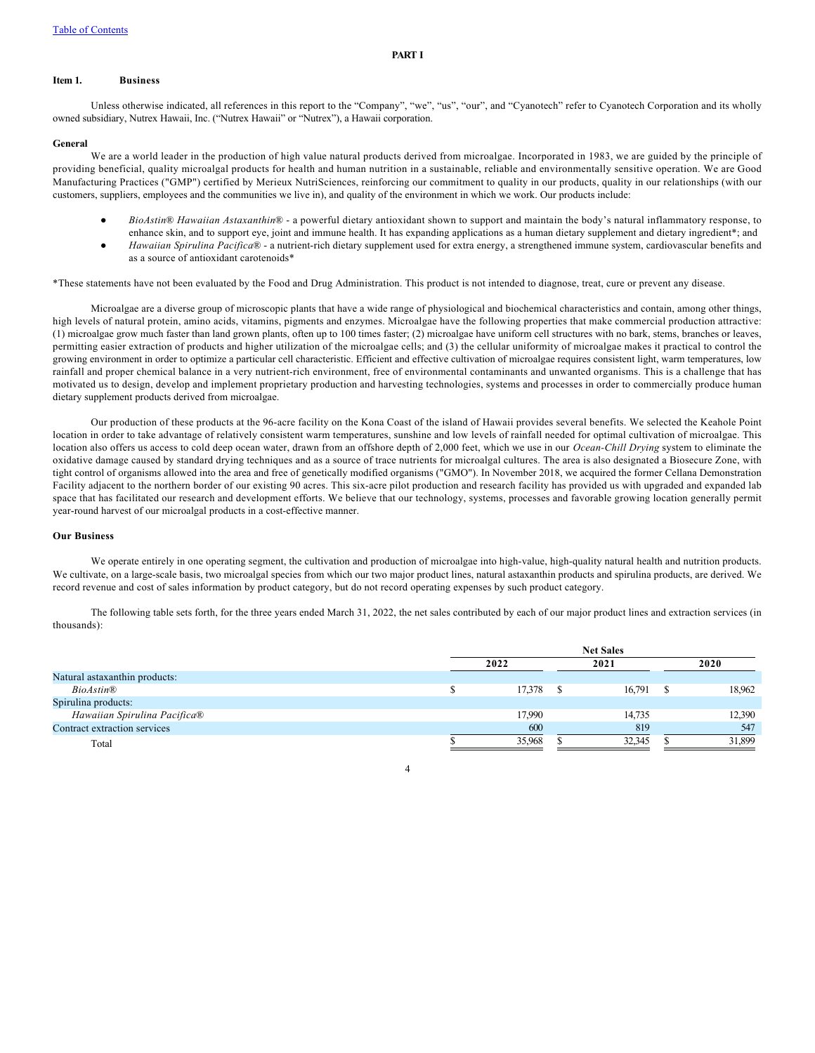#### <span id="page-3-0"></span>**Item 1. Business**

Unless otherwise indicated, all references in this report to the "Company", "we", "us", "our", and "Cyanotech" refer to Cyanotech Corporation and its wholly owned subsidiary, Nutrex Hawaii, Inc. ("Nutrex Hawaii" or "Nutrex"), a Hawaii corporation.

#### **General**

We are a world leader in the production of high value natural products derived from microalgae. Incorporated in 1983, we are guided by the principle of providing beneficial, quality microalgal products for health and human nutrition in a sustainable, reliable and environmentally sensitive operation. We are Good Manufacturing Practices ("GMP") certified by Merieux NutriSciences, reinforcing our commitment to quality in our products, quality in our relationships (with our customers, suppliers, employees and the communities we live in), and quality of the environment in which we work. Our products include:

- *BioAstin*® *Hawaiian Astaxanthin*® a powerful dietary antioxidant shown to support and maintain the body's natural inflammatory response, to enhance skin, and to support eye, joint and immune health. It has expanding applications as a human dietary supplement and dietary ingredient\*; and
- Hawaiian Spirulina Pacifica® a nutrient-rich dietary supplement used for extra energy, a strengthened immune system, cardiovascular benefits and as a source of antioxidant carotenoids\*

\*These statements have not been evaluated by the Food and Drug Administration. This product is not intended to diagnose, treat, cure or prevent any disease.

Microalgae are a diverse group of microscopic plants that have a wide range of physiological and biochemical characteristics and contain, among other things, high levels of natural protein, amino acids, vitamins, pigments and enzymes. Microalgae have the following properties that make commercial production attractive: (1) microalgae grow much faster than land grown plants, often up to 100 times faster; (2) microalgae have uniform cell structures with no bark, stems, branches or leaves, permitting easier extraction of products and higher utilization of the microalgae cells; and (3) the cellular uniformity of microalgae makes it practical to control the growing environment in order to optimize a particular cell characteristic. Efficient and effective cultivation of microalgae requires consistent light, warm temperatures, low rainfall and proper chemical balance in a very nutrient-rich environment, free of environmental contaminants and unwanted organisms. This is a challenge that has motivated us to design, develop and implement proprietary production and harvesting technologies, systems and processes in order to commercially produce human dietary supplement products derived from microalgae.

Our production of these products at the 96-acre facility on the Kona Coast of the island of Hawaii provides several benefits. We selected the Keahole Point location in order to take advantage of relatively consistent warm temperatures, sunshine and low levels of rainfall needed for optimal cultivation of microalgae. This location also offers us access to cold deep ocean water, drawn from an offshore depth of 2,000 feet, which we use in our *Ocean-Chill Drying* system to eliminate the oxidative damage caused by standard drying techniques and as a source of trace nutrients for microalgal cultures. The area is also designated a Biosecure Zone, with tight control of organisms allowed into the area and free of genetically modified organisms ("GMO"). In November 2018, we acquired the former Cellana Demonstration Facility adjacent to the northern border of our existing 90 acres. This six-acre pilot production and research facility has provided us with upgraded and expanded lab space that has facilitated our research and development efforts. We believe that our technology, systems, processes and favorable growing location generally permit year-round harvest of our microalgal products in a cost-effective manner.

#### **Our Business**

We operate entirely in one operating segment, the cultivation and production of microalgae into high-value, high-quality natural health and nutrition products. We cultivate, on a large-scale basis, two microalgal species from which our two major product lines, natural astaxanthin products and spirulina products, are derived. We record revenue and cost of sales information by product category, but do not record operating expenses by such product category.

The following table sets forth, for the three years ended March 31, 2022, the net sales contributed by each of our major product lines and extraction services (in thousands):

|                               | <b>Net Sales</b> |        |      |        |  |        |  |
|-------------------------------|------------------|--------|------|--------|--|--------|--|
|                               | 2022             |        | 2021 |        |  | 2020   |  |
| Natural astaxanthin products: |                  |        |      |        |  |        |  |
| BioAstin@                     |                  | 17,378 |      | 16,791 |  | 18,962 |  |
| Spirulina products:           |                  |        |      |        |  |        |  |
| Hawaiian Spirulina Pacifica®  |                  | 17,990 |      | 14,735 |  | 12,390 |  |
| Contract extraction services  |                  | 600    |      | 819    |  | 547    |  |
| Total                         |                  | 35,968 |      | 32.345 |  | 31,899 |  |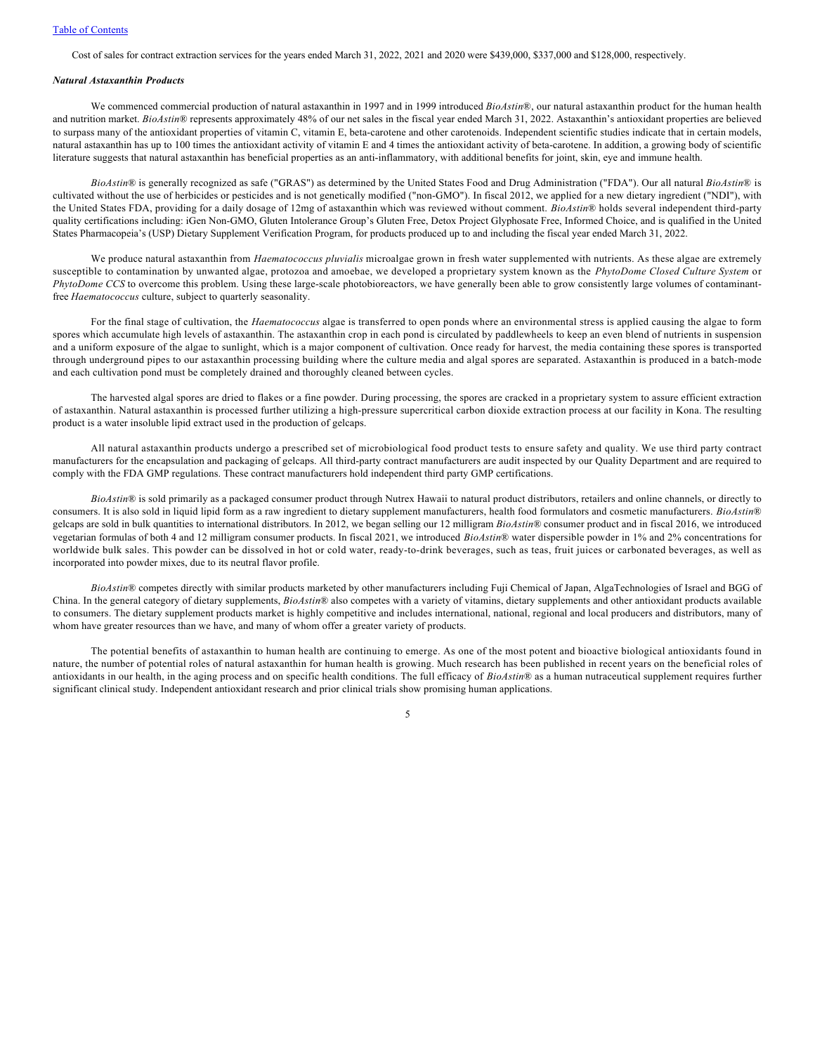Cost of sales for contract extraction services for the years ended March 31, 2022, 2021 and 2020 were \$439,000, \$337,000 and \$128,000, respectively.

#### *Natural Astaxanthin Products*

We commenced commercial production of natural astaxanthin in 1997 and in 1999 introduced *BioAstin*®, our natural astaxanthin product for the human health and nutrition market. *BioAstin®* represents approximately 48% of our net sales in the fiscal year ended March 31, 2022. Astaxanthin's antioxidant properties are believed to surpass many of the antioxidant properties of vitamin C, vitamin E, beta-carotene and other carotenoids. Independent scientific studies indicate that in certain models, natural astaxanthin has up to 100 times the antioxidant activity of vitamin E and 4 times the antioxidant activity of beta-carotene. In addition, a growing body of scientific literature suggests that natural astaxanthin has beneficial properties as an anti-inflammatory, with additional benefits for joint, skin, eye and immune health.

*BioAstin*® is generally recognized as safe ("GRAS") as determined by the United States Food and Drug Administration ("FDA"). Our all natural *BioAstin*® is cultivated without the use of herbicides or pesticides and is not genetically modified ("non-GMO"). In fiscal 2012, we applied for a new dietary ingredient ("NDI"), with the United States FDA, providing for a daily dosage of 12mg of astaxanthin which was reviewed without comment. *BioAstin*® holds several independent third-party quality certifications including: iGen Non-GMO, Gluten Intolerance Group's Gluten Free, Detox Project Glyphosate Free, Informed Choice, and is qualified in the United States Pharmacopeia's (USP) Dietary Supplement Verification Program, for products produced up to and including the fiscal year ended March 31, 2022.

We produce natural astaxanthin from *Haematococcus pluvialis* microalgae grown in fresh water supplemented with nutrients. As these algae are extremely susceptible to contamination by unwanted algae, protozoa and amoebae, we developed a proprietary system known as the *PhytoDome Closed Culture System* or *PhytoDome CCS* to overcome this problem. Using these large-scale photobioreactors, we have generally been able to grow consistently large volumes of contaminantfree *Haematococcus* culture, subject to quarterly seasonality.

For the final stage of cultivation, the *Haematococcus* algae is transferred to open ponds where an environmental stress is applied causing the algae to form spores which accumulate high levels of astaxanthin. The astaxanthin crop in each pond is circulated by paddlewheels to keep an even blend of nutrients in suspension and a uniform exposure of the algae to sunlight, which is a major component of cultivation. Once ready for harvest, the media containing these spores is transported through underground pipes to our astaxanthin processing building where the culture media and algal spores are separated. Astaxanthin is produced in a batch-mode and each cultivation pond must be completely drained and thoroughly cleaned between cycles.

The harvested algal spores are dried to flakes or a fine powder. During processing, the spores are cracked in a proprietary system to assure efficient extraction of astaxanthin. Natural astaxanthin is processed further utilizing a high-pressure supercritical carbon dioxide extraction process at our facility in Kona. The resulting product is a water insoluble lipid extract used in the production of gelcaps.

All natural astaxanthin products undergo a prescribed set of microbiological food product tests to ensure safety and quality. We use third party contract manufacturers for the encapsulation and packaging of gelcaps. All third-party contract manufacturers are audit inspected by our Quality Department and are required to comply with the FDA GMP regulations. These contract manufacturers hold independent third party GMP certifications.

*BioAstin*® is sold primarily as a packaged consumer product through Nutrex Hawaii to natural product distributors, retailers and online channels, or directly to consumers. It is also sold in liquid lipid form as a raw ingredient to dietary supplement manufacturers, health food formulators and cosmetic manufacturers. *BioAstin*® gelcaps are sold in bulk quantities to international distributors. In 2012, we began selling our 12 milligram *BioAstin*® consumer product and in fiscal 2016, we introduced vegetarian formulas of both 4 and 12 milligram consumer products. In fiscal 2021, we introduced *BioAstin*® water dispersible powder in 1% and 2% concentrations for worldwide bulk sales. This powder can be dissolved in hot or cold water, ready-to-drink beverages, such as teas, fruit juices or carbonated beverages, as well as incorporated into powder mixes, due to its neutral flavor profile.

*BioAstin*® competes directly with similar products marketed by other manufacturers including Fuji Chemical of Japan, AlgaTechnologies of Israel and BGG of China. In the general category of dietary supplements, *BioAstin*® also competes with a variety of vitamins, dietary supplements and other antioxidant products available to consumers. The dietary supplement products market is highly competitive and includes international, national, regional and local producers and distributors, many of whom have greater resources than we have, and many of whom offer a greater variety of products.

The potential benefits of astaxanthin to human health are continuing to emerge. As one of the most potent and bioactive biological antioxidants found in nature, the number of potential roles of natural astaxanthin for human health is growing. Much research has been published in recent years on the beneficial roles of antioxidants in our health, in the aging process and on specific health conditions. The full efficacy of *BioAstin*® as a human nutraceutical supplement requires further significant clinical study. Independent antioxidant research and prior clinical trials show promising human applications.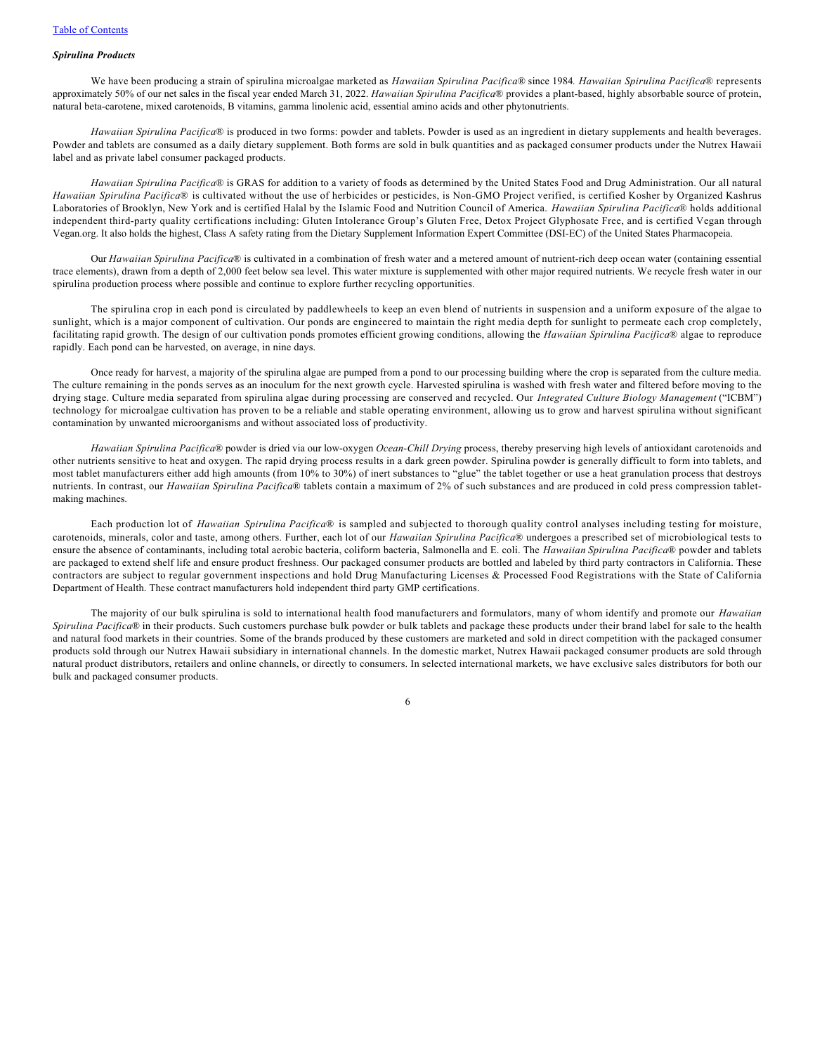#### *Spirulina Products*

We have been producing a strain of spirulina microalgae marketed as *Hawaiian Spirulina Pacifica*® since 1984*. Hawaiian Spirulina Pacifica*® represents approximately 50% of our net sales in the fiscal year ended March 31, 2022. *Hawaiian Spirulina Pacifica*® provides a plant-based, highly absorbable source of protein, natural beta-carotene, mixed carotenoids, B vitamins, gamma linolenic acid, essential amino acids and other phytonutrients.

*Hawaiian Spirulina Pacifica*® is produced in two forms: powder and tablets. Powder is used as an ingredient in dietary supplements and health beverages. Powder and tablets are consumed as a daily dietary supplement. Both forms are sold in bulk quantities and as packaged consumer products under the Nutrex Hawaii label and as private label consumer packaged products.

*Hawaiian Spirulina Pacifica*® is GRAS for addition to a variety of foods as determined by the United States Food and Drug Administration. Our all natural *Hawaiian Spirulina Pacifica*® is cultivated without the use of herbicides or pesticides, is Non-GMO Project verified, is certified Kosher by Organized Kashrus Laboratories of Brooklyn, New York and is certified Halal by the Islamic Food and Nutrition Council of America. *Hawaiian Spirulina Pacifica*® holds additional independent third-party quality certifications including: Gluten Intolerance Group's Gluten Free, Detox Project Glyphosate Free, and is certified Vegan through Vegan.org. It also holds the highest, Class A safety rating from the Dietary Supplement Information Expert Committee (DSI-EC) of the United States Pharmacopeia.

Our *Hawaiian Spirulina Pacifica*® is cultivated in a combination of fresh water and a metered amount of nutrient-rich deep ocean water (containing essential trace elements), drawn from a depth of 2,000 feet below sea level. This water mixture is supplemented with other major required nutrients. We recycle fresh water in our spirulina production process where possible and continue to explore further recycling opportunities.

The spirulina crop in each pond is circulated by paddlewheels to keep an even blend of nutrients in suspension and a uniform exposure of the algae to sunlight, which is a major component of cultivation. Our ponds are engineered to maintain the right media depth for sunlight to permeate each crop completely, facilitating rapid growth. The design of our cultivation ponds promotes efficient growing conditions, allowing the *Hawaiian Spirulina Pacifica*® algae to reproduce rapidly. Each pond can be harvested, on average, in nine days.

Once ready for harvest, a majority of the spirulina algae are pumped from a pond to our processing building where the crop is separated from the culture media. The culture remaining in the ponds serves as an inoculum for the next growth cycle. Harvested spirulina is washed with fresh water and filtered before moving to the drying stage. Culture media separated from spirulina algae during processing are conserved and recycled. Our *Integrated Culture Biology Management* ("ICBM") technology for microalgae cultivation has proven to be a reliable and stable operating environment, allowing us to grow and harvest spirulina without significant contamination by unwanted microorganisms and without associated loss of productivity.

*Hawaiian Spirulina Pacifica*® powder is dried via our low-oxygen *Ocean-Chill Drying* process, thereby preserving high levels of antioxidant carotenoids and other nutrients sensitive to heat and oxygen. The rapid drying process results in a dark green powder. Spirulina powder is generally difficult to form into tablets, and most tablet manufacturers either add high amounts (from 10% to 30%) of inert substances to "glue" the tablet together or use a heat granulation process that destroys nutrients. In contrast, our *Hawaiian Spirulina Pacifica*® tablets contain a maximum of 2% of such substances and are produced in cold press compression tabletmaking machines.

Each production lot of *Hawaiian Spirulina Pacifica*® is sampled and subjected to thorough quality control analyses including testing for moisture, carotenoids, minerals, color and taste, among others. Further, each lot of our *Hawaiian Spirulina Pacifica*® undergoes a prescribed set of microbiological tests to ensure the absence of contaminants, including total aerobic bacteria, coliform bacteria, Salmonella and E. coli. The *Hawaiian Spirulina Pacifica*® powder and tablets are packaged to extend shelf life and ensure product freshness. Our packaged consumer products are bottled and labeled by third party contractors in California. These contractors are subject to regular government inspections and hold Drug Manufacturing Licenses & Processed Food Registrations with the State of California Department of Health. These contract manufacturers hold independent third party GMP certifications.

The majority of our bulk spirulina is sold to international health food manufacturers and formulators, many of whom identify and promote our *Hawaiian Spirulina Pacifica*® in their products. Such customers purchase bulk powder or bulk tablets and package these products under their brand label for sale to the health and natural food markets in their countries. Some of the brands produced by these customers are marketed and sold in direct competition with the packaged consumer products sold through our Nutrex Hawaii subsidiary in international channels. In the domestic market, Nutrex Hawaii packaged consumer products are sold through natural product distributors, retailers and online channels, or directly to consumers. In selected international markets, we have exclusive sales distributors for both our bulk and packaged consumer products.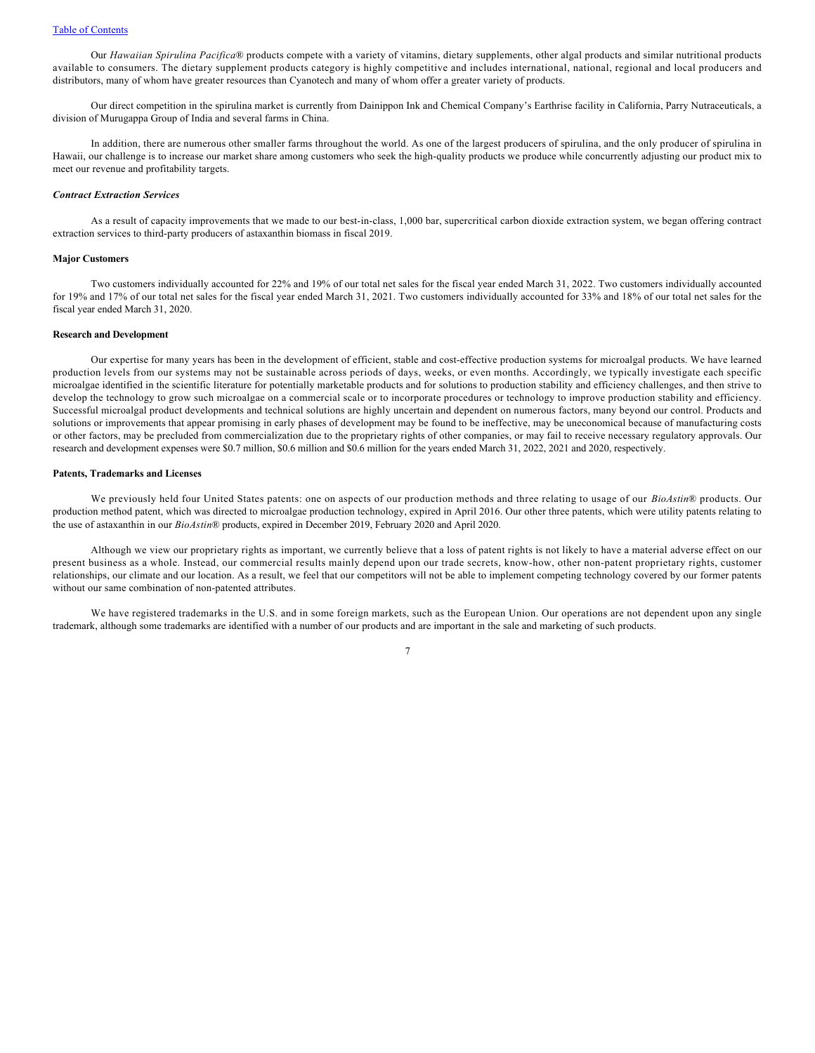Our *Hawaiian Spirulina Pacifica*® products compete with a variety of vitamins, dietary supplements, other algal products and similar nutritional products available to consumers. The dietary supplement products category is highly competitive and includes international, national, regional and local producers and distributors, many of whom have greater resources than Cyanotech and many of whom offer a greater variety of products.

Our direct competition in the spirulina market is currently from Dainippon Ink and Chemical Company's Earthrise facility in California, Parry Nutraceuticals, a division of Murugappa Group of India and several farms in China.

In addition, there are numerous other smaller farms throughout the world. As one of the largest producers of spirulina, and the only producer of spirulina in Hawaii, our challenge is to increase our market share among customers who seek the high-quality products we produce while concurrently adjusting our product mix to meet our revenue and profitability targets.

#### *Contract Extraction Services*

As a result of capacity improvements that we made to our best-in-class, 1,000 bar, supercritical carbon dioxide extraction system, we began offering contract extraction services to third-party producers of astaxanthin biomass in fiscal 2019.

#### **Major Customers**

Two customers individually accounted for 22% and 19% of our total net sales for the fiscal year ended March 31, 2022. Two customers individually accounted for 19% and 17% of our total net sales for the fiscal year ended March 31, 2021. Two customers individually accounted for 33% and 18% of our total net sales for the fiscal year ended March 31, 2020.

#### **Research and Development**

Our expertise for many years has been in the development of efficient, stable and cost-effective production systems for microalgal products. We have learned production levels from our systems may not be sustainable across periods of days, weeks, or even months. Accordingly, we typically investigate each specific microalgae identified in the scientific literature for potentially marketable products and for solutions to production stability and efficiency challenges, and then strive to develop the technology to grow such microalgae on a commercial scale or to incorporate procedures or technology to improve production stability and efficiency. Successful microalgal product developments and technical solutions are highly uncertain and dependent on numerous factors, many beyond our control. Products and solutions or improvements that appear promising in early phases of development may be found to be ineffective, may be uneconomical because of manufacturing costs or other factors, may be precluded from commercialization due to the proprietary rights of other companies, or may fail to receive necessary regulatory approvals. Our research and development expenses were \$0.7 million, \$0.6 million and \$0.6 million for the years ended March 31, 2022, 2021 and 2020, respectively.

#### **Patents, Trademarks and Licenses**

We previously held four United States patents: one on aspects of our production methods and three relating to usage of our *BioAstin*® products. Our production method patent, which was directed to microalgae production technology, expired in April 2016. Our other three patents, which were utility patents relating to the use of astaxanthin in our *BioAstin*® products, expired in December 2019, February 2020 and April 2020.

Although we view our proprietary rights as important, we currently believe that a loss of patent rights is not likely to have a material adverse effect on our present business as a whole. Instead, our commercial results mainly depend upon our trade secrets, know-how, other non-patent proprietary rights, customer relationships, our climate and our location. As a result, we feel that our competitors will not be able to implement competing technology covered by our former patents without our same combination of non-patented attributes.

We have registered trademarks in the U.S. and in some foreign markets, such as the European Union. Our operations are not dependent upon any single trademark, although some trademarks are identified with a number of our products and are important in the sale and marketing of such products.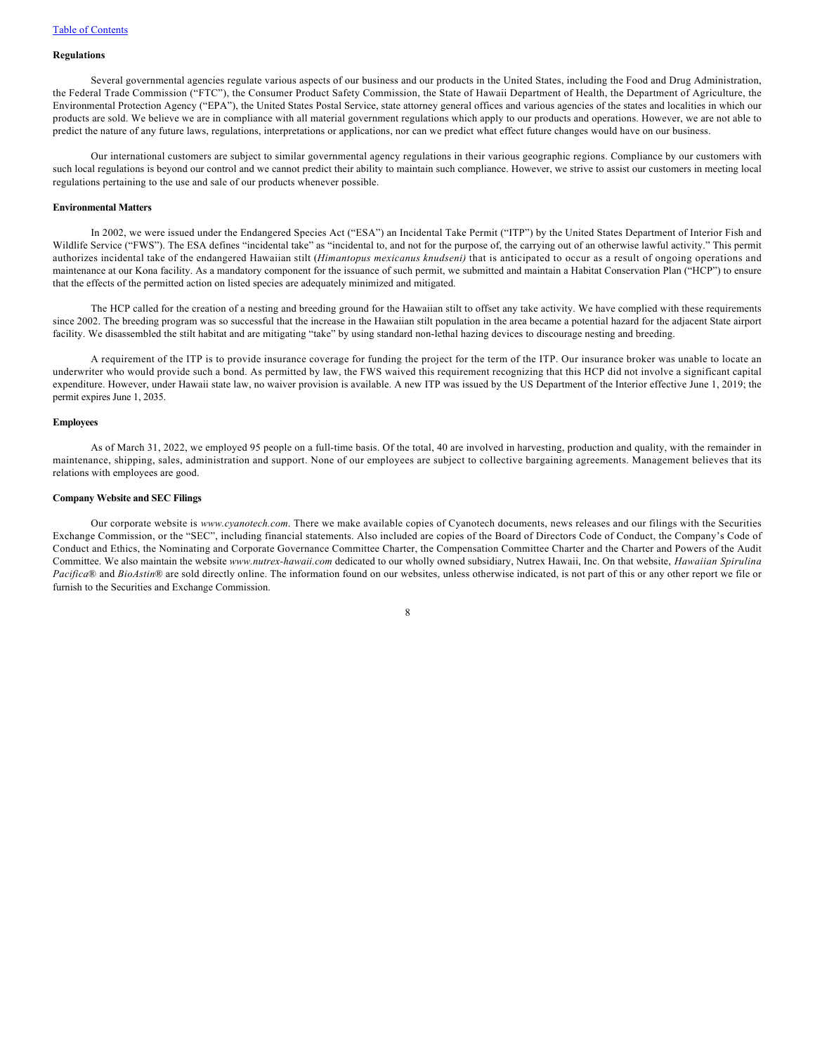#### **Regulations**

Several governmental agencies regulate various aspects of our business and our products in the United States, including the Food and Drug Administration, the Federal Trade Commission ("FTC"), the Consumer Product Safety Commission, the State of Hawaii Department of Health, the Department of Agriculture, the Environmental Protection Agency ("EPA"), the United States Postal Service, state attorney general offices and various agencies of the states and localities in which our products are sold. We believe we are in compliance with all material government regulations which apply to our products and operations. However, we are not able to predict the nature of any future laws, regulations, interpretations or applications, nor can we predict what effect future changes would have on our business.

Our international customers are subject to similar governmental agency regulations in their various geographic regions. Compliance by our customers with such local regulations is beyond our control and we cannot predict their ability to maintain such compliance. However, we strive to assist our customers in meeting local regulations pertaining to the use and sale of our products whenever possible.

#### **Environmental Matters**

In 2002, we were issued under the Endangered Species Act ("ESA") an Incidental Take Permit ("ITP") by the United States Department of Interior Fish and Wildlife Service ("FWS"). The ESA defines "incidental take" as "incidental to, and not for the purpose of, the carrying out of an otherwise lawful activity." This permit authorizes incidental take of the endangered Hawaiian stilt (*Himantopus mexicanus knudseni)* that is anticipated to occur as a result of ongoing operations and maintenance at our Kona facility. As a mandatory component for the issuance of such permit, we submitted and maintain a Habitat Conservation Plan ("HCP") to ensure that the effects of the permitted action on listed species are adequately minimized and mitigated.

The HCP called for the creation of a nesting and breeding ground for the Hawaiian stilt to offset any take activity. We have complied with these requirements since 2002. The breeding program was so successful that the increase in the Hawaiian stilt population in the area became a potential hazard for the adjacent State airport facility. We disassembled the stilt habitat and are mitigating "take" by using standard non-lethal hazing devices to discourage nesting and breeding.

A requirement of the ITP is to provide insurance coverage for funding the project for the term of the ITP. Our insurance broker was unable to locate an underwriter who would provide such a bond. As permitted by law, the FWS waived this requirement recognizing that this HCP did not involve a significant capital expenditure. However, under Hawaii state law, no waiver provision is available. A new ITP was issued by the US Department of the Interior effective June 1, 2019; the permit expires June 1, 2035.

#### **Employees**

As of March 31, 2022, we employed 95 people on a full-time basis. Of the total, 40 are involved in harvesting, production and quality, with the remainder in maintenance, shipping, sales, administration and support. None of our employees are subject to collective bargaining agreements. Management believes that its relations with employees are good.

#### **Company Website and SEC Filings**

Our corporate website is *www.cyanotech.com*. There we make available copies of Cyanotech documents, news releases and our filings with the Securities Exchange Commission, or the "SEC", including financial statements. Also included are copies of the Board of Directors Code of Conduct, the Company's Code of Conduct and Ethics, the Nominating and Corporate Governance Committee Charter, the Compensation Committee Charter and the Charter and Powers of the Audit Committee. We also maintain the website *www.nutrex-hawaii.com* dedicated to our wholly owned subsidiary, Nutrex Hawaii, Inc. On that website, *Hawaiian Spirulina Pacifica*® and *BioAstin*® are sold directly online. The information found on our websites, unless otherwise indicated, is not part of this or any other report we file or furnish to the Securities and Exchange Commission.

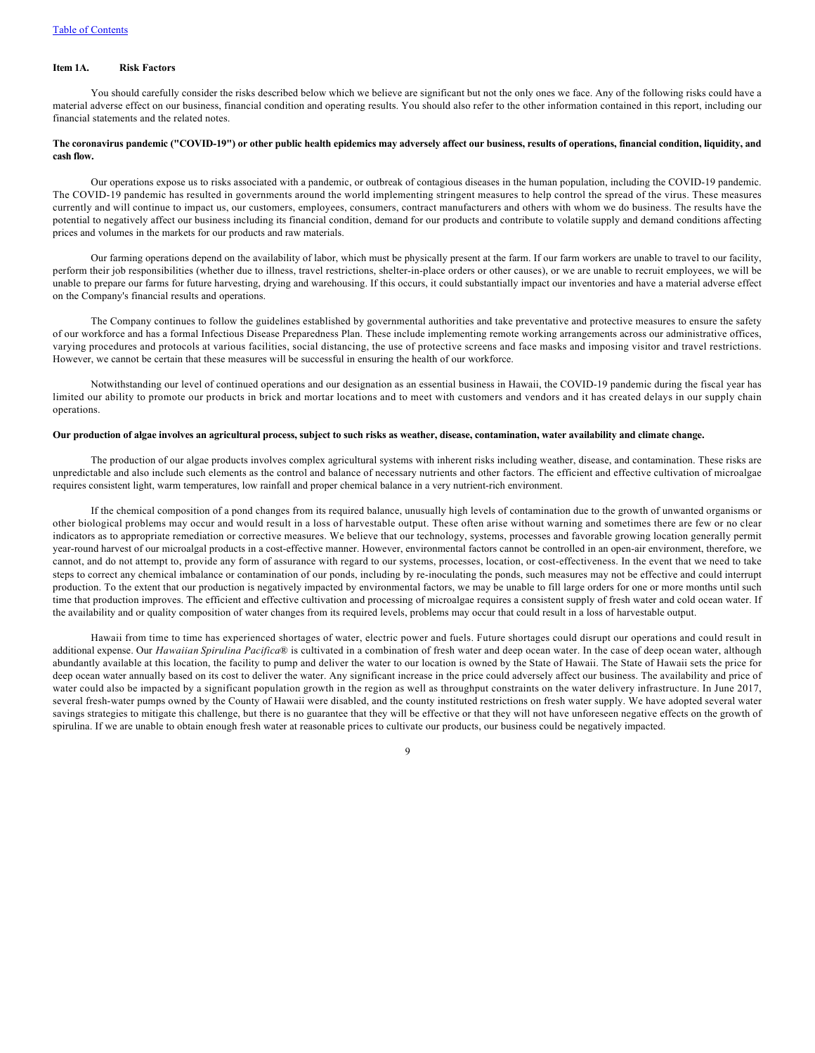#### <span id="page-8-0"></span>**Item 1A. Risk Factors**

You should carefully consider the risks described below which we believe are significant but not the only ones we face. Any of the following risks could have a material adverse effect on our business, financial condition and operating results. You should also refer to the other information contained in this report, including our financial statements and the related notes.

#### **The coronavirus pandemic ("COVID-19") or other public health epidemics may adversely affect our business, results of operations, financial condition, liquidity, and cash flow.**

Our operations expose us to risks associated with a pandemic, or outbreak of contagious diseases in the human population, including the COVID-19 pandemic. The COVID-19 pandemic has resulted in governments around the world implementing stringent measures to help control the spread of the virus. These measures currently and will continue to impact us, our customers, employees, consumers, contract manufacturers and others with whom we do business. The results have the potential to negatively affect our business including its financial condition, demand for our products and contribute to volatile supply and demand conditions affecting prices and volumes in the markets for our products and raw materials.

Our farming operations depend on the availability of labor, which must be physically present at the farm. If our farm workers are unable to travel to our facility, perform their job responsibilities (whether due to illness, travel restrictions, shelter-in-place orders or other causes), or we are unable to recruit employees, we will be unable to prepare our farms for future harvesting, drying and warehousing. If this occurs, it could substantially impact our inventories and have a material adverse effect on the Company's financial results and operations.

The Company continues to follow the guidelines established by governmental authorities and take preventative and protective measures to ensure the safety of our workforce and has a formal Infectious Disease Preparedness Plan. These include implementing remote working arrangements across our administrative offices, varying procedures and protocols at various facilities, social distancing, the use of protective screens and face masks and imposing visitor and travel restrictions. However, we cannot be certain that these measures will be successful in ensuring the health of our workforce.

Notwithstanding our level of continued operations and our designation as an essential business in Hawaii, the COVID-19 pandemic during the fiscal year has limited our ability to promote our products in brick and mortar locations and to meet with customers and vendors and it has created delays in our supply chain operations.

#### **Our production of algae involves an agricultural process, subject to such risks as weather, disease, contamination, water availability and climate change.**

The production of our algae products involves complex agricultural systems with inherent risks including weather, disease, and contamination. These risks are unpredictable and also include such elements as the control and balance of necessary nutrients and other factors. The efficient and effective cultivation of microalgae requires consistent light, warm temperatures, low rainfall and proper chemical balance in a very nutrient-rich environment.

If the chemical composition of a pond changes from its required balance, unusually high levels of contamination due to the growth of unwanted organisms or other biological problems may occur and would result in a loss of harvestable output. These often arise without warning and sometimes there are few or no clear indicators as to appropriate remediation or corrective measures. We believe that our technology, systems, processes and favorable growing location generally permit year-round harvest of our microalgal products in a cost-effective manner. However, environmental factors cannot be controlled in an open-air environment, therefore, we cannot, and do not attempt to, provide any form of assurance with regard to our systems, processes, location, or cost-effectiveness. In the event that we need to take steps to correct any chemical imbalance or contamination of our ponds, including by re-inoculating the ponds, such measures may not be effective and could interrupt production. To the extent that our production is negatively impacted by environmental factors, we may be unable to fill large orders for one or more months until such time that production improves. The efficient and effective cultivation and processing of microalgae requires a consistent supply of fresh water and cold ocean water. If the availability and or quality composition of water changes from its required levels, problems may occur that could result in a loss of harvestable output.

Hawaii from time to time has experienced shortages of water, electric power and fuels. Future shortages could disrupt our operations and could result in additional expense. Our *Hawaiian Spirulina Pacifica*® is cultivated in a combination of fresh water and deep ocean water. In the case of deep ocean water, although abundantly available at this location, the facility to pump and deliver the water to our location is owned by the State of Hawaii. The State of Hawaii sets the price for deep ocean water annually based on its cost to deliver the water. Any significant increase in the price could adversely affect our business. The availability and price of water could also be impacted by a significant population growth in the region as well as throughput constraints on the water delivery infrastructure. In June 2017, several fresh-water pumps owned by the County of Hawaii were disabled, and the county instituted restrictions on fresh water supply. We have adopted several water savings strategies to mitigate this challenge, but there is no guarantee that they will be effective or that they will not have unforeseen negative effects on the growth of spirulina. If we are unable to obtain enough fresh water at reasonable prices to cultivate our products, our business could be negatively impacted.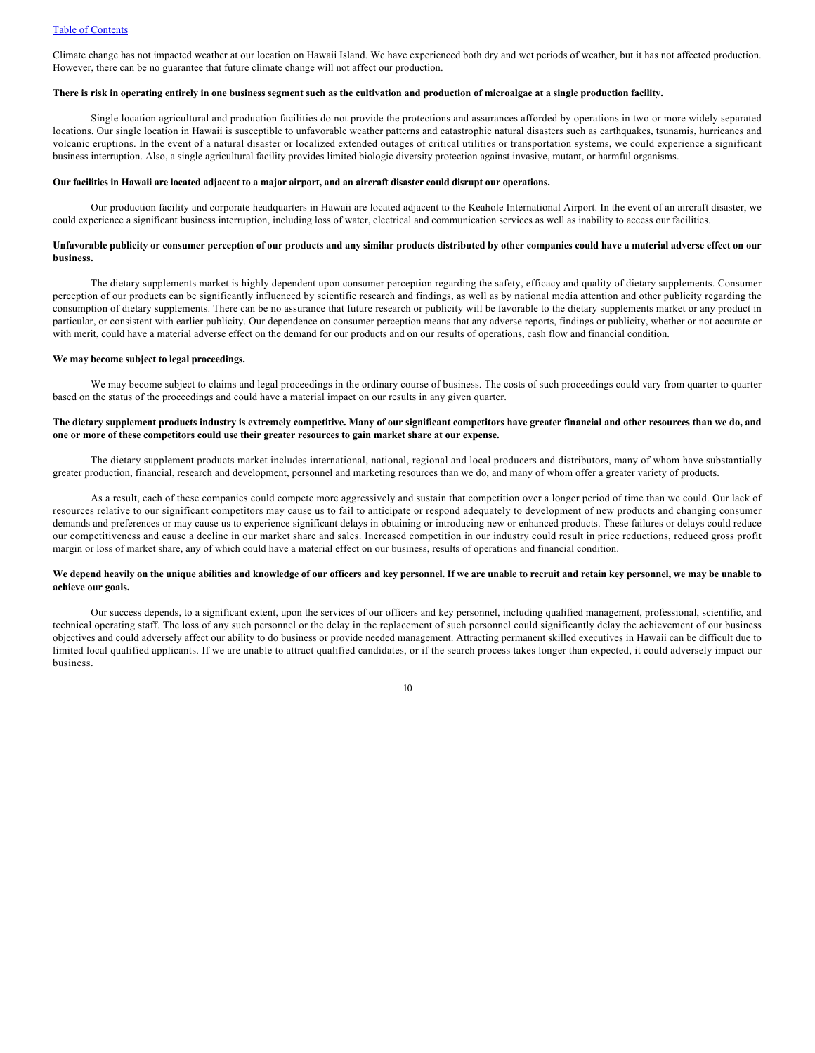Climate change has not impacted weather at our location on Hawaii Island. We have experienced both dry and wet periods of weather, but it has not affected production. However, there can be no guarantee that future climate change will not affect our production.

#### **There is risk in operating entirely in one business segment such as the cultivation and production of microalgae at a single production facility.**

Single location agricultural and production facilities do not provide the protections and assurances afforded by operations in two or more widely separated locations. Our single location in Hawaii is susceptible to unfavorable weather patterns and catastrophic natural disasters such as earthquakes, tsunamis, hurricanes and volcanic eruptions. In the event of a natural disaster or localized extended outages of critical utilities or transportation systems, we could experience a significant business interruption. Also, a single agricultural facility provides limited biologic diversity protection against invasive, mutant, or harmful organisms.

#### **Our facilities in Hawaii are located adjacent to a major airport, and an aircraft disaster could disrupt our operations.**

Our production facility and corporate headquarters in Hawaii are located adjacent to the Keahole International Airport. In the event of an aircraft disaster, we could experience a significant business interruption, including loss of water, electrical and communication services as well as inability to access our facilities.

#### **Unfavorable publicity or consumer perception of our products and any similar products distributed by other companies could have a material adverse effect on our business.**

The dietary supplements market is highly dependent upon consumer perception regarding the safety, efficacy and quality of dietary supplements. Consumer perception of our products can be significantly influenced by scientific research and findings, as well as by national media attention and other publicity regarding the consumption of dietary supplements. There can be no assurance that future research or publicity will be favorable to the dietary supplements market or any product in particular, or consistent with earlier publicity. Our dependence on consumer perception means that any adverse reports, findings or publicity, whether or not accurate or with merit, could have a material adverse effect on the demand for our products and on our results of operations, cash flow and financial condition.

#### **We may become subject to legal proceedings.**

We may become subject to claims and legal proceedings in the ordinary course of business. The costs of such proceedings could vary from quarter to quarter based on the status of the proceedings and could have a material impact on our results in any given quarter.

#### **The dietary supplement products industry is extremely competitive. Many of our significant competitors have greater financial and other resources than we do, and one or more of these competitors could use their greater resources to gain market share at our expense.**

The dietary supplement products market includes international, national, regional and local producers and distributors, many of whom have substantially greater production, financial, research and development, personnel and marketing resources than we do, and many of whom offer a greater variety of products.

As a result, each of these companies could compete more aggressively and sustain that competition over a longer period of time than we could. Our lack of resources relative to our significant competitors may cause us to fail to anticipate or respond adequately to development of new products and changing consumer demands and preferences or may cause us to experience significant delays in obtaining or introducing new or enhanced products. These failures or delays could reduce our competitiveness and cause a decline in our market share and sales. Increased competition in our industry could result in price reductions, reduced gross profit margin or loss of market share, any of which could have a material effect on our business, results of operations and financial condition.

#### **We depend heavily on the unique abilities and knowledge of our officers and key personnel. If we are unable to recruit and retain key personnel, we may be unable to achieve our goals.**

Our success depends, to a significant extent, upon the services of our officers and key personnel, including qualified management, professional, scientific, and technical operating staff. The loss of any such personnel or the delay in the replacement of such personnel could significantly delay the achievement of our business objectives and could adversely affect our ability to do business or provide needed management. Attracting permanent skilled executives in Hawaii can be difficult due to limited local qualified applicants. If we are unable to attract qualified candidates, or if the search process takes longer than expected, it could adversely impact our business.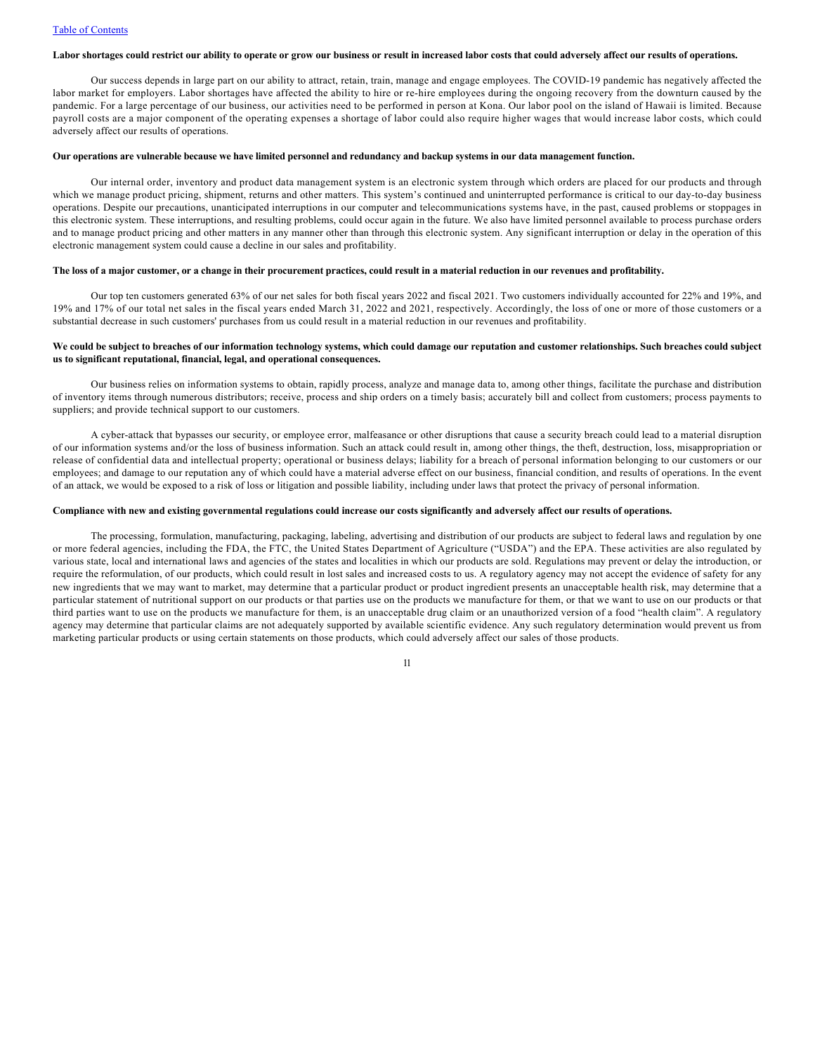#### **Labor shortages could restrict our ability to operate or grow our business or result in increased labor costs that could adversely affect our results of operations.**

Our success depends in large part on our ability to attract, retain, train, manage and engage employees. The COVID-19 pandemic has negatively affected the labor market for employers. Labor shortages have affected the ability to hire or re-hire employees during the ongoing recovery from the downturn caused by the pandemic. For a large percentage of our business, our activities need to be performed in person at Kona. Our labor pool on the island of Hawaii is limited. Because payroll costs are a major component of the operating expenses a shortage of labor could also require higher wages that would increase labor costs, which could adversely affect our results of operations.

#### **Our operations are vulnerable because we have limited personnel and redundancy and backup systems in our data management function.**

Our internal order, inventory and product data management system is an electronic system through which orders are placed for our products and through which we manage product pricing, shipment, returns and other matters. This system's continued and uninterrupted performance is critical to our day-to-day business operations. Despite our precautions, unanticipated interruptions in our computer and telecommunications systems have, in the past, caused problems or stoppages in this electronic system. These interruptions, and resulting problems, could occur again in the future. We also have limited personnel available to process purchase orders and to manage product pricing and other matters in any manner other than through this electronic system. Any significant interruption or delay in the operation of this electronic management system could cause a decline in our sales and profitability.

#### **The loss of a major customer, or a change in their procurement practices, could result in a material reduction in our revenues and profitability.**

Our top ten customers generated 63% of our net sales for both fiscal years 2022 and fiscal 2021. Two customers individually accounted for 22% and 19%, and 19% and 17% of our total net sales in the fiscal years ended March 31, 2022 and 2021, respectively. Accordingly, the loss of one or more of those customers or a substantial decrease in such customers' purchases from us could result in a material reduction in our revenues and profitability.

#### **We could be subject to breaches of our information technology systems, which could damage our reputation and customer relationships. Such breaches could subject us to significant reputational, financial, legal, and operational consequences.**

Our business relies on information systems to obtain, rapidly process, analyze and manage data to, among other things, facilitate the purchase and distribution of inventory items through numerous distributors; receive, process and ship orders on a timely basis; accurately bill and collect from customers; process payments to suppliers; and provide technical support to our customers.

A cyber-attack that bypasses our security, or employee error, malfeasance or other disruptions that cause a security breach could lead to a material disruption of our information systems and/or the loss of business information. Such an attack could result in, among other things, the theft, destruction, loss, misappropriation or release of confidential data and intellectual property; operational or business delays; liability for a breach of personal information belonging to our customers or our employees; and damage to our reputation any of which could have a material adverse effect on our business, financial condition, and results of operations. In the event of an attack, we would be exposed to a risk of loss or litigation and possible liability, including under laws that protect the privacy of personal information.

#### **Compliance with new and existing governmental regulations could increase our costs significantly and adversely affect our results of operations.**

The processing, formulation, manufacturing, packaging, labeling, advertising and distribution of our products are subject to federal laws and regulation by one or more federal agencies, including the FDA, the FTC, the United States Department of Agriculture ("USDA") and the EPA. These activities are also regulated by various state, local and international laws and agencies of the states and localities in which our products are sold. Regulations may prevent or delay the introduction, or require the reformulation, of our products, which could result in lost sales and increased costs to us. A regulatory agency may not accept the evidence of safety for any new ingredients that we may want to market, may determine that a particular product or product ingredient presents an unacceptable health risk, may determine that a particular statement of nutritional support on our products or that parties use on the products we manufacture for them, or that we want to use on our products or that third parties want to use on the products we manufacture for them, is an unacceptable drug claim or an unauthorized version of a food "health claim". A regulatory agency may determine that particular claims are not adequately supported by available scientific evidence. Any such regulatory determination would prevent us from marketing particular products or using certain statements on those products, which could adversely affect our sales of those products.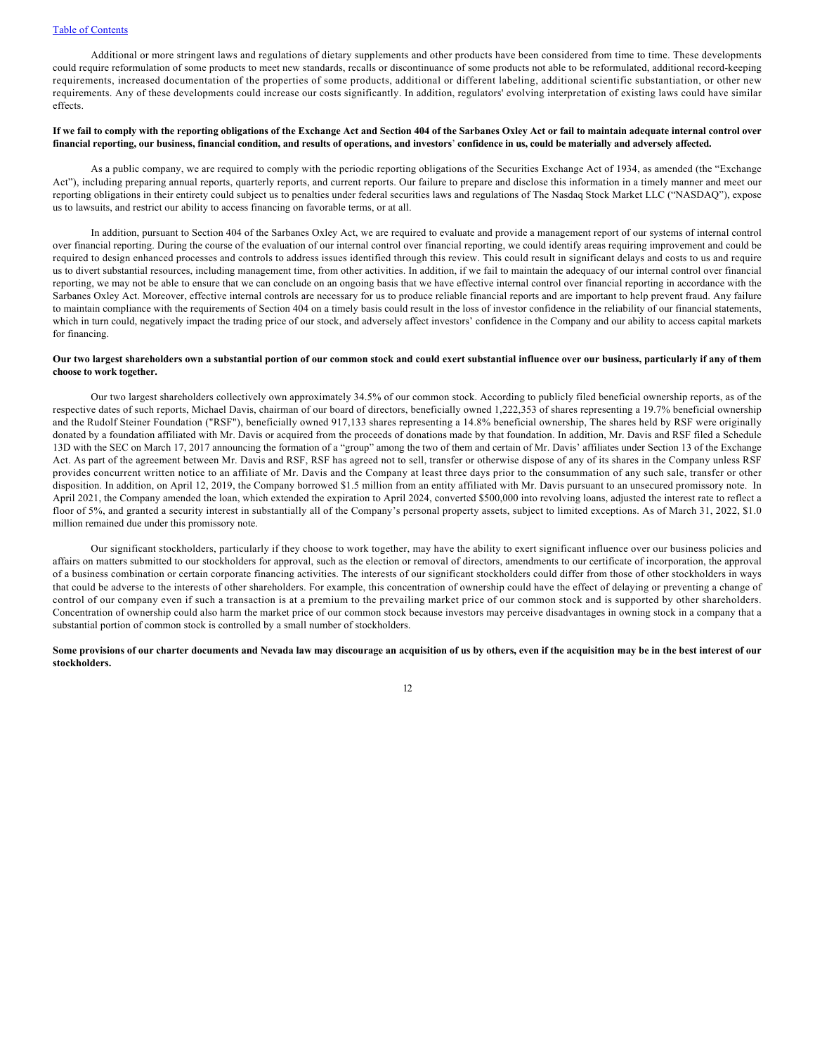Additional or more stringent laws and regulations of dietary supplements and other products have been considered from time to time. These developments could require reformulation of some products to meet new standards, recalls or discontinuance of some products not able to be reformulated, additional record-keeping requirements, increased documentation of the properties of some products, additional or different labeling, additional scientific substantiation, or other new requirements. Any of these developments could increase our costs significantly. In addition, regulators' evolving interpretation of existing laws could have similar effects.

#### **If we fail to comply with the reporting obligations of the Exchange Act and Section 404 of the Sarbanes Oxley Act or fail to maintain adequate internal control over financial reporting, our business, financial condition, and results of operations, and investors**' **confidence in us, could be materially and adversely affected.**

As a public company, we are required to comply with the periodic reporting obligations of the Securities Exchange Act of 1934, as amended (the "Exchange Act"), including preparing annual reports, quarterly reports, and current reports. Our failure to prepare and disclose this information in a timely manner and meet our reporting obligations in their entirety could subject us to penalties under federal securities laws and regulations of The Nasdaq Stock Market LLC ("NASDAQ"), expose us to lawsuits, and restrict our ability to access financing on favorable terms, or at all.

In addition, pursuant to Section 404 of the Sarbanes Oxley Act, we are required to evaluate and provide a management report of our systems of internal control over financial reporting. During the course of the evaluation of our internal control over financial reporting, we could identify areas requiring improvement and could be required to design enhanced processes and controls to address issues identified through this review. This could result in significant delays and costs to us and require us to divert substantial resources, including management time, from other activities. In addition, if we fail to maintain the adequacy of our internal control over financial reporting, we may not be able to ensure that we can conclude on an ongoing basis that we have effective internal control over financial reporting in accordance with the Sarbanes Oxley Act. Moreover, effective internal controls are necessary for us to produce reliable financial reports and are important to help prevent fraud. Any failure to maintain compliance with the requirements of Section 404 on a timely basis could result in the loss of investor confidence in the reliability of our financial statements, which in turn could, negatively impact the trading price of our stock, and adversely affect investors' confidence in the Company and our ability to access capital markets for financing.

#### **Our two largest shareholders own a substantial portion of our common stock and could exert substantial influence over our business, particularly if any of them choose to work together.**

Our two largest shareholders collectively own approximately 34.5% of our common stock. According to publicly filed beneficial ownership reports, as of the respective dates of such reports, Michael Davis, chairman of our board of directors, beneficially owned 1,222,353 of shares representing a 19.7% beneficial ownership and the Rudolf Steiner Foundation ("RSF"), beneficially owned 917,133 shares representing a 14.8% beneficial ownership, The shares held by RSF were originally donated by a foundation affiliated with Mr. Davis or acquired from the proceeds of donations made by that foundation. In addition, Mr. Davis and RSF filed a Schedule 13D with the SEC on March 17, 2017 announcing the formation of a "group" among the two of them and certain of Mr. Davis' affiliates under Section 13 of the Exchange Act. As part of the agreement between Mr. Davis and RSF, RSF has agreed not to sell, transfer or otherwise dispose of any of its shares in the Company unless RSF provides concurrent written notice to an affiliate of Mr. Davis and the Company at least three days prior to the consummation of any such sale, transfer or other disposition. In addition, on April 12, 2019, the Company borrowed \$1.5 million from an entity affiliated with Mr. Davis pursuant to an unsecured promissory note. In April 2021, the Company amended the loan, which extended the expiration to April 2024, converted \$500,000 into revolving loans, adjusted the interest rate to reflect a floor of 5%, and granted a security interest in substantially all of the Company's personal property assets, subject to limited exceptions. As of March 31, 2022, \$1.0 million remained due under this promissory note.

Our significant stockholders, particularly if they choose to work together, may have the ability to exert significant influence over our business policies and affairs on matters submitted to our stockholders for approval, such as the election or removal of directors, amendments to our certificate of incorporation, the approval of a business combination or certain corporate financing activities. The interests of our significant stockholders could differ from those of other stockholders in ways that could be adverse to the interests of other shareholders. For example, this concentration of ownership could have the effect of delaying or preventing a change of control of our company even if such a transaction is at a premium to the prevailing market price of our common stock and is supported by other shareholders. Concentration of ownership could also harm the market price of our common stock because investors may perceive disadvantages in owning stock in a company that a substantial portion of common stock is controlled by a small number of stockholders.

**Some provisions of our charter documents and Nevada law may discourage an acquisition of us by others, even if the acquisition may be in the best interest of our stockholders.**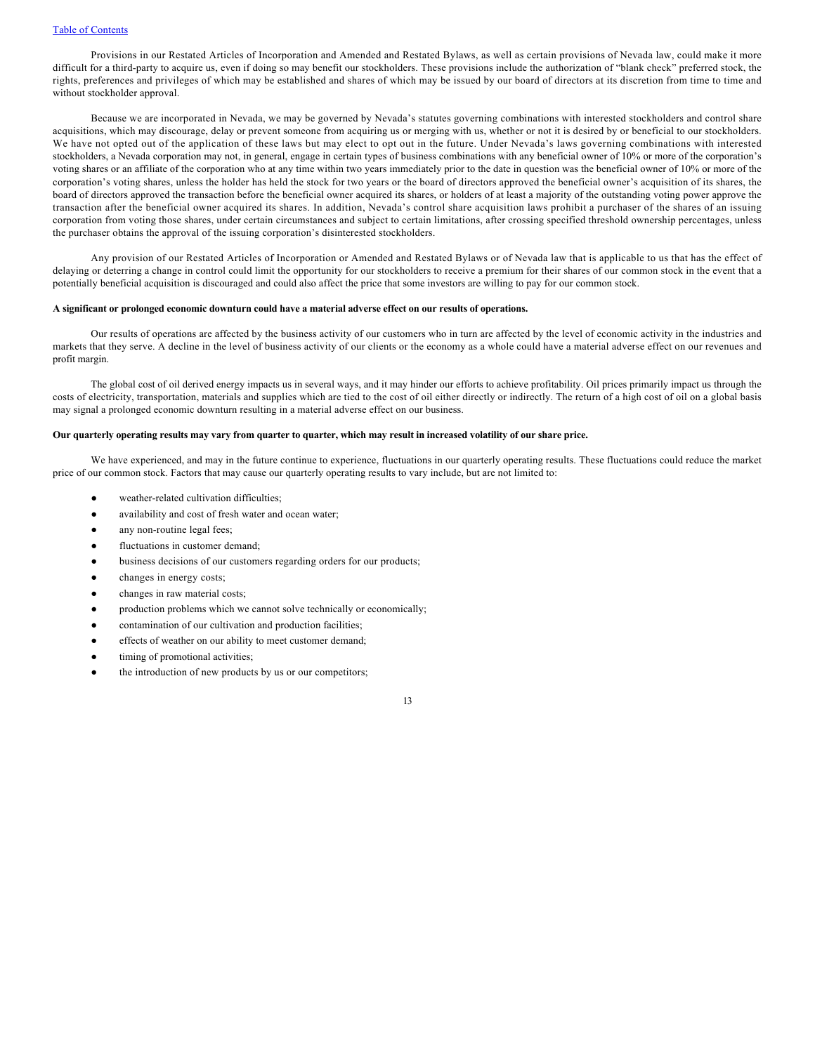Provisions in our Restated Articles of Incorporation and Amended and Restated Bylaws, as well as certain provisions of Nevada law, could make it more difficult for a third-party to acquire us, even if doing so may benefit our stockholders. These provisions include the authorization of "blank check" preferred stock, the rights, preferences and privileges of which may be established and shares of which may be issued by our board of directors at its discretion from time to time and without stockholder approval.

Because we are incorporated in Nevada, we may be governed by Nevada's statutes governing combinations with interested stockholders and control share acquisitions, which may discourage, delay or prevent someone from acquiring us or merging with us, whether or not it is desired by or beneficial to our stockholders. We have not opted out of the application of these laws but may elect to opt out in the future. Under Nevada's laws governing combinations with interested stockholders, a Nevada corporation may not, in general, engage in certain types of business combinations with any beneficial owner of 10% or more of the corporation's voting shares or an affiliate of the corporation who at any time within two years immediately prior to the date in question was the beneficial owner of 10% or more of the corporation's voting shares, unless the holder has held the stock for two years or the board of directors approved the beneficial owner's acquisition of its shares, the board of directors approved the transaction before the beneficial owner acquired its shares, or holders of at least a majority of the outstanding voting power approve the transaction after the beneficial owner acquired its shares. In addition, Nevada's control share acquisition laws prohibit a purchaser of the shares of an issuing corporation from voting those shares, under certain circumstances and subject to certain limitations, after crossing specified threshold ownership percentages, unless the purchaser obtains the approval of the issuing corporation's disinterested stockholders.

Any provision of our Restated Articles of Incorporation or Amended and Restated Bylaws or of Nevada law that is applicable to us that has the effect of delaying or deterring a change in control could limit the opportunity for our stockholders to receive a premium for their shares of our common stock in the event that a potentially beneficial acquisition is discouraged and could also affect the price that some investors are willing to pay for our common stock.

#### **A significant or prolonged economic downturn could have a material adverse effect on our results of operations.**

Our results of operations are affected by the business activity of our customers who in turn are affected by the level of economic activity in the industries and markets that they serve. A decline in the level of business activity of our clients or the economy as a whole could have a material adverse effect on our revenues and profit margin.

The global cost of oil derived energy impacts us in several ways, and it may hinder our efforts to achieve profitability. Oil prices primarily impact us through the costs of electricity, transportation, materials and supplies which are tied to the cost of oil either directly or indirectly. The return of a high cost of oil on a global basis may signal a prolonged economic downturn resulting in a material adverse effect on our business.

#### **Our quarterly operating results may vary from quarter to quarter, which may result in increased volatility of our share price.**

We have experienced, and may in the future continue to experience, fluctuations in our quarterly operating results. These fluctuations could reduce the market price of our common stock. Factors that may cause our quarterly operating results to vary include, but are not limited to:

- weather-related cultivation difficulties;
- availability and cost of fresh water and ocean water;
- any non-routine legal fees;
- fluctuations in customer demand;
- business decisions of our customers regarding orders for our products;
- changes in energy costs;
- changes in raw material costs;
- production problems which we cannot solve technically or economically;
- contamination of our cultivation and production facilities;
- effects of weather on our ability to meet customer demand;
- timing of promotional activities;
- the introduction of new products by us or our competitors;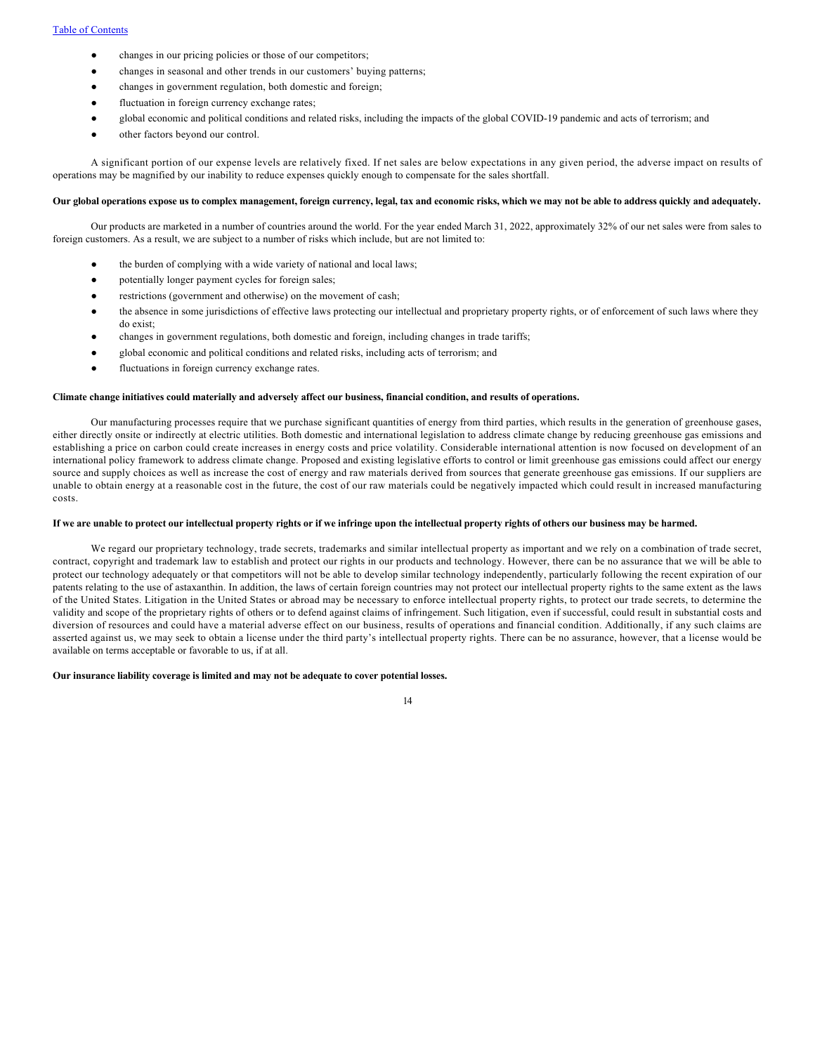- changes in our pricing policies or those of our competitors;
- changes in seasonal and other trends in our customers' buying patterns;
- changes in government regulation, both domestic and foreign;
- fluctuation in foreign currency exchange rates;
- global economic and political conditions and related risks, including the impacts of the global COVID-19 pandemic and acts of terrorism; and
- other factors beyond our control.

A significant portion of our expense levels are relatively fixed. If net sales are below expectations in any given period, the adverse impact on results of operations may be magnified by our inability to reduce expenses quickly enough to compensate for the sales shortfall.

#### **Our global operations expose us to complex management, foreign currency, legal, tax and economic risks, which we may not be able to address quickly and adequately.**

Our products are marketed in a number of countries around the world. For the year ended March 31, 2022, approximately 32% of our net sales were from sales to foreign customers. As a result, we are subject to a number of risks which include, but are not limited to:

- the burden of complying with a wide variety of national and local laws;
- potentially longer payment cycles for foreign sales;
- restrictions (government and otherwise) on the movement of cash;
- the absence in some jurisdictions of effective laws protecting our intellectual and proprietary property rights, or of enforcement of such laws where they do exist;
- changes in government regulations, both domestic and foreign, including changes in trade tariffs;
- global economic and political conditions and related risks, including acts of terrorism; and
- fluctuations in foreign currency exchange rates.

#### **Climate change initiatives could materially and adversely affect our business, financial condition, and results of operations.**

Our manufacturing processes require that we purchase significant quantities of energy from third parties, which results in the generation of greenhouse gases, either directly onsite or indirectly at electric utilities. Both domestic and international legislation to address climate change by reducing greenhouse gas emissions and establishing a price on carbon could create increases in energy costs and price volatility. Considerable international attention is now focused on development of an international policy framework to address climate change. Proposed and existing legislative efforts to control or limit greenhouse gas emissions could affect our energy source and supply choices as well as increase the cost of energy and raw materials derived from sources that generate greenhouse gas emissions. If our suppliers are unable to obtain energy at a reasonable cost in the future, the cost of our raw materials could be negatively impacted which could result in increased manufacturing costs.

#### **If we are unable to protect our intellectual property rights or if we infringe upon the intellectual property rights of others our business may be harmed.**

We regard our proprietary technology, trade secrets, trademarks and similar intellectual property as important and we rely on a combination of trade secret, contract, copyright and trademark law to establish and protect our rights in our products and technology. However, there can be no assurance that we will be able to protect our technology adequately or that competitors will not be able to develop similar technology independently, particularly following the recent expiration of our patents relating to the use of astaxanthin. In addition, the laws of certain foreign countries may not protect our intellectual property rights to the same extent as the laws of the United States. Litigation in the United States or abroad may be necessary to enforce intellectual property rights, to protect our trade secrets, to determine the validity and scope of the proprietary rights of others or to defend against claims of infringement. Such litigation, even if successful, could result in substantial costs and diversion of resources and could have a material adverse effect on our business, results of operations and financial condition. Additionally, if any such claims are asserted against us, we may seek to obtain a license under the third party's intellectual property rights. There can be no assurance, however, that a license would be available on terms acceptable or favorable to us, if at all.

#### **Our insurance liability coverage is limited and may not be adequate to cover potential losses.**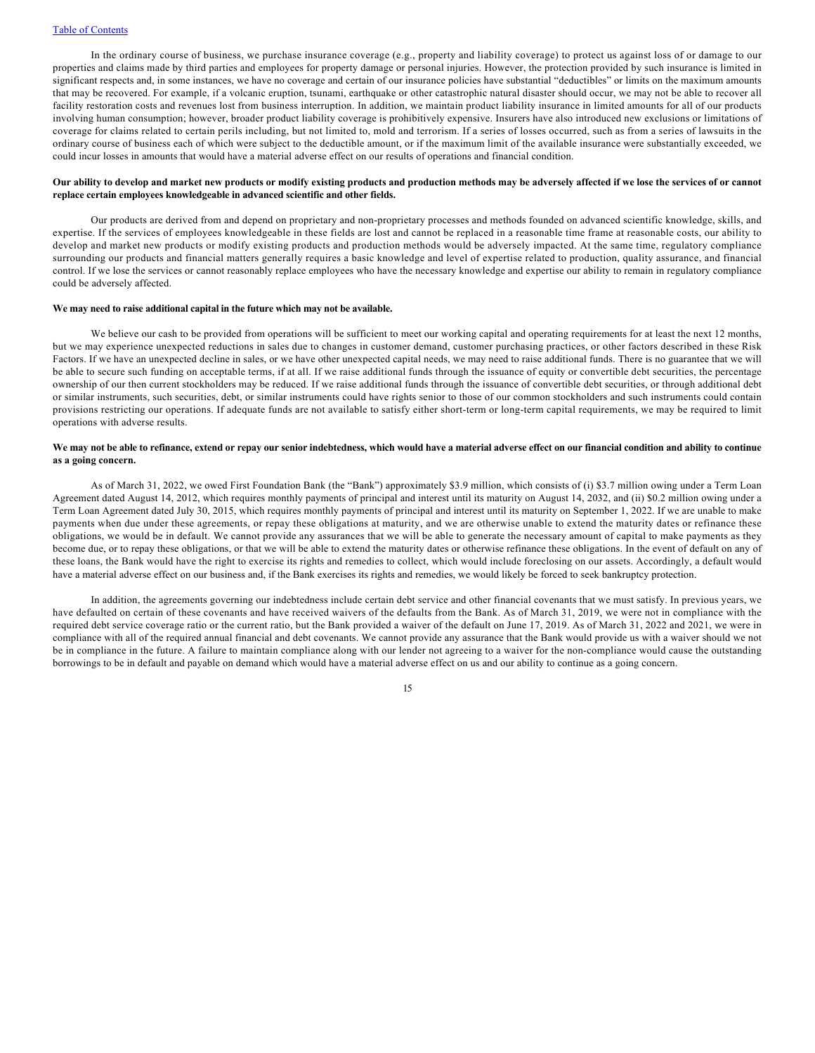In the ordinary course of business, we purchase insurance coverage (e.g., property and liability coverage) to protect us against loss of or damage to our properties and claims made by third parties and employees for property damage or personal injuries. However, the protection provided by such insurance is limited in significant respects and, in some instances, we have no coverage and certain of our insurance policies have substantial "deductibles" or limits on the maximum amounts that may be recovered. For example, if a volcanic eruption, tsunami, earthquake or other catastrophic natural disaster should occur, we may not be able to recover all facility restoration costs and revenues lost from business interruption. In addition, we maintain product liability insurance in limited amounts for all of our products involving human consumption; however, broader product liability coverage is prohibitively expensive. Insurers have also introduced new exclusions or limitations of coverage for claims related to certain perils including, but not limited to, mold and terrorism. If a series of losses occurred, such as from a series of lawsuits in the ordinary course of business each of which were subject to the deductible amount, or if the maximum limit of the available insurance were substantially exceeded, we could incur losses in amounts that would have a material adverse effect on our results of operations and financial condition.

#### **Our ability to develop and market new products or modify existing products and production methods may be adversely affected if we lose the services of or cannot replace certain employees knowledgeable in advanced scientific and other fields.**

Our products are derived from and depend on proprietary and non-proprietary processes and methods founded on advanced scientific knowledge, skills, and expertise. If the services of employees knowledgeable in these fields are lost and cannot be replaced in a reasonable time frame at reasonable costs, our ability to develop and market new products or modify existing products and production methods would be adversely impacted. At the same time, regulatory compliance surrounding our products and financial matters generally requires a basic knowledge and level of expertise related to production, quality assurance, and financial control. If we lose the services or cannot reasonably replace employees who have the necessary knowledge and expertise our ability to remain in regulatory compliance could be adversely affected.

#### **We may need to raise additional capital in the future which may not be available.**

We believe our cash to be provided from operations will be sufficient to meet our working capital and operating requirements for at least the next 12 months, but we may experience unexpected reductions in sales due to changes in customer demand, customer purchasing practices, or other factors described in these Risk Factors. If we have an unexpected decline in sales, or we have other unexpected capital needs, we may need to raise additional funds. There is no guarantee that we will be able to secure such funding on acceptable terms, if at all. If we raise additional funds through the issuance of equity or convertible debt securities, the percentage ownership of our then current stockholders may be reduced. If we raise additional funds through the issuance of convertible debt securities, or through additional debt or similar instruments, such securities, debt, or similar instruments could have rights senior to those of our common stockholders and such instruments could contain provisions restricting our operations. If adequate funds are not available to satisfy either short-term or long-term capital requirements, we may be required to limit operations with adverse results.

#### **We may not be able to refinance, extend or repay our senior indebtedness, which would have a material adverse effect on our financial condition and ability to continue as a going concern.**

As of March 31, 2022, we owed First Foundation Bank (the "Bank") approximately \$3.9 million, which consists of (i) \$3.7 million owing under a Term Loan Agreement dated August 14, 2012, which requires monthly payments of principal and interest until its maturity on August 14, 2032, and (ii) \$0.2 million owing under a Term Loan Agreement dated July 30, 2015, which requires monthly payments of principal and interest until its maturity on September 1, 2022. If we are unable to make payments when due under these agreements, or repay these obligations at maturity, and we are otherwise unable to extend the maturity dates or refinance these obligations, we would be in default. We cannot provide any assurances that we will be able to generate the necessary amount of capital to make payments as they become due, or to repay these obligations, or that we will be able to extend the maturity dates or otherwise refinance these obligations. In the event of default on any of these loans, the Bank would have the right to exercise its rights and remedies to collect, which would include foreclosing on our assets. Accordingly, a default would have a material adverse effect on our business and, if the Bank exercises its rights and remedies, we would likely be forced to seek bankruptcy protection.

In addition, the agreements governing our indebtedness include certain debt service and other financial covenants that we must satisfy. In previous years, we have defaulted on certain of these covenants and have received waivers of the defaults from the Bank. As of March 31, 2019, we were not in compliance with the required debt service coverage ratio or the current ratio, but the Bank provided a waiver of the default on June 17, 2019. As of March 31, 2022 and 2021, we were in compliance with all of the required annual financial and debt covenants. We cannot provide any assurance that the Bank would provide us with a waiver should we not be in compliance in the future. A failure to maintain compliance along with our lender not agreeing to a waiver for the non-compliance would cause the outstanding borrowings to be in default and payable on demand which would have a material adverse effect on us and our ability to continue as a going concern.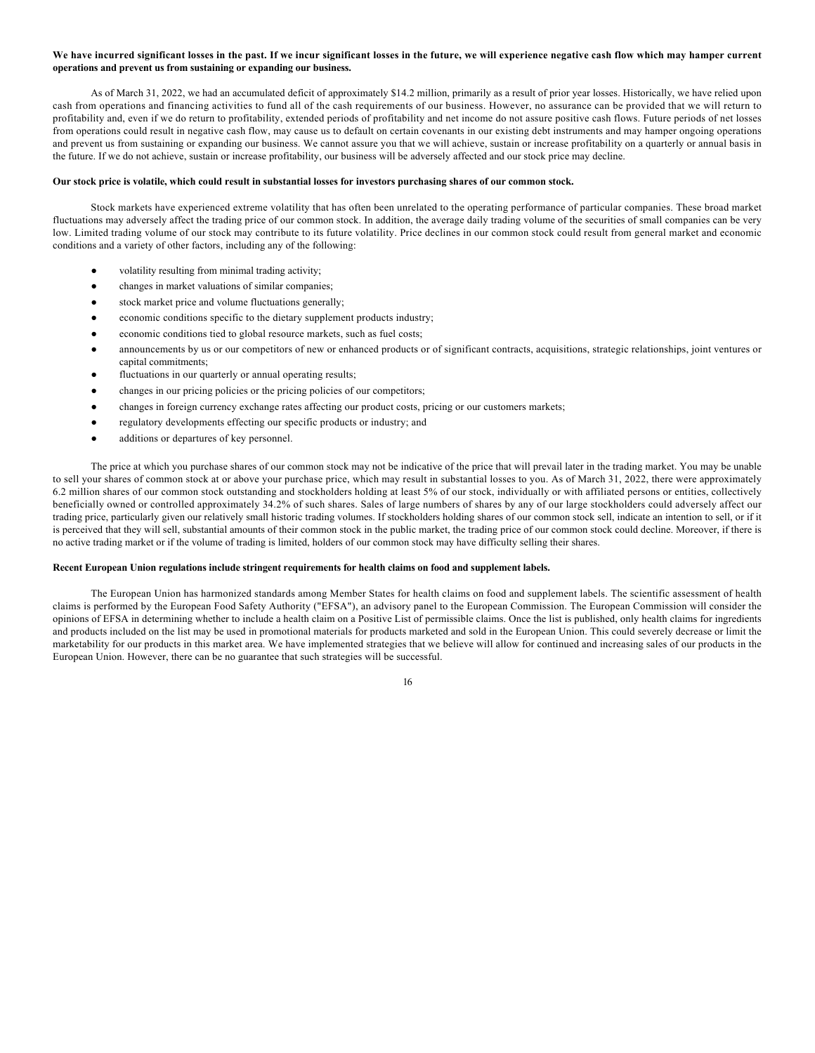#### **We have incurred significant losses in the past. If we incur significant losses in the future, we will experience negative cash flow which may hamper current operations and prevent us from sustaining or expanding our business.**

As of March 31, 2022, we had an accumulated deficit of approximately \$14.2 million, primarily as a result of prior year losses. Historically, we have relied upon cash from operations and financing activities to fund all of the cash requirements of our business. However, no assurance can be provided that we will return to profitability and, even if we do return to profitability, extended periods of profitability and net income do not assure positive cash flows. Future periods of net losses from operations could result in negative cash flow, may cause us to default on certain covenants in our existing debt instruments and may hamper ongoing operations and prevent us from sustaining or expanding our business. We cannot assure you that we will achieve, sustain or increase profitability on a quarterly or annual basis in the future. If we do not achieve, sustain or increase profitability, our business will be adversely affected and our stock price may decline.

#### **Our stock price is volatile, which could result in substantial losses for investors purchasing shares of our common stock.**

Stock markets have experienced extreme volatility that has often been unrelated to the operating performance of particular companies. These broad market fluctuations may adversely affect the trading price of our common stock. In addition, the average daily trading volume of the securities of small companies can be very low. Limited trading volume of our stock may contribute to its future volatility. Price declines in our common stock could result from general market and economic conditions and a variety of other factors, including any of the following:

- volatility resulting from minimal trading activity;
- changes in market valuations of similar companies;
- stock market price and volume fluctuations generally;
- economic conditions specific to the dietary supplement products industry;
- economic conditions tied to global resource markets, such as fuel costs;
- announcements by us or our competitors of new or enhanced products or of significant contracts, acquisitions, strategic relationships, joint ventures or capital commitments;
- fluctuations in our quarterly or annual operating results;
- changes in our pricing policies or the pricing policies of our competitors;
- changes in foreign currency exchange rates affecting our product costs, pricing or our customers markets;
- regulatory developments effecting our specific products or industry; and
- additions or departures of key personnel.

The price at which you purchase shares of our common stock may not be indicative of the price that will prevail later in the trading market. You may be unable to sell your shares of common stock at or above your purchase price, which may result in substantial losses to you. As of March 31, 2022, there were approximately 6.2 million shares of our common stock outstanding and stockholders holding at least 5% of our stock, individually or with affiliated persons or entities, collectively beneficially owned or controlled approximately 34.2% of such shares. Sales of large numbers of shares by any of our large stockholders could adversely affect our trading price, particularly given our relatively small historic trading volumes. If stockholders holding shares of our common stock sell, indicate an intention to sell, or if it is perceived that they will sell, substantial amounts of their common stock in the public market, the trading price of our common stock could decline. Moreover, if there is no active trading market or if the volume of trading is limited, holders of our common stock may have difficulty selling their shares.

#### **Recent European Union regulations include stringent requirements for health claims on food and supplement labels.**

The European Union has harmonized standards among Member States for health claims on food and supplement labels. The scientific assessment of health claims is performed by the European Food Safety Authority ("EFSA"), an advisory panel to the European Commission. The European Commission will consider the opinions of EFSA in determining whether to include a health claim on a Positive List of permissible claims. Once the list is published, only health claims for ingredients and products included on the list may be used in promotional materials for products marketed and sold in the European Union. This could severely decrease or limit the marketability for our products in this market area. We have implemented strategies that we believe will allow for continued and increasing sales of our products in the European Union. However, there can be no guarantee that such strategies will be successful.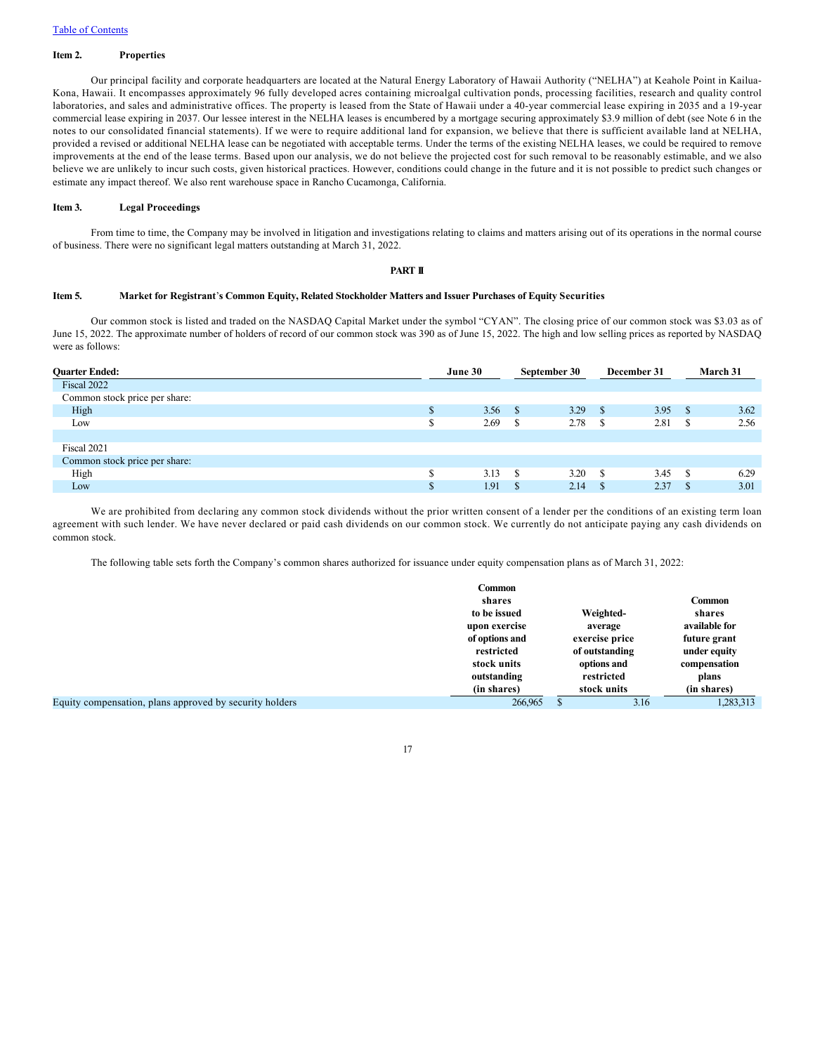#### <span id="page-16-0"></span>**Item 2. Properties**

Our principal facility and corporate headquarters are located at the Natural Energy Laboratory of Hawaii Authority ("NELHA") at Keahole Point in Kailua-Kona, Hawaii. It encompasses approximately 96 fully developed acres containing microalgal cultivation ponds, processing facilities, research and quality control laboratories, and sales and administrative offices. The property is leased from the State of Hawaii under a 40-year commercial lease expiring in 2035 and a 19-year commercial lease expiring in 2037. Our lessee interest in the NELHA leases is encumbered by a mortgage securing approximately \$3.9 million of debt (see Note 6 in the notes to our consolidated financial statements). If we were to require additional land for expansion, we believe that there is sufficient available land at NELHA, provided a revised or additional NELHA lease can be negotiated with acceptable terms. Under the terms of the existing NELHA leases, we could be required to remove improvements at the end of the lease terms. Based upon our analysis, we do not believe the projected cost for such removal to be reasonably estimable, and we also believe we are unlikely to incur such costs, given historical practices. However, conditions could change in the future and it is not possible to predict such changes or estimate any impact thereof. We also rent warehouse space in Rancho Cucamonga, California.

#### <span id="page-16-1"></span>**Item 3. Legal Proceedings**

From time to time, the Company may be involved in litigation and investigations relating to claims and matters arising out of its operations in the normal course of business. There were no significant legal matters outstanding at March 31, 2022.

#### **PART II**

#### <span id="page-16-2"></span>**Item 5. Market for Registrant**'**s Common Equity, Related Stockholder Matters and Issuer Purchases of Equity Securities**

Our common stock is listed and traded on the NASDAQ Capital Market under the symbol "CYAN". The closing price of our common stock was \$3.03 as of June 15, 2022. The approximate number of holders of record of our common stock was 390 as of June 15, 2022. The high and low selling prices as reported by NASDAQ were as follows:

| <b>Ouarter Ended:</b>         |                  | June 30 |     |      |               | September 30 |               | December 31 |  |  | March 31 |
|-------------------------------|------------------|---------|-----|------|---------------|--------------|---------------|-------------|--|--|----------|
| Fiscal 2022                   |                  |         |     |      |               |              |               |             |  |  |          |
| Common stock price per share: |                  |         |     |      |               |              |               |             |  |  |          |
| High                          | Эħ.              | 3.56    | - S | 3.29 | - S           | 3.95         | <sup>S</sup>  | 3.62        |  |  |          |
| Low                           |                  | 2.69    | S   | 2.78 | S             | 2.81         | S             | 2.56        |  |  |          |
|                               |                  |         |     |      |               |              |               |             |  |  |          |
| Fiscal 2021                   |                  |         |     |      |               |              |               |             |  |  |          |
| Common stock price per share: |                  |         |     |      |               |              |               |             |  |  |          |
| High                          |                  | 3.13    | -S  | 3.20 | <sup>\$</sup> | 3.45         | <sup>\$</sup> | 6.29        |  |  |          |
| Low                           | $\triangle$<br>ъ | 1.91    | S   | 2.14 |               | 2.37         |               | 3.01        |  |  |          |
|                               |                  |         |     |      |               |              |               |             |  |  |          |

We are prohibited from declaring any common stock dividends without the prior written consent of a lender per the conditions of an existing term loan agreement with such lender. We have never declared or paid cash dividends on our common stock. We currently do not anticipate paying any cash dividends on common stock.

The following table sets forth the Company's common shares authorized for issuance under equity compensation plans as of March 31, 2022:

|                                                         | Common         |                |                |               |
|---------------------------------------------------------|----------------|----------------|----------------|---------------|
|                                                         | shares         |                |                | Common        |
|                                                         | to be issued   |                | Weighted-      | shares        |
|                                                         | upon exercise  |                | average        | available for |
|                                                         | of options and | exercise price |                |               |
|                                                         | restricted     |                | of outstanding | under equity  |
|                                                         | stock units    |                | options and    | compensation  |
|                                                         | outstanding    |                | restricted     | plans         |
|                                                         | (in shares)    |                | stock units    | (in shares)   |
| Equity compensation, plans approved by security holders | 266,965        |                | 3.16           | 1,283,313     |

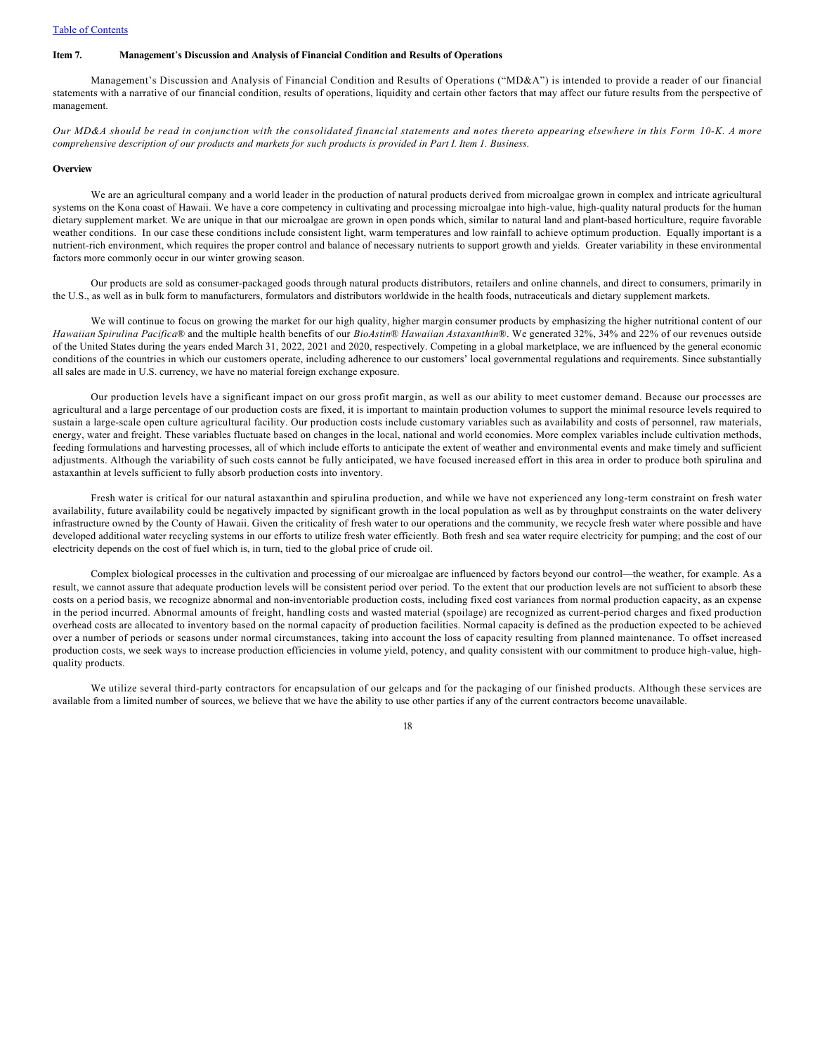#### [Table of Contents](#page-1-0)

#### <span id="page-17-0"></span>**Item 7. Management**'**s Discussion and Analysis of Financial Condition and Results of Operations**

Management's Discussion and Analysis of Financial Condition and Results of Operations ("MD&A") is intended to provide a reader of our financial statements with a narrative of our financial condition, results of operations, liquidity and certain other factors that may affect our future results from the perspective of management.

*Our MD&A should be read in conjunction with the consolidated financial statements and notes thereto appearing elsewhere in this Form 10-K. A more comprehensive description of our products and markets for such products is provided in Part I. Item 1. Business.*

#### **Overview**

We are an agricultural company and a world leader in the production of natural products derived from microalgae grown in complex and intricate agricultural systems on the Kona coast of Hawaii. We have a core competency in cultivating and processing microalgae into high-value, high-quality natural products for the human dietary supplement market. We are unique in that our microalgae are grown in open ponds which, similar to natural land and plant-based horticulture, require favorable weather conditions. In our case these conditions include consistent light, warm temperatures and low rainfall to achieve optimum production. Equally important is a nutrient-rich environment, which requires the proper control and balance of necessary nutrients to support growth and yields. Greater variability in these environmental factors more commonly occur in our winter growing season.

Our products are sold as consumer-packaged goods through natural products distributors, retailers and online channels, and direct to consumers, primarily in the U.S., as well as in bulk form to manufacturers, formulators and distributors worldwide in the health foods, nutraceuticals and dietary supplement markets.

We will continue to focus on growing the market for our high quality, higher margin consumer products by emphasizing the higher nutritional content of our *Hawaiian Spirulina Pacifica*® and the multiple health benefits of our *BioAstin*® *Hawaiian Astaxanthin*®. We generated 32%, 34% and 22% of our revenues outside of the United States during the years ended March 31, 2022, 2021 and 2020, respectively. Competing in a global marketplace, we are influenced by the general economic conditions of the countries in which our customers operate, including adherence to our customers' local governmental regulations and requirements. Since substantially all sales are made in U.S. currency, we have no material foreign exchange exposure.

Our production levels have a significant impact on our gross profit margin, as well as our ability to meet customer demand. Because our processes are agricultural and a large percentage of our production costs are fixed, it is important to maintain production volumes to support the minimal resource levels required to sustain a large-scale open culture agricultural facility. Our production costs include customary variables such as availability and costs of personnel, raw materials, energy, water and freight. These variables fluctuate based on changes in the local, national and world economies. More complex variables include cultivation methods, feeding formulations and harvesting processes, all of which include efforts to anticipate the extent of weather and environmental events and make timely and sufficient adjustments. Although the variability of such costs cannot be fully anticipated, we have focused increased effort in this area in order to produce both spirulina and astaxanthin at levels sufficient to fully absorb production costs into inventory.

Fresh water is critical for our natural astaxanthin and spirulina production, and while we have not experienced any long-term constraint on fresh water availability, future availability could be negatively impacted by significant growth in the local population as well as by throughput constraints on the water delivery infrastructure owned by the County of Hawaii. Given the criticality of fresh water to our operations and the community, we recycle fresh water where possible and have developed additional water recycling systems in our efforts to utilize fresh water efficiently. Both fresh and sea water require electricity for pumping; and the cost of our electricity depends on the cost of fuel which is, in turn, tied to the global price of crude oil.

Complex biological processes in the cultivation and processing of our microalgae are influenced by factors beyond our control—the weather, for example. As a result, we cannot assure that adequate production levels will be consistent period over period. To the extent that our production levels are not sufficient to absorb these costs on a period basis, we recognize abnormal and non-inventoriable production costs, including fixed cost variances from normal production capacity, as an expense in the period incurred. Abnormal amounts of freight, handling costs and wasted material (spoilage) are recognized as current-period charges and fixed production overhead costs are allocated to inventory based on the normal capacity of production facilities. Normal capacity is defined as the production expected to be achieved over a number of periods or seasons under normal circumstances, taking into account the loss of capacity resulting from planned maintenance. To offset increased production costs, we seek ways to increase production efficiencies in volume yield, potency, and quality consistent with our commitment to produce high-value, highquality products.

We utilize several third-party contractors for encapsulation of our gelcaps and for the packaging of our finished products. Although these services are available from a limited number of sources, we believe that we have the ability to use other parties if any of the current contractors become unavailable.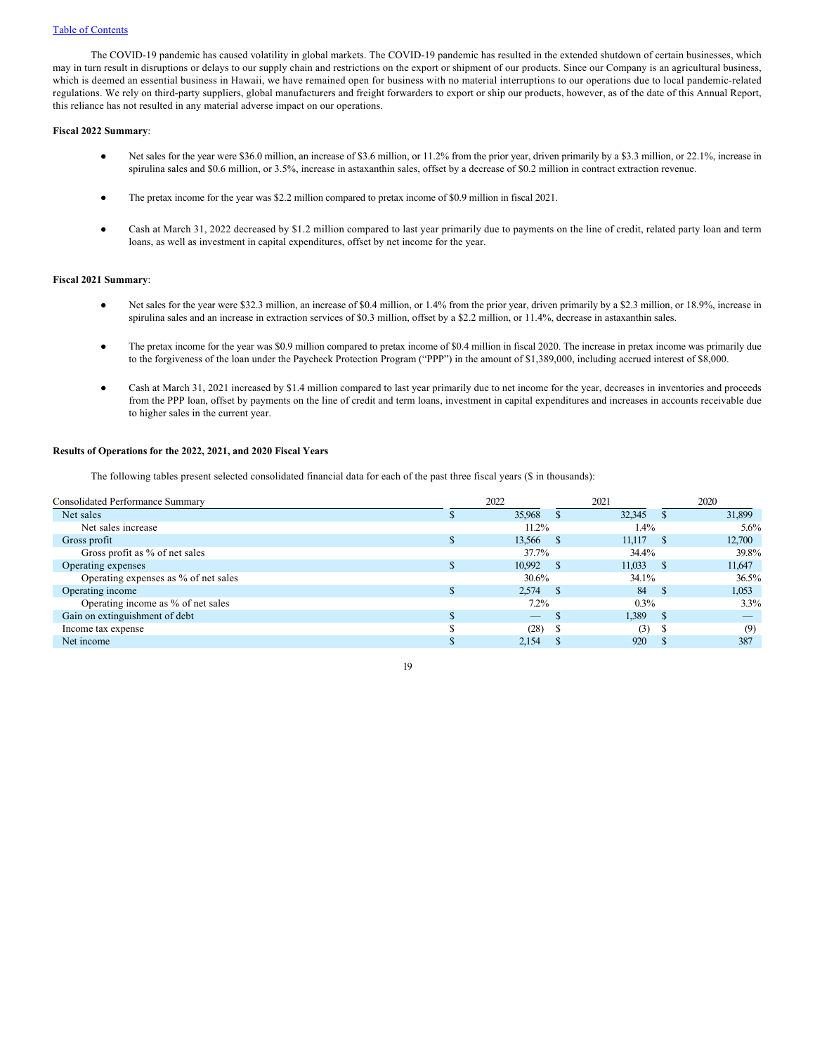The COVID-19 pandemic has caused volatility in global markets. The COVID-19 pandemic has resulted in the extended shutdown of certain businesses, which may in turn result in disruptions or delays to our supply chain and restrictions on the export or shipment of our products. Since our Company is an agricultural business, which is deemed an essential business in Hawaii, we have remained open for business with no material interruptions to our operations due to local pandemic-related regulations. We rely on third-party suppliers, global manufacturers and freight forwarders to export or ship our products, however, as of the date of this Annual Report, this reliance has not resulted in any material adverse impact on our operations.

#### **Fiscal 2022 Summary**:

- Net sales for the year were \$36.0 million, an increase of \$3.6 million, or 11.2% from the prior year, driven primarily by a \$3.3 million, or 22.1%, increase in spirulina sales and \$0.6 million, or 3.5%, increase in astaxanthin sales, offset by a decrease of \$0.2 million in contract extraction revenue.
- The pretax income for the year was \$2.2 million compared to pretax income of \$0.9 million in fiscal 2021.
- Cash at March 31, 2022 decreased by \$1.2 million compared to last year primarily due to payments on the line of credit, related party loan and term loans, as well as investment in capital expenditures, offset by net income for the year.

#### **Fiscal 2021 Summary**:

- Net sales for the year were \$32.3 million, an increase of \$0.4 million, or 1.4% from the prior year, driven primarily by a \$2.3 million, or 18.9%, increase in spirulina sales and an increase in extraction services of \$0.3 million, offset by a \$2.2 million, or 11.4%, decrease in astaxanthin sales.
- The pretax income for the year was \$0.9 million compared to pretax income of \$0.4 million in fiscal 2020. The increase in pretax income was primarily due to the forgiveness of the loan under the Paycheck Protection Program ("PPP") in the amount of \$1,389,000, including accrued interest of \$8,000.
- Cash at March 31, 2021 increased by \$1.4 million compared to last year primarily due to net income for the year, decreases in inventories and proceeds from the PPP loan, offset by payments on the line of credit and term loans, investment in capital expenditures and increases in accounts receivable due to higher sales in the current year.

#### **Results of Operations for the 2022, 2021, and 2020 Fiscal Years**

The following tables present selected consolidated financial data for each of the past three fiscal years (\$ in thousands):

| <b>Consolidated Performance Summary</b> | 2022   | 2021    |          | 2020    |
|-----------------------------------------|--------|---------|----------|---------|
| Net sales                               | 35,968 | 32,345  |          | 31,899  |
| Net sales increase                      | 11.2%  | 1.4%    |          | 5.6%    |
| Gross profit                            | 13,566 | 11.117  | <b>S</b> | 12,700  |
| Gross profit as % of net sales          | 37.7%  | 34.4%   |          | 39.8%   |
| Operating expenses                      | 10.992 | 11.033  |          | 11,647  |
| Operating expenses as % of net sales    | 30.6%  | 34.1%   |          | 36.5%   |
| Operating income                        | 2.574  | 84      | - \$     | 1,053   |
| Operating income as % of net sales      | 7.2%   | $0.3\%$ |          | $3.3\%$ |
| Gain on extinguishment of debt          |        | 1,389   | <b>S</b> |         |
| Income tax expense                      | (28)   | (3)     |          | (9)     |
| Net income                              | 2.154  | 920     |          | 387     |
|                                         |        |         |          |         |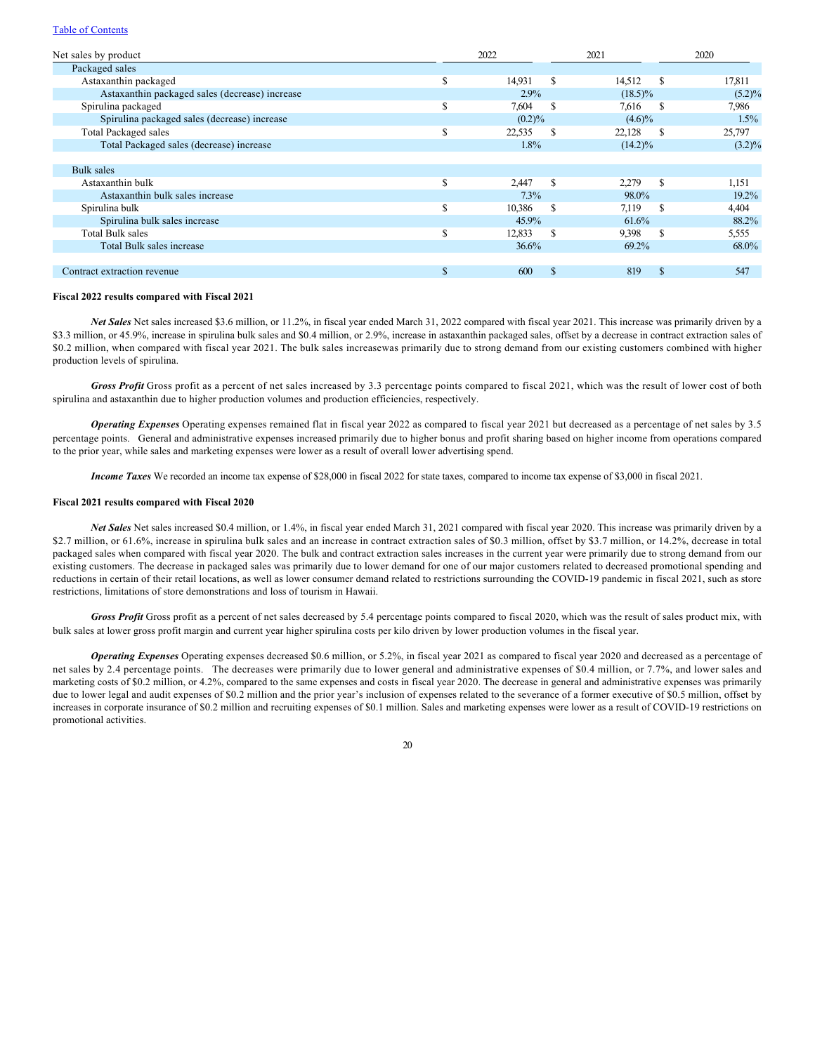#### [Table of Contents](#page-1-0)

| Net sales by product                           |        | 2022   |     | 2021       |               | 2020      |
|------------------------------------------------|--------|--------|-----|------------|---------------|-----------|
| Packaged sales                                 |        |        |     |            |               |           |
| Astaxanthin packaged                           | ъ      | 14,931 | S   | 14,512     | <sup>\$</sup> | 17,811    |
| Astaxanthin packaged sales (decrease) increase |        | 2.9%   |     | $(18.5)\%$ |               | $(5.2)\%$ |
| Spirulina packaged                             | ъ      | 7,604  | \$. | 7,616      | S.            | 7,986     |
| Spirulina packaged sales (decrease) increase   |        | (0.2)% |     | $(4.6)\%$  |               | 1.5%      |
| Total Packaged sales                           | ¢<br>ъ | 22,535 | S   | 22,128     | - \$          | 25,797    |
| Total Packaged sales (decrease) increase       |        | 1.8%   |     | $(14.2)\%$ |               | $(3.2)\%$ |
|                                                |        |        |     |            |               |           |
| Bulk sales                                     |        |        |     |            |               |           |
| Astaxanthin bulk                               | ъ      | 2,447  | S   | 2,279      | -S            | 1,151     |
| Astaxanthin bulk sales increase                |        | 7.3%   |     | 98.0%      |               | 19.2%     |
| Spirulina bulk                                 | ъ      | 10,386 | S   | 7,119      | <sup>\$</sup> | 4,404     |
| Spirulina bulk sales increase                  |        | 45.9%  |     | 61.6%      |               | 88.2%     |
| <b>Total Bulk sales</b>                        | ъ      | 12,833 | \$. | 9,398      | -8            | 5,555     |
| Total Bulk sales increase                      |        | 36.6%  |     | 69.2%      |               | 68.0%     |
|                                                |        |        |     |            |               |           |
| Contract extraction revenue                    | ъ      | 600    | S   | 819        | <sup>\$</sup> | 547       |

#### **Fiscal 2022 results compared with Fiscal 2021**

*Net Sales* Net sales increased \$3.6 million, or 11.2%, in fiscal year ended March 31, 2022 compared with fiscal year 2021. This increase was primarily driven by a \$3.3 million, or 45.9%, increase in spirulina bulk sales and \$0.4 million, or 2.9%, increase in astaxanthin packaged sales, offset by a decrease in contract extraction sales of \$0.2 million, when compared with fiscal year 2021. The bulk sales increasewas primarily due to strong demand from our existing customers combined with higher production levels of spirulina.

*Gross Profit* Gross profit as a percent of net sales increased by 3.3 percentage points compared to fiscal 2021, which was the result of lower cost of both spirulina and astaxanthin due to higher production volumes and production efficiencies, respectively.

*Operating Expenses* Operating expenses remained flat in fiscal year 2022 as compared to fiscal year 2021 but decreased as a percentage of net sales by 3.5 percentage points. General and administrative expenses increased primarily due to higher bonus and profit sharing based on higher income from operations compared to the prior year, while sales and marketing expenses were lower as a result of overall lower advertising spend.

*Income Taxes* We recorded an income tax expense of \$28,000 in fiscal 2022 for state taxes, compared to income tax expense of \$3,000 in fiscal 2021.

#### **Fiscal 2021 results compared with Fiscal 2020**

*Net Sales* Net sales increased \$0.4 million, or 1.4%, in fiscal year ended March 31, 2021 compared with fiscal year 2020. This increase was primarily driven by a \$2.7 million, or 61.6%, increase in spirulina bulk sales and an increase in contract extraction sales of \$0.3 million, offset by \$3.7 million, or 14.2%, decrease in total packaged sales when compared with fiscal year 2020. The bulk and contract extraction sales increases in the current year were primarily due to strong demand from our existing customers. The decrease in packaged sales was primarily due to lower demand for one of our major customers related to decreased promotional spending and reductions in certain of their retail locations, as well as lower consumer demand related to restrictions surrounding the COVID-19 pandemic in fiscal 2021, such as store restrictions, limitations of store demonstrations and loss of tourism in Hawaii.

*Gross Profit* Gross profit as a percent of net sales decreased by 5.4 percentage points compared to fiscal 2020, which was the result of sales product mix, with bulk sales at lower gross profit margin and current year higher spirulina costs per kilo driven by lower production volumes in the fiscal year.

*Operating Expenses* Operating expenses decreased \$0.6 million, or 5.2%, in fiscal year 2021 as compared to fiscal year 2020 and decreased as a percentage of net sales by 2.4 percentage points. The decreases were primarily due to lower general and administrative expenses of \$0.4 million, or 7.7%, and lower sales and marketing costs of \$0.2 million, or 4.2%, compared to the same expenses and costs in fiscal year 2020. The decrease in general and administrative expenses was primarily due to lower legal and audit expenses of \$0.2 million and the prior year's inclusion of expenses related to the severance of a former executive of \$0.5 million, offset by increases in corporate insurance of \$0.2 million and recruiting expenses of \$0.1 million. Sales and marketing expenses were lower as a result of COVID-19 restrictions on promotional activities.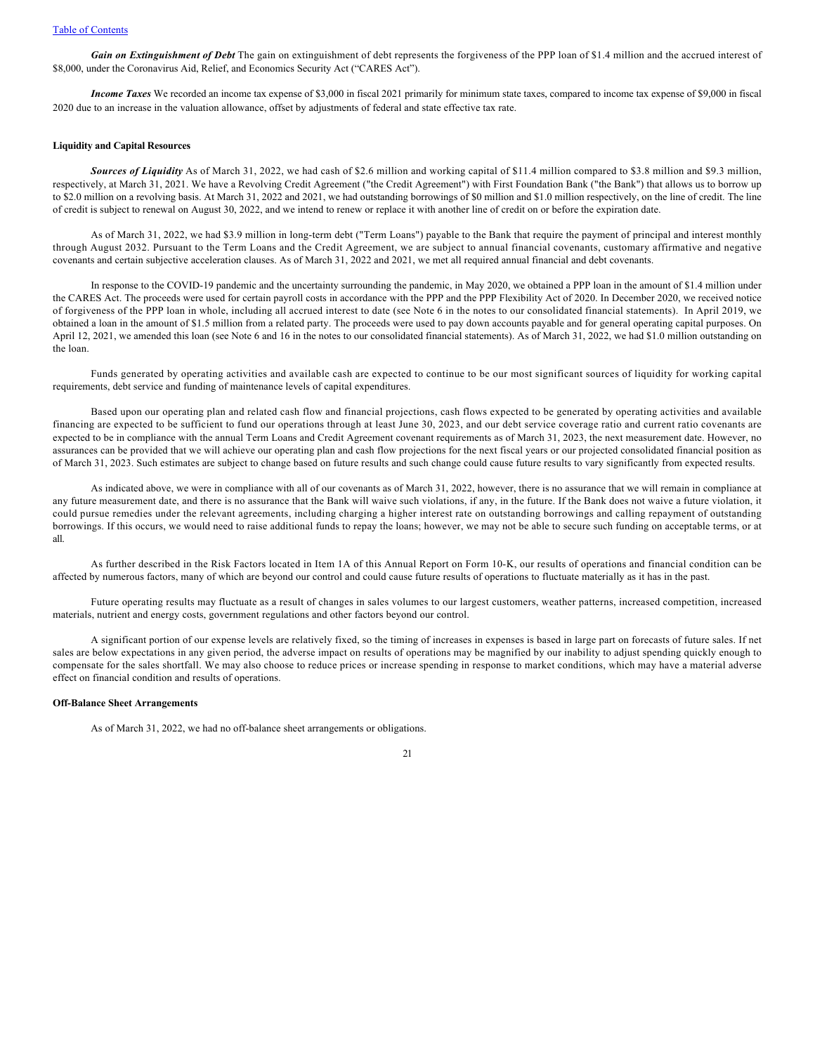*Gain on Extinguishment of Debt* The gain on extinguishment of debt represents the forgiveness of the PPP loan of \$1.4 million and the accrued interest of \$8,000, under the Coronavirus Aid, Relief, and Economics Security Act ("CARES Act").

*Income Taxes* We recorded an income tax expense of \$3,000 in fiscal 2021 primarily for minimum state taxes, compared to income tax expense of \$9,000 in fiscal 2020 due to an increase in the valuation allowance, offset by adjustments of federal and state effective tax rate.

#### **Liquidity and Capital Resources**

*Sources of Liquidity* As of March 31, 2022, we had cash of \$2.6 million and working capital of \$11.4 million compared to \$3.8 million and \$9.3 million, respectively, at March 31, 2021. We have a Revolving Credit Agreement ("the Credit Agreement") with First Foundation Bank ("the Bank") that allows us to borrow up to \$2.0 million on a revolving basis. At March 31, 2022 and 2021, we had outstanding borrowings of \$0 million and \$1.0 million respectively, on the line of credit. The line of credit is subject to renewal on August 30, 2022, and we intend to renew or replace it with another line of credit on or before the expiration date.

As of March 31, 2022, we had \$3.9 million in long-term debt ("Term Loans") payable to the Bank that require the payment of principal and interest monthly through August 2032. Pursuant to the Term Loans and the Credit Agreement, we are subject to annual financial covenants, customary affirmative and negative covenants and certain subjective acceleration clauses. As of March 31, 2022 and 2021, we met all required annual financial and debt covenants.

In response to the COVID-19 pandemic and the uncertainty surrounding the pandemic, in May 2020, we obtained a PPP loan in the amount of \$1.4 million under the CARES Act. The proceeds were used for certain payroll costs in accordance with the PPP and the PPP Flexibility Act of 2020. In December 2020, we received notice of forgiveness of the PPP loan in whole, including all accrued interest to date (see Note 6 in the notes to our consolidated financial statements). In April 2019, we obtained a loan in the amount of \$1.5 million from a related party. The proceeds were used to pay down accounts payable and for general operating capital purposes. On April 12, 2021, we amended this loan (see Note 6 and 16 in the notes to our consolidated financial statements). As of March 31, 2022, we had \$1.0 million outstanding on the loan.

Funds generated by operating activities and available cash are expected to continue to be our most significant sources of liquidity for working capital requirements, debt service and funding of maintenance levels of capital expenditures.

Based upon our operating plan and related cash flow and financial projections, cash flows expected to be generated by operating activities and available financing are expected to be sufficient to fund our operations through at least June 30, 2023, and our debt service coverage ratio and current ratio covenants are expected to be in compliance with the annual Term Loans and Credit Agreement covenant requirements as of March 31, 2023, the next measurement date. However, no assurances can be provided that we will achieve our operating plan and cash flow projections for the next fiscal years or our projected consolidated financial position as of March 31, 2023. Such estimates are subject to change based on future results and such change could cause future results to vary significantly from expected results.

As indicated above, we were in compliance with all of our covenants as of March 31, 2022, however, there is no assurance that we will remain in compliance at any future measurement date, and there is no assurance that the Bank will waive such violations, if any, in the future. If the Bank does not waive a future violation, it could pursue remedies under the relevant agreements, including charging a higher interest rate on outstanding borrowings and calling repayment of outstanding borrowings. If this occurs, we would need to raise additional funds to repay the loans; however, we may not be able to secure such funding on acceptable terms, or at all.

As further described in the Risk Factors located in Item 1A of this Annual Report on Form 10-K, our results of operations and financial condition can be affected by numerous factors, many of which are beyond our control and could cause future results of operations to fluctuate materially as it has in the past.

Future operating results may fluctuate as a result of changes in sales volumes to our largest customers, weather patterns, increased competition, increased materials, nutrient and energy costs, government regulations and other factors beyond our control.

A significant portion of our expense levels are relatively fixed, so the timing of increases in expenses is based in large part on forecasts of future sales. If net sales are below expectations in any given period, the adverse impact on results of operations may be magnified by our inability to adjust spending quickly enough to compensate for the sales shortfall. We may also choose to reduce prices or increase spending in response to market conditions, which may have a material adverse effect on financial condition and results of operations.

#### **Off-Balance Sheet Arrangements**

As of March 31, 2022, we had no off-balance sheet arrangements or obligations.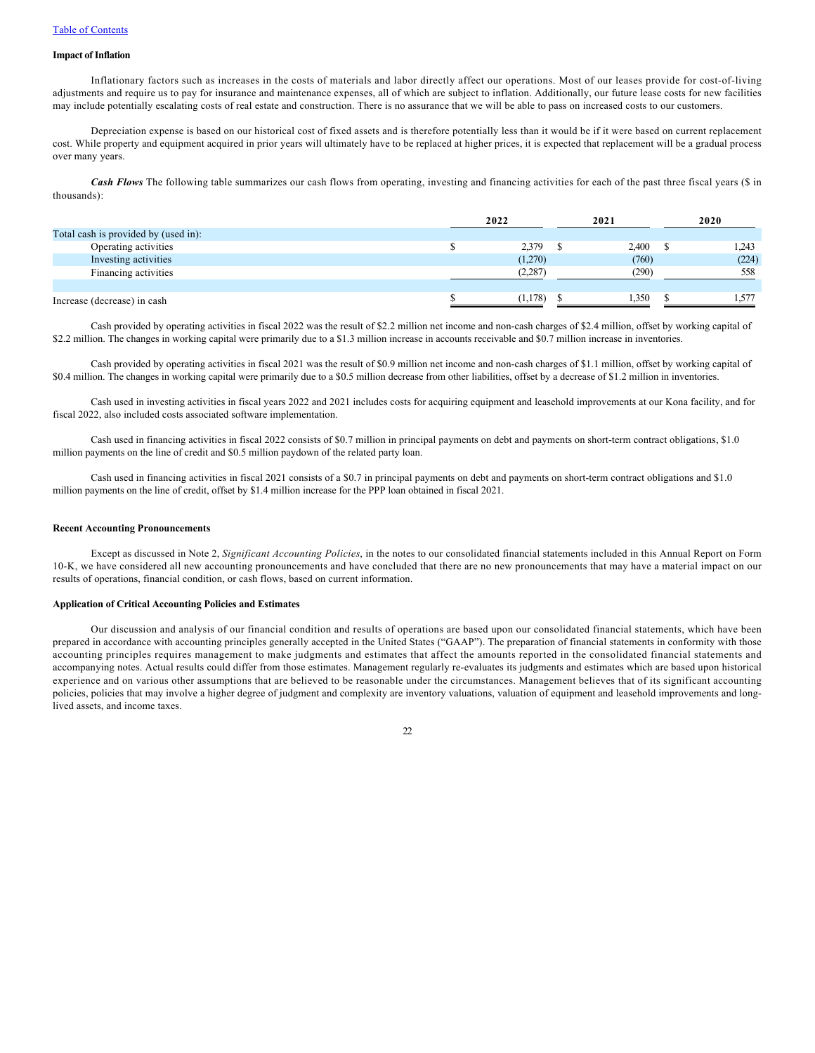#### **Impact of Inflation**

Inflationary factors such as increases in the costs of materials and labor directly affect our operations. Most of our leases provide for cost-of-living adjustments and require us to pay for insurance and maintenance expenses, all of which are subject to inflation. Additionally, our future lease costs for new facilities may include potentially escalating costs of real estate and construction. There is no assurance that we will be able to pass on increased costs to our customers.

Depreciation expense is based on our historical cost of fixed assets and is therefore potentially less than it would be if it were based on current replacement cost. While property and equipment acquired in prior years will ultimately have to be replaced at higher prices, it is expected that replacement will be a gradual process over many years.

*Cash Flows* The following table summarizes our cash flows from operating, investing and financing activities for each of the past three fiscal years (\$ in thousands):

|                                      | 2022    | 2021  | 2020  |
|--------------------------------------|---------|-------|-------|
| Total cash is provided by (used in): |         |       |       |
| Operating activities                 | 2,379   | 2,400 | 1,243 |
| Investing activities                 | (1,270) | (760) | (224) |
| Financing activities                 | (2,287) | (290) | 558   |
|                                      |         |       |       |
| Increase (decrease) in cash          | (1,178) | 1,350 | 1,577 |

Cash provided by operating activities in fiscal 2022 was the result of \$2.2 million net income and non-cash charges of \$2.4 million, offset by working capital of \$2.2 million. The changes in working capital were primarily due to a \$1.3 million increase in accounts receivable and \$0.7 million increase in inventories.

Cash provided by operating activities in fiscal 2021 was the result of \$0.9 million net income and non-cash charges of \$1.1 million, offset by working capital of \$0.4 million. The changes in working capital were primarily due to a \$0.5 million decrease from other liabilities, offset by a decrease of \$1.2 million in inventories.

Cash used in investing activities in fiscal years 2022 and 2021 includes costs for acquiring equipment and leasehold improvements at our Kona facility, and for fiscal 2022, also included costs associated software implementation.

Cash used in financing activities in fiscal 2022 consists of \$0.7 million in principal payments on debt and payments on short-term contract obligations, \$1.0 million payments on the line of credit and \$0.5 million paydown of the related party loan.

Cash used in financing activities in fiscal 2021 consists of a \$0.7 in principal payments on debt and payments on short-term contract obligations and \$1.0 million payments on the line of credit, offset by \$1.4 million increase for the PPP loan obtained in fiscal 2021.

#### **Recent Accounting Pronouncements**

Except as discussed in Note 2, *Significant Accounting Policies*, in the notes to our consolidated financial statements included in this Annual Report on Form 10-K, we have considered all new accounting pronouncements and have concluded that there are no new pronouncements that may have a material impact on our results of operations, financial condition, or cash flows, based on current information.

#### **Application of Critical Accounting Policies and Estimates**

Our discussion and analysis of our financial condition and results of operations are based upon our consolidated financial statements, which have been prepared in accordance with accounting principles generally accepted in the United States ("GAAP"). The preparation of financial statements in conformity with those accounting principles requires management to make judgments and estimates that affect the amounts reported in the consolidated financial statements and accompanying notes. Actual results could differ from those estimates. Management regularly re-evaluates its judgments and estimates which are based upon historical experience and on various other assumptions that are believed to be reasonable under the circumstances. Management believes that of its significant accounting policies, policies that may involve a higher degree of judgment and complexity are inventory valuations, valuation of equipment and leasehold improvements and longlived assets, and income taxes.

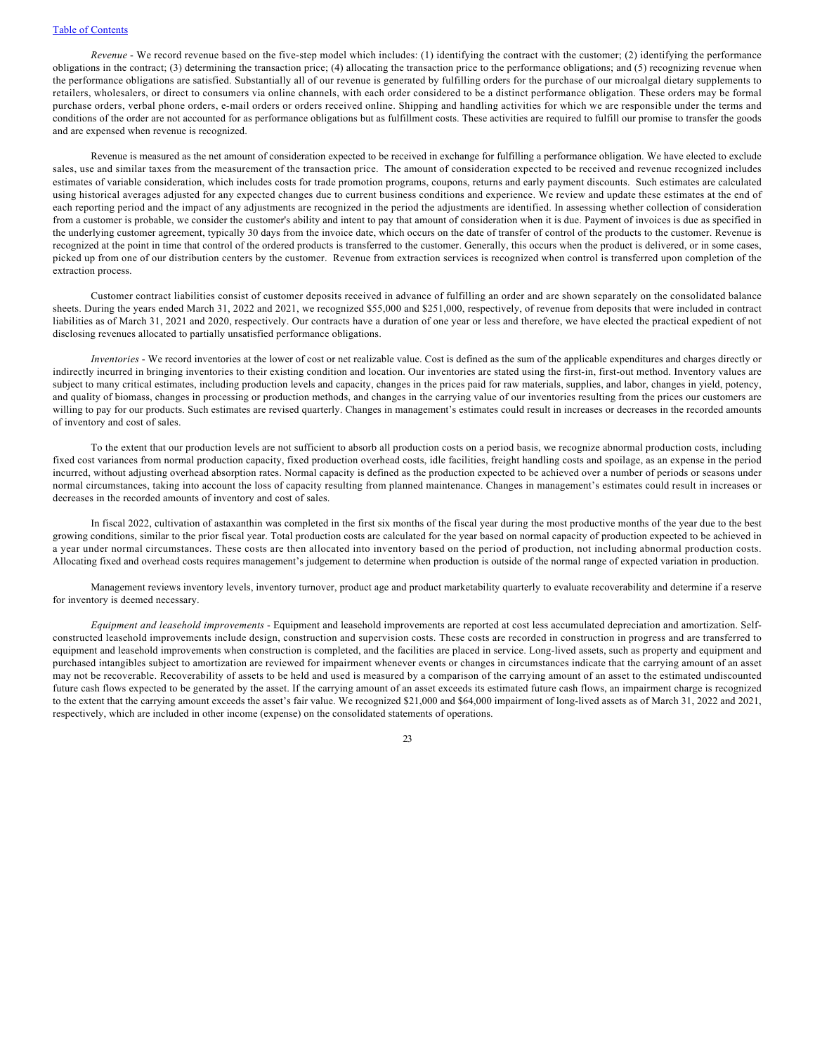*Revenue* - We record revenue based on the five-step model which includes: (1) identifying the contract with the customer; (2) identifying the performance obligations in the contract; (3) determining the transaction price; (4) allocating the transaction price to the performance obligations; and (5) recognizing revenue when the performance obligations are satisfied. Substantially all of our revenue is generated by fulfilling orders for the purchase of our microalgal dietary supplements to retailers, wholesalers, or direct to consumers via online channels, with each order considered to be a distinct performance obligation. These orders may be formal purchase orders, verbal phone orders, e-mail orders or orders received online. Shipping and handling activities for which we are responsible under the terms and conditions of the order are not accounted for as performance obligations but as fulfillment costs. These activities are required to fulfill our promise to transfer the goods and are expensed when revenue is recognized.

Revenue is measured as the net amount of consideration expected to be received in exchange for fulfilling a performance obligation. We have elected to exclude sales, use and similar taxes from the measurement of the transaction price. The amount of consideration expected to be received and revenue recognized includes estimates of variable consideration, which includes costs for trade promotion programs, coupons, returns and early payment discounts. Such estimates are calculated using historical averages adjusted for any expected changes due to current business conditions and experience. We review and update these estimates at the end of each reporting period and the impact of any adjustments are recognized in the period the adjustments are identified. In assessing whether collection of consideration from a customer is probable, we consider the customer's ability and intent to pay that amount of consideration when it is due. Payment of invoices is due as specified in the underlying customer agreement, typically 30 days from the invoice date, which occurs on the date of transfer of control of the products to the customer. Revenue is recognized at the point in time that control of the ordered products is transferred to the customer. Generally, this occurs when the product is delivered, or in some cases, picked up from one of our distribution centers by the customer. Revenue from extraction services is recognized when control is transferred upon completion of the extraction process.

Customer contract liabilities consist of customer deposits received in advance of fulfilling an order and are shown separately on the consolidated balance sheets. During the years ended March 31, 2022 and 2021, we recognized \$55,000 and \$251,000, respectively, of revenue from deposits that were included in contract liabilities as of March 31, 2021 and 2020, respectively. Our contracts have a duration of one year or less and therefore, we have elected the practical expedient of not disclosing revenues allocated to partially unsatisfied performance obligations.

*Inventories* - We record inventories at the lower of cost or net realizable value. Cost is defined as the sum of the applicable expenditures and charges directly or indirectly incurred in bringing inventories to their existing condition and location. Our inventories are stated using the first-in, first-out method. Inventory values are subject to many critical estimates, including production levels and capacity, changes in the prices paid for raw materials, supplies, and labor, changes in yield, potency, and quality of biomass, changes in processing or production methods, and changes in the carrying value of our inventories resulting from the prices our customers are willing to pay for our products. Such estimates are revised quarterly. Changes in management's estimates could result in increases or decreases in the recorded amounts of inventory and cost of sales.

To the extent that our production levels are not sufficient to absorb all production costs on a period basis, we recognize abnormal production costs, including fixed cost variances from normal production capacity, fixed production overhead costs, idle facilities, freight handling costs and spoilage, as an expense in the period incurred, without adjusting overhead absorption rates. Normal capacity is defined as the production expected to be achieved over a number of periods or seasons under normal circumstances, taking into account the loss of capacity resulting from planned maintenance. Changes in management's estimates could result in increases or decreases in the recorded amounts of inventory and cost of sales.

In fiscal 2022, cultivation of astaxanthin was completed in the first six months of the fiscal year during the most productive months of the year due to the best growing conditions, similar to the prior fiscal year. Total production costs are calculated for the year based on normal capacity of production expected to be achieved in a year under normal circumstances. These costs are then allocated into inventory based on the period of production, not including abnormal production costs. Allocating fixed and overhead costs requires management's judgement to determine when production is outside of the normal range of expected variation in production.

Management reviews inventory levels, inventory turnover, product age and product marketability quarterly to evaluate recoverability and determine if a reserve for inventory is deemed necessary.

*Equipment and leasehold improvements* - Equipment and leasehold improvements are reported at cost less accumulated depreciation and amortization. Selfconstructed leasehold improvements include design, construction and supervision costs. These costs are recorded in construction in progress and are transferred to equipment and leasehold improvements when construction is completed, and the facilities are placed in service. Long-lived assets, such as property and equipment and purchased intangibles subject to amortization are reviewed for impairment whenever events or changes in circumstances indicate that the carrying amount of an asset may not be recoverable. Recoverability of assets to be held and used is measured by a comparison of the carrying amount of an asset to the estimated undiscounted future cash flows expected to be generated by the asset. If the carrying amount of an asset exceeds its estimated future cash flows, an impairment charge is recognized to the extent that the carrying amount exceeds the asset's fair value. We recognized \$21,000 and \$64,000 impairment of long-lived assets as of March 31, 2022 and 2021, respectively, which are included in other income (expense) on the consolidated statements of operations.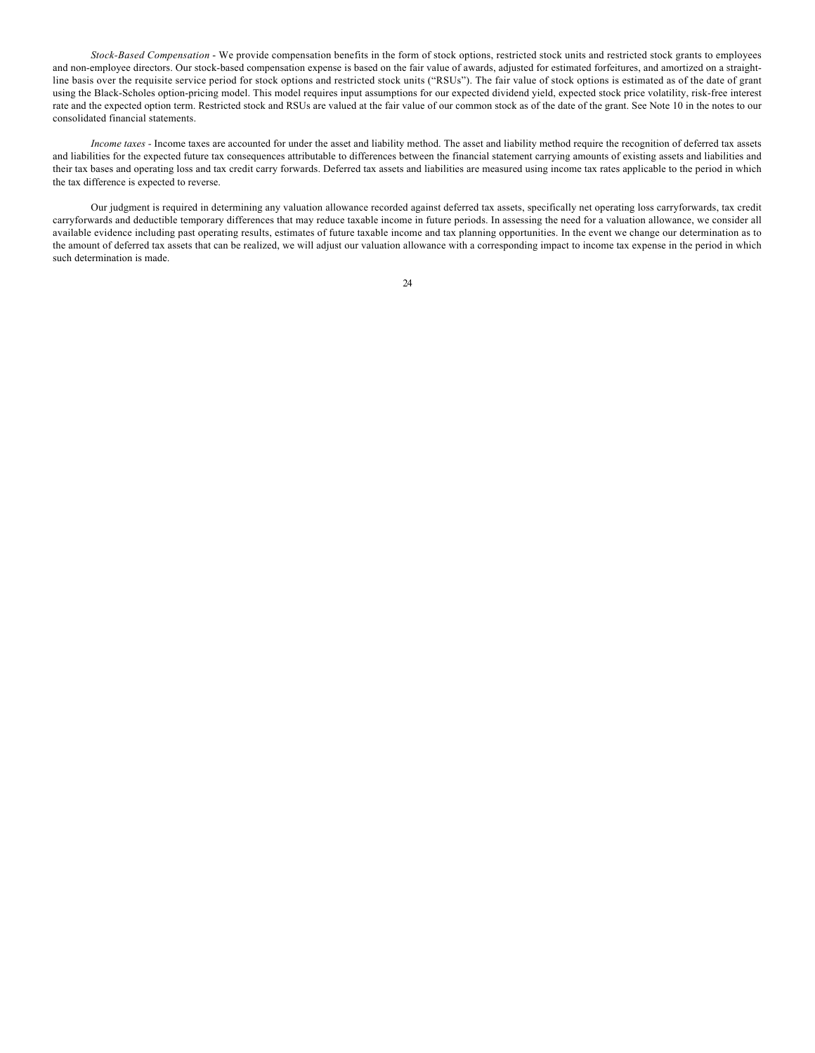*Stock-Based Compensation* - We provide compensation benefits in the form of stock options, restricted stock units and restricted stock grants to employees and non-employee directors. Our stock-based compensation expense is based on the fair value of awards, adjusted for estimated forfeitures, and amortized on a straightline basis over the requisite service period for stock options and restricted stock units ("RSUs"). The fair value of stock options is estimated as of the date of grant using the Black-Scholes option-pricing model. This model requires input assumptions for our expected dividend yield, expected stock price volatility, risk-free interest rate and the expected option term. Restricted stock and RSUs are valued at the fair value of our common stock as of the date of the grant. See Note 10 in the notes to our consolidated financial statements.

*Income taxes* - Income taxes are accounted for under the asset and liability method. The asset and liability method require the recognition of deferred tax assets and liabilities for the expected future tax consequences attributable to differences between the financial statement carrying amounts of existing assets and liabilities and their tax bases and operating loss and tax credit carry forwards. Deferred tax assets and liabilities are measured using income tax rates applicable to the period in which the tax difference is expected to reverse.

Our judgment is required in determining any valuation allowance recorded against deferred tax assets, specifically net operating loss carryforwards, tax credit carryforwards and deductible temporary differences that may reduce taxable income in future periods. In assessing the need for a valuation allowance, we consider all available evidence including past operating results, estimates of future taxable income and tax planning opportunities. In the event we change our determination as to the amount of deferred tax assets that can be realized, we will adjust our valuation allowance with a corresponding impact to income tax expense in the period in which such determination is made.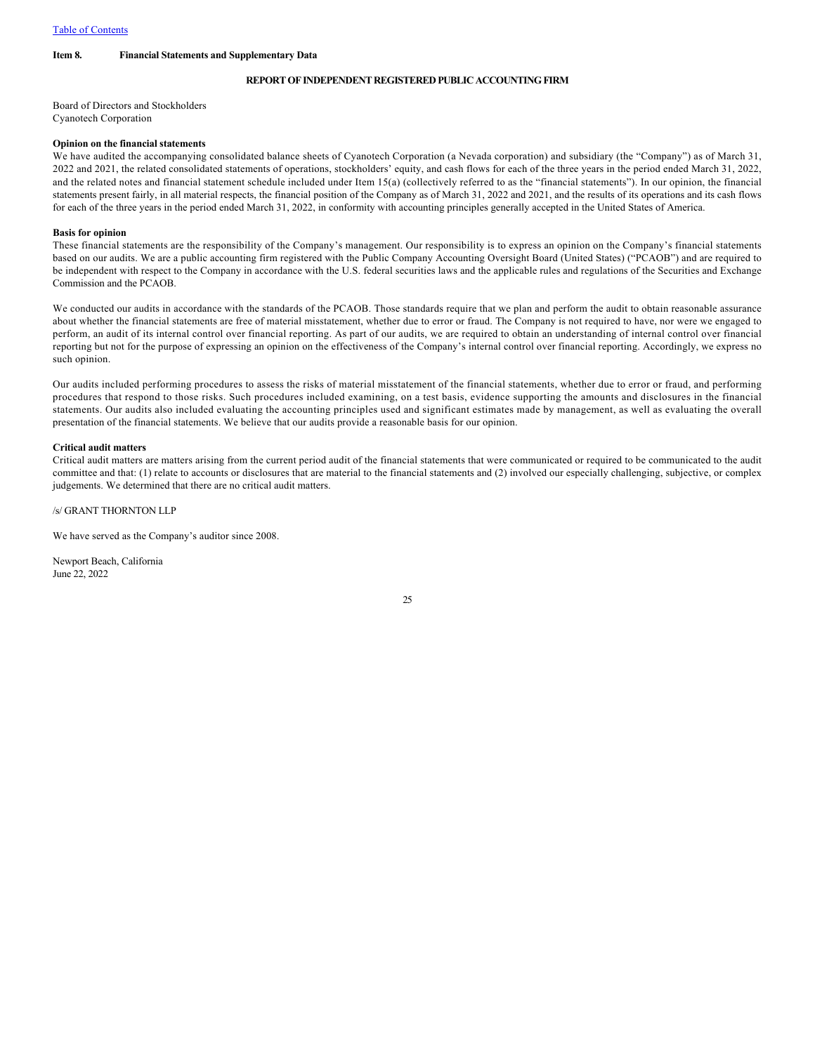#### <span id="page-24-0"></span>**Item 8. Financial Statements and Supplementary Data**

#### <span id="page-24-1"></span>**REPORT OF INDEPENDENT REGISTERED PUBLIC ACCOUNTING FIRM**

Board of Directors and Stockholders Cyanotech Corporation

#### **Opinion on the financial statements**

We have audited the accompanying consolidated balance sheets of Cyanotech Corporation (a Nevada corporation) and subsidiary (the "Company") as of March 31, 2022 and 2021, the related consolidated statements of operations, stockholders' equity, and cash flows for each of the three years in the period ended March 31, 2022, and the related notes and financial statement schedule included under Item 15(a) (collectively referred to as the "financial statements"). In our opinion, the financial statements present fairly, in all material respects, the financial position of the Company as of March 31, 2022 and 2021, and the results of its operations and its cash flows for each of the three years in the period ended March 31, 2022, in conformity with accounting principles generally accepted in the United States of America.

#### **Basis for opinion**

These financial statements are the responsibility of the Company's management. Our responsibility is to express an opinion on the Company's financial statements based on our audits. We are a public accounting firm registered with the Public Company Accounting Oversight Board (United States) ("PCAOB") and are required to be independent with respect to the Company in accordance with the U.S. federal securities laws and the applicable rules and regulations of the Securities and Exchange Commission and the PCAOB.

We conducted our audits in accordance with the standards of the PCAOB. Those standards require that we plan and perform the audit to obtain reasonable assurance about whether the financial statements are free of material misstatement, whether due to error or fraud. The Company is not required to have, nor were we engaged to perform, an audit of its internal control over financial reporting. As part of our audits, we are required to obtain an understanding of internal control over financial reporting but not for the purpose of expressing an opinion on the effectiveness of the Company's internal control over financial reporting. Accordingly, we express no such opinion.

Our audits included performing procedures to assess the risks of material misstatement of the financial statements, whether due to error or fraud, and performing procedures that respond to those risks. Such procedures included examining, on a test basis, evidence supporting the amounts and disclosures in the financial statements. Our audits also included evaluating the accounting principles used and significant estimates made by management, as well as evaluating the overall presentation of the financial statements. We believe that our audits provide a reasonable basis for our opinion.

#### **Critical audit matters**

Critical audit matters are matters arising from the current period audit of the financial statements that were communicated or required to be communicated to the audit committee and that: (1) relate to accounts or disclosures that are material to the financial statements and (2) involved our especially challenging, subjective, or complex judgements. We determined that there are no critical audit matters.

#### /s/ GRANT THORNTON LLP

We have served as the Company's auditor since 2008.

Newport Beach, California June 22, 2022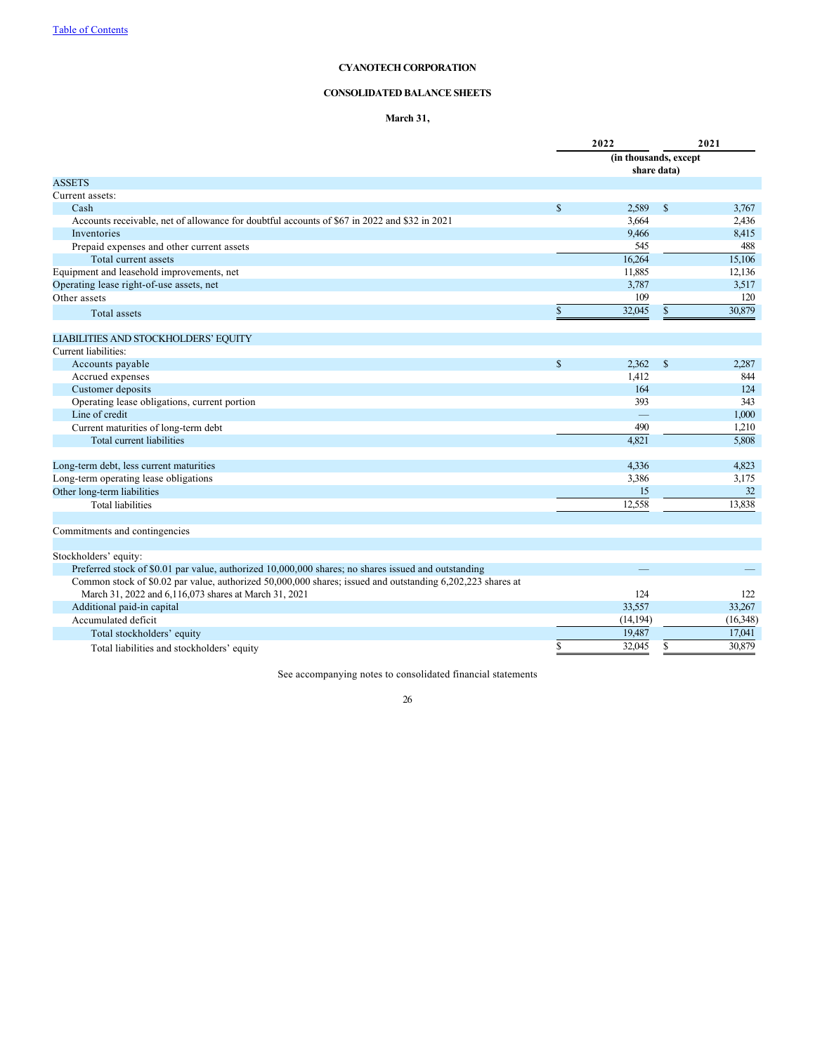# <span id="page-25-0"></span>**CONSOLIDATED BALANCE SHEETS**

# **March 31,**

| (in thousands, except<br>share data)<br><b>ASSETS</b><br>Current assets:<br><sup>\$</sup><br>Cash<br>2,589<br>$\mathbb{S}$<br>3,767<br>Accounts receivable, net of allowance for doubtful accounts of \$67 in 2022 and \$32 in 2021<br>3,664<br>2,436<br>9,466<br>Inventories<br>8,415<br>488<br>545<br>Prepaid expenses and other current assets<br>15,106<br>Total current assets<br>16,264<br>Equipment and leasehold improvements, net<br>11,885<br>12,136<br>Operating lease right-of-use assets, net<br>3,787<br>3,517<br>109<br>120<br>Other assets<br>$\mathbb{S}$<br>32,045<br>$\mathbf{s}$<br>30.879<br>Total assets<br>LIABILITIES AND STOCKHOLDERS' EQUITY<br>Current liabilities:<br><sup>\$</sup><br>Accounts payable<br>2.362<br>$\mathbb{S}$<br>2,287<br>Accrued expenses<br>1.412<br>844<br>Customer deposits<br>164<br>124<br>Operating lease obligations, current portion<br>393<br>343<br>Line of credit<br>1,000<br>Current maturities of long-term debt<br>490<br>1,210<br>Total current liabilities<br>4.821<br>5,808<br>Long-term debt, less current maturities<br>4.336<br>4,823<br>Long-term operating lease obligations<br>3,386<br>3,175<br>15<br>32<br>Other long-term liabilities<br>12,558<br>13,838<br><b>Total liabilities</b><br>Commitments and contingencies<br>Stockholders' equity:<br>Preferred stock of \$0.01 par value, authorized 10,000,000 shares; no shares issued and outstanding<br>Common stock of \$0.02 par value, authorized 50,000,000 shares; issued and outstanding 6,202,223 shares at<br>March 31, 2022 and 6,116,073 shares at March 31, 2021<br>124<br>122<br>Additional paid-in capital<br>33,557<br>33,267<br>Accumulated deficit<br>(14, 194)<br>(16,348)<br>19,487<br>17,041<br>Total stockholders' equity<br>\$<br>32,045<br>30,879<br>Total liabilities and stockholders' equity | 2022 |  |  | 2021 |
|---------------------------------------------------------------------------------------------------------------------------------------------------------------------------------------------------------------------------------------------------------------------------------------------------------------------------------------------------------------------------------------------------------------------------------------------------------------------------------------------------------------------------------------------------------------------------------------------------------------------------------------------------------------------------------------------------------------------------------------------------------------------------------------------------------------------------------------------------------------------------------------------------------------------------------------------------------------------------------------------------------------------------------------------------------------------------------------------------------------------------------------------------------------------------------------------------------------------------------------------------------------------------------------------------------------------------------------------------------------------------------------------------------------------------------------------------------------------------------------------------------------------------------------------------------------------------------------------------------------------------------------------------------------------------------------------------------------------------------------------------------------------------------------------------------------------------------------------------|------|--|--|------|
|                                                                                                                                                                                                                                                                                                                                                                                                                                                                                                                                                                                                                                                                                                                                                                                                                                                                                                                                                                                                                                                                                                                                                                                                                                                                                                                                                                                                                                                                                                                                                                                                                                                                                                                                                                                                                                                   |      |  |  |      |
|                                                                                                                                                                                                                                                                                                                                                                                                                                                                                                                                                                                                                                                                                                                                                                                                                                                                                                                                                                                                                                                                                                                                                                                                                                                                                                                                                                                                                                                                                                                                                                                                                                                                                                                                                                                                                                                   |      |  |  |      |
|                                                                                                                                                                                                                                                                                                                                                                                                                                                                                                                                                                                                                                                                                                                                                                                                                                                                                                                                                                                                                                                                                                                                                                                                                                                                                                                                                                                                                                                                                                                                                                                                                                                                                                                                                                                                                                                   |      |  |  |      |
|                                                                                                                                                                                                                                                                                                                                                                                                                                                                                                                                                                                                                                                                                                                                                                                                                                                                                                                                                                                                                                                                                                                                                                                                                                                                                                                                                                                                                                                                                                                                                                                                                                                                                                                                                                                                                                                   |      |  |  |      |
|                                                                                                                                                                                                                                                                                                                                                                                                                                                                                                                                                                                                                                                                                                                                                                                                                                                                                                                                                                                                                                                                                                                                                                                                                                                                                                                                                                                                                                                                                                                                                                                                                                                                                                                                                                                                                                                   |      |  |  |      |
|                                                                                                                                                                                                                                                                                                                                                                                                                                                                                                                                                                                                                                                                                                                                                                                                                                                                                                                                                                                                                                                                                                                                                                                                                                                                                                                                                                                                                                                                                                                                                                                                                                                                                                                                                                                                                                                   |      |  |  |      |
|                                                                                                                                                                                                                                                                                                                                                                                                                                                                                                                                                                                                                                                                                                                                                                                                                                                                                                                                                                                                                                                                                                                                                                                                                                                                                                                                                                                                                                                                                                                                                                                                                                                                                                                                                                                                                                                   |      |  |  |      |
|                                                                                                                                                                                                                                                                                                                                                                                                                                                                                                                                                                                                                                                                                                                                                                                                                                                                                                                                                                                                                                                                                                                                                                                                                                                                                                                                                                                                                                                                                                                                                                                                                                                                                                                                                                                                                                                   |      |  |  |      |
|                                                                                                                                                                                                                                                                                                                                                                                                                                                                                                                                                                                                                                                                                                                                                                                                                                                                                                                                                                                                                                                                                                                                                                                                                                                                                                                                                                                                                                                                                                                                                                                                                                                                                                                                                                                                                                                   |      |  |  |      |
|                                                                                                                                                                                                                                                                                                                                                                                                                                                                                                                                                                                                                                                                                                                                                                                                                                                                                                                                                                                                                                                                                                                                                                                                                                                                                                                                                                                                                                                                                                                                                                                                                                                                                                                                                                                                                                                   |      |  |  |      |
|                                                                                                                                                                                                                                                                                                                                                                                                                                                                                                                                                                                                                                                                                                                                                                                                                                                                                                                                                                                                                                                                                                                                                                                                                                                                                                                                                                                                                                                                                                                                                                                                                                                                                                                                                                                                                                                   |      |  |  |      |
|                                                                                                                                                                                                                                                                                                                                                                                                                                                                                                                                                                                                                                                                                                                                                                                                                                                                                                                                                                                                                                                                                                                                                                                                                                                                                                                                                                                                                                                                                                                                                                                                                                                                                                                                                                                                                                                   |      |  |  |      |
|                                                                                                                                                                                                                                                                                                                                                                                                                                                                                                                                                                                                                                                                                                                                                                                                                                                                                                                                                                                                                                                                                                                                                                                                                                                                                                                                                                                                                                                                                                                                                                                                                                                                                                                                                                                                                                                   |      |  |  |      |
|                                                                                                                                                                                                                                                                                                                                                                                                                                                                                                                                                                                                                                                                                                                                                                                                                                                                                                                                                                                                                                                                                                                                                                                                                                                                                                                                                                                                                                                                                                                                                                                                                                                                                                                                                                                                                                                   |      |  |  |      |
|                                                                                                                                                                                                                                                                                                                                                                                                                                                                                                                                                                                                                                                                                                                                                                                                                                                                                                                                                                                                                                                                                                                                                                                                                                                                                                                                                                                                                                                                                                                                                                                                                                                                                                                                                                                                                                                   |      |  |  |      |
|                                                                                                                                                                                                                                                                                                                                                                                                                                                                                                                                                                                                                                                                                                                                                                                                                                                                                                                                                                                                                                                                                                                                                                                                                                                                                                                                                                                                                                                                                                                                                                                                                                                                                                                                                                                                                                                   |      |  |  |      |
|                                                                                                                                                                                                                                                                                                                                                                                                                                                                                                                                                                                                                                                                                                                                                                                                                                                                                                                                                                                                                                                                                                                                                                                                                                                                                                                                                                                                                                                                                                                                                                                                                                                                                                                                                                                                                                                   |      |  |  |      |
|                                                                                                                                                                                                                                                                                                                                                                                                                                                                                                                                                                                                                                                                                                                                                                                                                                                                                                                                                                                                                                                                                                                                                                                                                                                                                                                                                                                                                                                                                                                                                                                                                                                                                                                                                                                                                                                   |      |  |  |      |
|                                                                                                                                                                                                                                                                                                                                                                                                                                                                                                                                                                                                                                                                                                                                                                                                                                                                                                                                                                                                                                                                                                                                                                                                                                                                                                                                                                                                                                                                                                                                                                                                                                                                                                                                                                                                                                                   |      |  |  |      |
|                                                                                                                                                                                                                                                                                                                                                                                                                                                                                                                                                                                                                                                                                                                                                                                                                                                                                                                                                                                                                                                                                                                                                                                                                                                                                                                                                                                                                                                                                                                                                                                                                                                                                                                                                                                                                                                   |      |  |  |      |
|                                                                                                                                                                                                                                                                                                                                                                                                                                                                                                                                                                                                                                                                                                                                                                                                                                                                                                                                                                                                                                                                                                                                                                                                                                                                                                                                                                                                                                                                                                                                                                                                                                                                                                                                                                                                                                                   |      |  |  |      |
|                                                                                                                                                                                                                                                                                                                                                                                                                                                                                                                                                                                                                                                                                                                                                                                                                                                                                                                                                                                                                                                                                                                                                                                                                                                                                                                                                                                                                                                                                                                                                                                                                                                                                                                                                                                                                                                   |      |  |  |      |
|                                                                                                                                                                                                                                                                                                                                                                                                                                                                                                                                                                                                                                                                                                                                                                                                                                                                                                                                                                                                                                                                                                                                                                                                                                                                                                                                                                                                                                                                                                                                                                                                                                                                                                                                                                                                                                                   |      |  |  |      |
|                                                                                                                                                                                                                                                                                                                                                                                                                                                                                                                                                                                                                                                                                                                                                                                                                                                                                                                                                                                                                                                                                                                                                                                                                                                                                                                                                                                                                                                                                                                                                                                                                                                                                                                                                                                                                                                   |      |  |  |      |
|                                                                                                                                                                                                                                                                                                                                                                                                                                                                                                                                                                                                                                                                                                                                                                                                                                                                                                                                                                                                                                                                                                                                                                                                                                                                                                                                                                                                                                                                                                                                                                                                                                                                                                                                                                                                                                                   |      |  |  |      |
|                                                                                                                                                                                                                                                                                                                                                                                                                                                                                                                                                                                                                                                                                                                                                                                                                                                                                                                                                                                                                                                                                                                                                                                                                                                                                                                                                                                                                                                                                                                                                                                                                                                                                                                                                                                                                                                   |      |  |  |      |
|                                                                                                                                                                                                                                                                                                                                                                                                                                                                                                                                                                                                                                                                                                                                                                                                                                                                                                                                                                                                                                                                                                                                                                                                                                                                                                                                                                                                                                                                                                                                                                                                                                                                                                                                                                                                                                                   |      |  |  |      |
|                                                                                                                                                                                                                                                                                                                                                                                                                                                                                                                                                                                                                                                                                                                                                                                                                                                                                                                                                                                                                                                                                                                                                                                                                                                                                                                                                                                                                                                                                                                                                                                                                                                                                                                                                                                                                                                   |      |  |  |      |
|                                                                                                                                                                                                                                                                                                                                                                                                                                                                                                                                                                                                                                                                                                                                                                                                                                                                                                                                                                                                                                                                                                                                                                                                                                                                                                                                                                                                                                                                                                                                                                                                                                                                                                                                                                                                                                                   |      |  |  |      |
|                                                                                                                                                                                                                                                                                                                                                                                                                                                                                                                                                                                                                                                                                                                                                                                                                                                                                                                                                                                                                                                                                                                                                                                                                                                                                                                                                                                                                                                                                                                                                                                                                                                                                                                                                                                                                                                   |      |  |  |      |
|                                                                                                                                                                                                                                                                                                                                                                                                                                                                                                                                                                                                                                                                                                                                                                                                                                                                                                                                                                                                                                                                                                                                                                                                                                                                                                                                                                                                                                                                                                                                                                                                                                                                                                                                                                                                                                                   |      |  |  |      |
|                                                                                                                                                                                                                                                                                                                                                                                                                                                                                                                                                                                                                                                                                                                                                                                                                                                                                                                                                                                                                                                                                                                                                                                                                                                                                                                                                                                                                                                                                                                                                                                                                                                                                                                                                                                                                                                   |      |  |  |      |
|                                                                                                                                                                                                                                                                                                                                                                                                                                                                                                                                                                                                                                                                                                                                                                                                                                                                                                                                                                                                                                                                                                                                                                                                                                                                                                                                                                                                                                                                                                                                                                                                                                                                                                                                                                                                                                                   |      |  |  |      |
|                                                                                                                                                                                                                                                                                                                                                                                                                                                                                                                                                                                                                                                                                                                                                                                                                                                                                                                                                                                                                                                                                                                                                                                                                                                                                                                                                                                                                                                                                                                                                                                                                                                                                                                                                                                                                                                   |      |  |  |      |

See accompanying notes to consolidated financial statements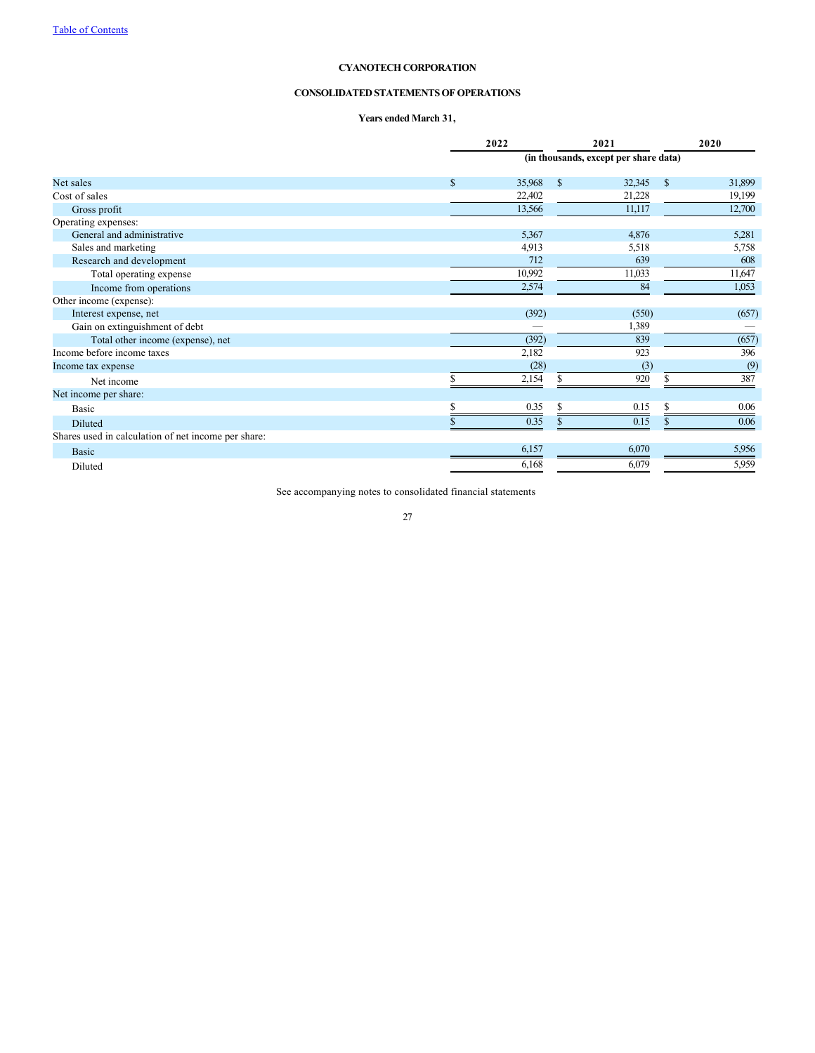# <span id="page-26-0"></span>**CONSOLIDATED STATEMENTS OF OPERATIONS**

# **Years ended March 31,**

|                                                     | 2022 |        | 2021         |                                       | 2020         |        |
|-----------------------------------------------------|------|--------|--------------|---------------------------------------|--------------|--------|
|                                                     |      |        |              | (in thousands, except per share data) |              |        |
| Net sales                                           | \$   | 35,968 | $\mathbb{S}$ | 32,345                                | $\mathbb{S}$ | 31,899 |
| Cost of sales                                       |      | 22,402 |              | 21,228                                |              | 19,199 |
| Gross profit                                        |      | 13,566 |              | 11,117                                |              | 12,700 |
| Operating expenses:                                 |      |        |              |                                       |              |        |
| General and administrative                          |      | 5,367  |              | 4,876                                 |              | 5,281  |
| Sales and marketing                                 |      | 4,913  |              | 5,518                                 |              | 5,758  |
| Research and development                            |      | 712    |              | 639                                   |              | 608    |
| Total operating expense                             |      | 10,992 |              | 11,033                                |              | 11,647 |
| Income from operations                              |      | 2,574  |              | 84                                    |              | 1,053  |
| Other income (expense):                             |      |        |              |                                       |              |        |
| Interest expense, net                               |      | (392)  |              | (550)                                 |              | (657)  |
| Gain on extinguishment of debt                      |      |        |              | 1,389                                 |              |        |
| Total other income (expense), net                   |      | (392)  |              | 839                                   |              | (657)  |
| Income before income taxes                          |      | 2,182  |              | 923                                   |              | 396    |
| Income tax expense                                  |      | (28)   |              | (3)                                   |              | (9)    |
| Net income                                          | \$   | 2,154  | \$           | 920                                   |              | 387    |
| Net income per share:                               |      |        |              |                                       |              |        |
| Basic                                               | S    | 0.35   | \$           | 0.15                                  |              | 0.06   |
| <b>Diluted</b>                                      |      | 0.35   |              | 0.15                                  |              | 0.06   |
| Shares used in calculation of net income per share: |      |        |              |                                       |              |        |
| Basic                                               |      | 6,157  |              | 6,070                                 |              | 5,956  |
| Diluted                                             |      | 6,168  |              | 6,079                                 |              | 5,959  |

See accompanying notes to consolidated financial statements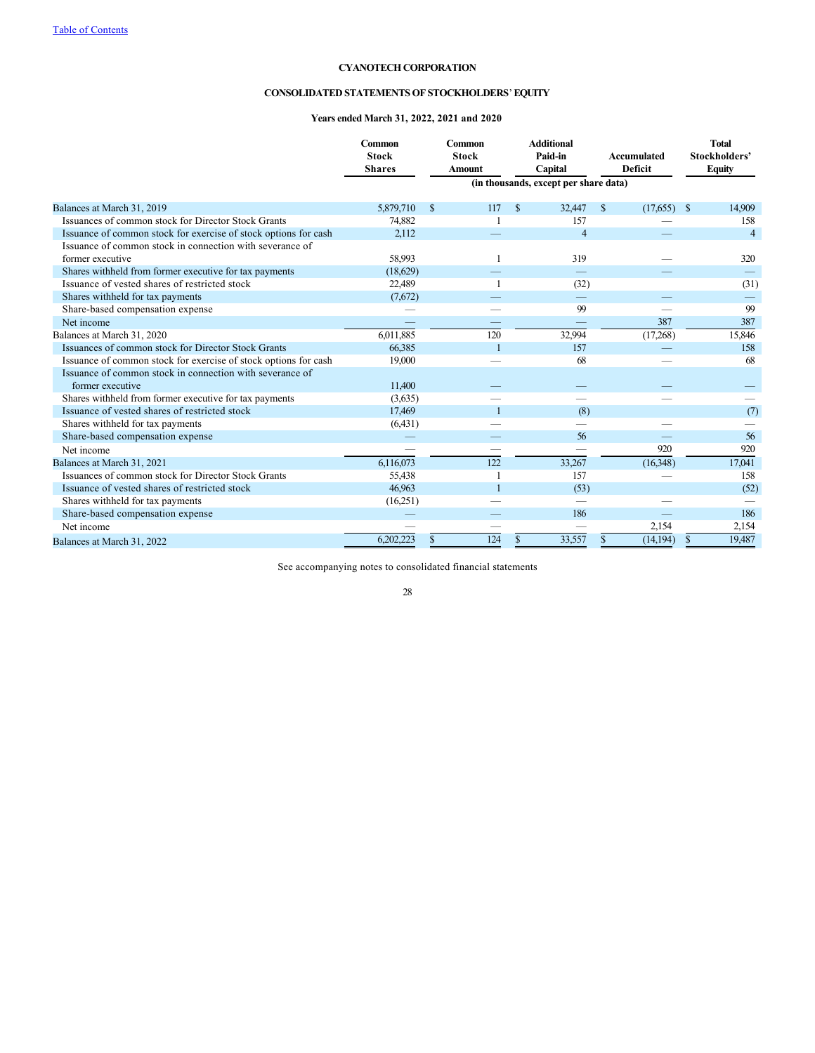# <span id="page-27-0"></span>**CONSOLIDATED STATEMENTS OF STOCKHOLDERS**' **EQUITY**

# **Years ended March 31, 2022, 2021 and 2020**

|                                                                 | Common<br><b>Stock</b><br><b>Shares</b> | Common<br><b>Stock</b><br><b>Amount</b> | <b>Additional</b><br>Paid-in<br>Capital<br>(in thousands, except per share data) | <b>Accumulated</b><br><b>Deficit</b> | <b>Total</b><br>Stockholders'<br><b>Equity</b> |
|-----------------------------------------------------------------|-----------------------------------------|-----------------------------------------|----------------------------------------------------------------------------------|--------------------------------------|------------------------------------------------|
|                                                                 |                                         |                                         |                                                                                  |                                      |                                                |
| Balances at March 31, 2019                                      | 5,879,710                               | $\mathbb{S}$<br>117                     | <sup>\$</sup><br>32,447                                                          | \$<br>(17,655)                       | <sup>\$</sup><br>14,909                        |
| Issuances of common stock for Director Stock Grants             | 74,882                                  |                                         | 157                                                                              |                                      | 158                                            |
| Issuance of common stock for exercise of stock options for cash | 2,112                                   |                                         | $\overline{4}$                                                                   |                                      | $\overline{4}$                                 |
| Issuance of common stock in connection with severance of        |                                         |                                         |                                                                                  |                                      |                                                |
| former executive                                                | 58,993                                  |                                         | 319                                                                              |                                      | 320                                            |
| Shares withheld from former executive for tax payments          | (18,629)                                |                                         |                                                                                  |                                      |                                                |
| Issuance of vested shares of restricted stock                   | 22,489                                  |                                         | (32)                                                                             |                                      | (31)                                           |
| Shares withheld for tax payments                                | (7,672)                                 |                                         |                                                                                  |                                      |                                                |
| Share-based compensation expense                                |                                         |                                         | 99                                                                               |                                      | 99                                             |
| Net income                                                      |                                         |                                         |                                                                                  | 387                                  | 387                                            |
| Balances at March 31, 2020                                      | 6,011,885                               | 120                                     | 32,994                                                                           | (17,268)                             | 15,846                                         |
| Issuances of common stock for Director Stock Grants             | 66,385                                  |                                         | 157                                                                              |                                      | 158                                            |
| Issuance of common stock for exercise of stock options for cash | 19,000                                  |                                         | 68                                                                               |                                      | 68                                             |
| Issuance of common stock in connection with severance of        |                                         |                                         |                                                                                  |                                      |                                                |
| former executive                                                | 11,400                                  |                                         |                                                                                  |                                      |                                                |
| Shares withheld from former executive for tax payments          | (3,635)                                 |                                         |                                                                                  |                                      |                                                |
| Issuance of vested shares of restricted stock                   | 17,469                                  |                                         | (8)                                                                              |                                      | (7)                                            |
| Shares withheld for tax payments                                | (6, 431)                                |                                         |                                                                                  |                                      |                                                |
| Share-based compensation expense                                |                                         |                                         | 56                                                                               |                                      | 56                                             |
| Net income                                                      |                                         |                                         |                                                                                  | 920                                  | 920                                            |
| Balances at March 31, 2021                                      | 6,116,073                               | 122                                     | 33,267                                                                           | (16,348)                             | 17,041                                         |
| Issuances of common stock for Director Stock Grants             | 55,438                                  |                                         | 157                                                                              |                                      | 158                                            |
| Issuance of vested shares of restricted stock                   | 46,963                                  |                                         | (53)                                                                             |                                      | (52)                                           |
| Shares withheld for tax payments                                | (16,251)                                |                                         |                                                                                  |                                      |                                                |
| Share-based compensation expense                                |                                         |                                         | 186                                                                              |                                      | 186                                            |
| Net income                                                      |                                         |                                         |                                                                                  | 2,154                                | 2,154                                          |
| Balances at March 31, 2022                                      | 6,202,223                               | 124<br>\$                               | 33,557<br>\$                                                                     | \$<br>(14, 194)                      | \$<br>19,487                                   |

See accompanying notes to consolidated financial statements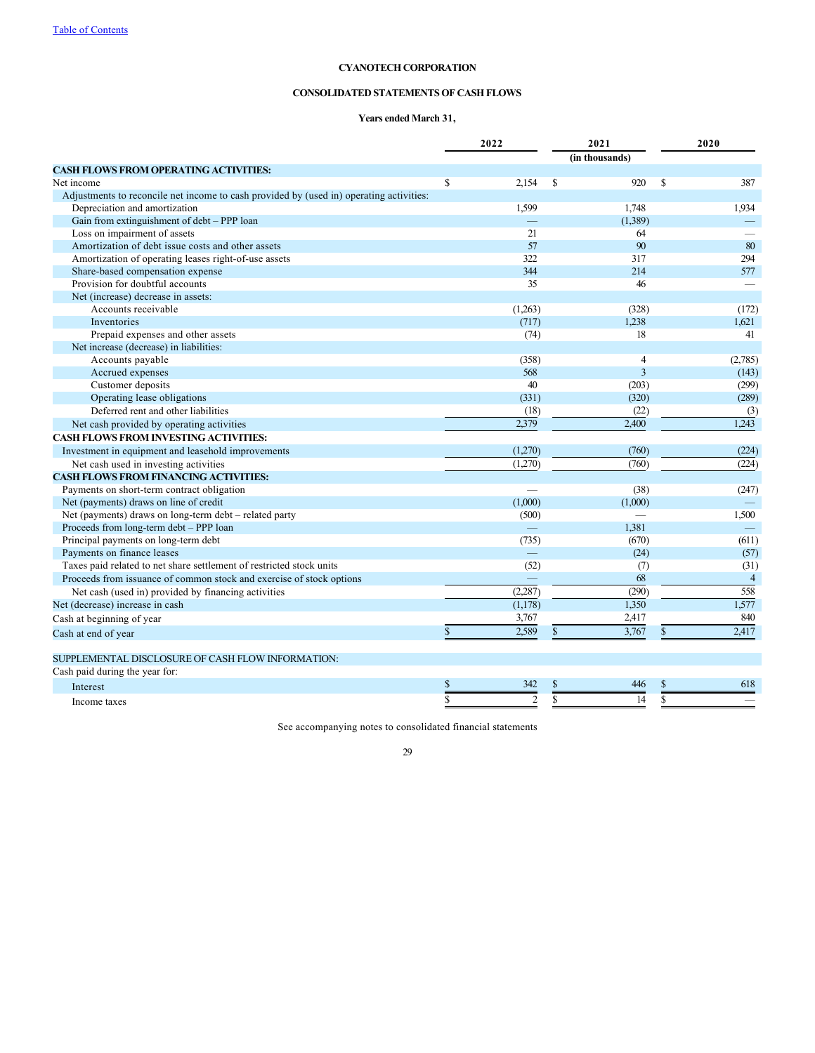# <span id="page-28-0"></span>**CONSOLIDATED STATEMENTS OF CASH FLOWS**

# **Years ended March 31,**

|                                                                                         | 2022                   |                                 | 2021           |                         | 2020           |
|-----------------------------------------------------------------------------------------|------------------------|---------------------------------|----------------|-------------------------|----------------|
|                                                                                         |                        |                                 | (in thousands) |                         |                |
| <b>CASH FLOWS FROM OPERATING ACTIVITIES:</b>                                            |                        |                                 |                |                         |                |
| Net income                                                                              | 2,154<br><sup>\$</sup> | \$                              | 920            | \$                      | 387            |
| Adjustments to reconcile net income to cash provided by (used in) operating activities: |                        |                                 |                |                         |                |
| Depreciation and amortization                                                           | 1,599                  |                                 | 1.748          |                         | 1,934          |
| Gain from extinguishment of debt - PPP loan                                             |                        |                                 | (1,389)        |                         |                |
| Loss on impairment of assets                                                            |                        | 21                              | 64             |                         |                |
| Amortization of debt issue costs and other assets                                       |                        | 57                              | 90             |                         | 80             |
| Amortization of operating leases right-of-use assets                                    |                        | 322                             | 317            |                         | 294            |
| Share-based compensation expense                                                        |                        | 344                             | 214            |                         | 577            |
| Provision for doubtful accounts                                                         |                        | 35                              | 46             |                         |                |
| Net (increase) decrease in assets:                                                      |                        |                                 |                |                         |                |
| Accounts receivable                                                                     | (1,263)                |                                 | (328)          |                         | (172)          |
| Inventories                                                                             |                        | (717)                           | 1,238          |                         | 1,621          |
| Prepaid expenses and other assets                                                       |                        | (74)                            | 18             |                         | 41             |
| Net increase (decrease) in liabilities:                                                 |                        |                                 |                |                         |                |
| Accounts payable                                                                        |                        | (358)                           | $\overline{4}$ |                         | (2,785)        |
| Accrued expenses                                                                        |                        | 568                             | 3              |                         | (143)          |
| Customer deposits                                                                       |                        | 40                              | (203)          |                         | (299)          |
| Operating lease obligations                                                             |                        | (331)                           | (320)          |                         | (289)          |
| Deferred rent and other liabilities                                                     |                        | (18)                            | (22)           |                         | (3)            |
| Net cash provided by operating activities                                               | 2.379                  |                                 | 2.400          |                         | 1.243          |
| <b>CASH FLOWS FROM INVESTING ACTIVITIES:</b>                                            |                        |                                 |                |                         |                |
| Investment in equipment and leasehold improvements                                      | (1,270)                |                                 | (760)          |                         | (224)          |
| Net cash used in investing activities                                                   | (1,270)                |                                 | (760)          |                         | (224)          |
| <b>CASH FLOWS FROM FINANCING ACTIVITIES:</b>                                            |                        |                                 |                |                         |                |
| Payments on short-term contract obligation                                              |                        |                                 | (38)           |                         | (247)          |
| Net (payments) draws on line of credit                                                  | (1,000)                |                                 | (1,000)        |                         |                |
| Net (payments) draws on long-term debt - related party                                  |                        | (500)                           |                |                         | 1,500          |
| Proceeds from long-term debt - PPP loan                                                 |                        |                                 | 1.381          |                         |                |
| Principal payments on long-term debt                                                    |                        | (735)                           | (670)          |                         | (611)          |
| Payments on finance leases                                                              |                        |                                 | (24)           |                         | (57)           |
| Taxes paid related to net share settlement of restricted stock units                    |                        | (52)                            | (7)            |                         | (31)           |
| Proceeds from issuance of common stock and exercise of stock options                    |                        |                                 | 68             |                         | $\overline{4}$ |
| Net cash (used in) provided by financing activities                                     | (2, 287)               |                                 | (290)          |                         | 558            |
| Net (decrease) increase in cash                                                         | (1,178)                |                                 | 1,350          |                         | 1,577          |
| Cash at beginning of year                                                               | 3,767                  |                                 | 2,417          |                         | 840            |
| Cash at end of year                                                                     | \$<br>2.589            | $\mathbf S$                     | 3.767          | $\mathbf S$             | 2.417          |
|                                                                                         |                        |                                 |                |                         |                |
| SUPPLEMENTAL DISCLOSURE OF CASH FLOW INFORMATION:                                       |                        |                                 |                |                         |                |
| Cash paid during the year for:                                                          |                        |                                 |                |                         |                |
| Interest                                                                                | \$                     | 342<br>\$                       | 446            | \$                      | 618            |
|                                                                                         | <sup>\$</sup>          | $\frac{1}{s}$<br>$\overline{2}$ | 14             | $\overline{\mathbf{s}}$ |                |
| Income taxes                                                                            |                        |                                 |                |                         |                |

See accompanying notes to consolidated financial statements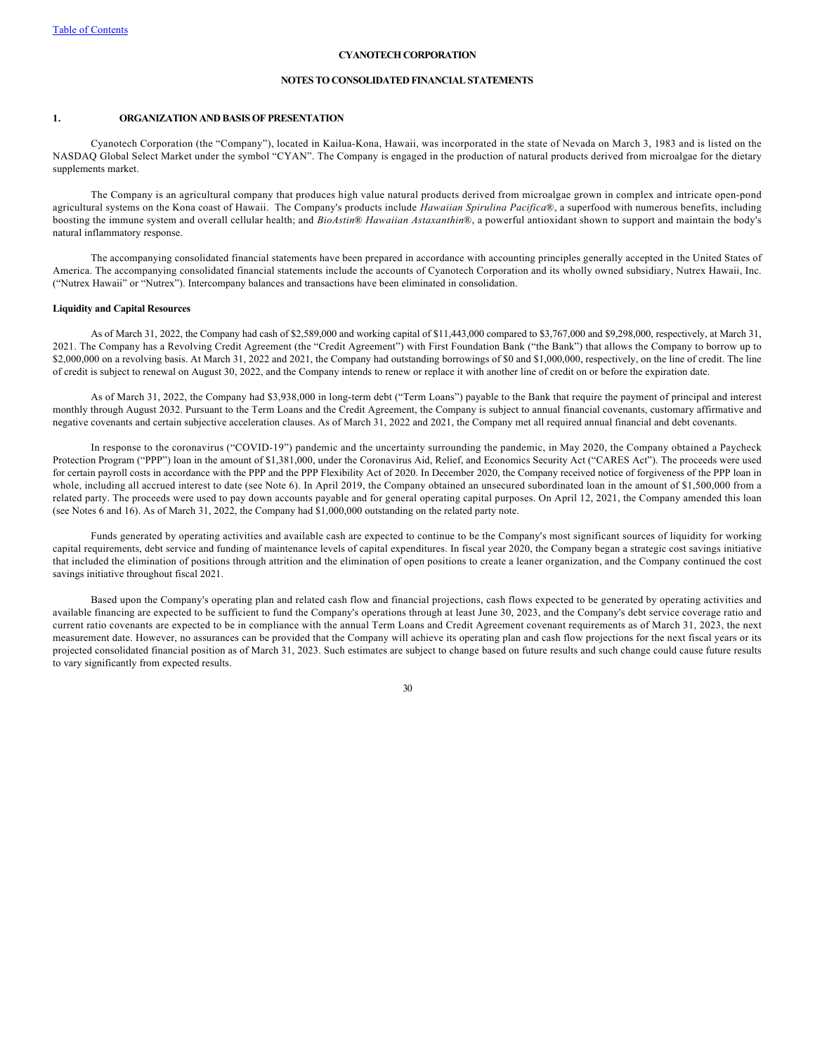#### <span id="page-29-0"></span>**NOTES TO CONSOLIDATED FINANCIAL STATEMENTS**

#### **1. ORGANIZATION AND BASIS OF PRESENTATION**

Cyanotech Corporation (the "Company"), located in Kailua-Kona, Hawaii, was incorporated in the state of Nevada on March 3, 1983 and is listed on the NASDAQ Global Select Market under the symbol "CYAN". The Company is engaged in the production of natural products derived from microalgae for the dietary supplements market.

The Company is an agricultural company that produces high value natural products derived from microalgae grown in complex and intricate open-pond agricultural systems on the Kona coast of Hawaii. The Company's products include *Hawaiian Spirulina Pacifica*®, a superfood with numerous benefits, including boosting the immune system and overall cellular health; and *BioAstin*® *Hawaiian Astaxanthin*®, a powerful antioxidant shown to support and maintain the body's natural inflammatory response.

The accompanying consolidated financial statements have been prepared in accordance with accounting principles generally accepted in the United States of America. The accompanying consolidated financial statements include the accounts of Cyanotech Corporation and its wholly owned subsidiary, Nutrex Hawaii, Inc. ("Nutrex Hawaii" or "Nutrex"). Intercompany balances and transactions have been eliminated in consolidation.

#### **Liquidity and Capital Resources**

As of March 31, 2022, the Company had cash of \$2,589,000 and working capital of \$11,443,000 compared to \$3,767,000 and \$9,298,000, respectively, at March 31, 2021. The Company has a Revolving Credit Agreement (the "Credit Agreement") with First Foundation Bank ("the Bank") that allows the Company to borrow up to \$2,000,000 on a revolving basis. At March 31, 2022 and 2021, the Company had outstanding borrowings of \$0 and \$1,000,000, respectively, on the line of credit. The line of credit is subject to renewal on August 30, 2022, and the Company intends to renew or replace it with another line of credit on or before the expiration date.

As of March 31, 2022, the Company had \$3,938,000 in long-term debt ("Term Loans") payable to the Bank that require the payment of principal and interest monthly through August 2032. Pursuant to the Term Loans and the Credit Agreement, the Company is subject to annual financial covenants, customary affirmative and negative covenants and certain subjective acceleration clauses. As of March 31, 2022 and 2021, the Company met all required annual financial and debt covenants.

In response to the coronavirus ("COVID-19") pandemic and the uncertainty surrounding the pandemic, in May 2020, the Company obtained a Paycheck Protection Program ("PPP") loan in the amount of \$1,381,000, under the Coronavirus Aid, Relief, and Economics Security Act ("CARES Act"). The proceeds were used for certain payroll costs in accordance with the PPP and the PPP Flexibility Act of 2020. In December 2020, the Company received notice of forgiveness of the PPP loan in whole, including all accrued interest to date (see Note 6). In April 2019, the Company obtained an unsecured subordinated loan in the amount of \$1,500,000 from a related party. The proceeds were used to pay down accounts payable and for general operating capital purposes. On April 12, 2021, the Company amended this loan (see Notes 6 and 16). As of March 31, 2022, the Company had \$1,000,000 outstanding on the related party note.

Funds generated by operating activities and available cash are expected to continue to be the Company's most significant sources of liquidity for working capital requirements, debt service and funding of maintenance levels of capital expenditures. In fiscal year 2020, the Company began a strategic cost savings initiative that included the elimination of positions through attrition and the elimination of open positions to create a leaner organization, and the Company continued the cost savings initiative throughout fiscal 2021.

Based upon the Company's operating plan and related cash flow and financial projections, cash flows expected to be generated by operating activities and available financing are expected to be sufficient to fund the Company's operations through at least June 30, 2023, and the Company's debt service coverage ratio and current ratio covenants are expected to be in compliance with the annual Term Loans and Credit Agreement covenant requirements as of March 31, 2023, the next measurement date. However, no assurances can be provided that the Company will achieve its operating plan and cash flow projections for the next fiscal years or its projected consolidated financial position as of March 31, 2023. Such estimates are subject to change based on future results and such change could cause future results to vary significantly from expected results.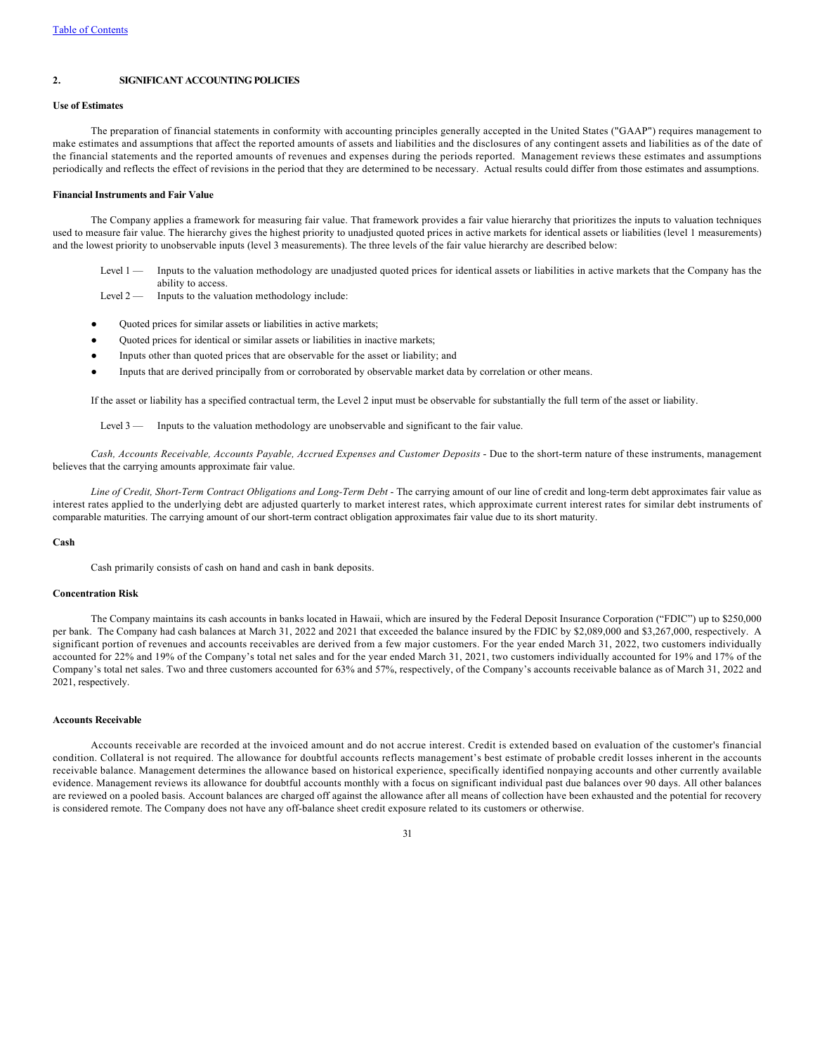#### **2. SIGNIFICANT ACCOUNTING POLICIES**

#### **Use of Estimates**

The preparation of financial statements in conformity with accounting principles generally accepted in the United States ("GAAP") requires management to make estimates and assumptions that affect the reported amounts of assets and liabilities and the disclosures of any contingent assets and liabilities as of the date of the financial statements and the reported amounts of revenues and expenses during the periods reported. Management reviews these estimates and assumptions periodically and reflects the effect of revisions in the period that they are determined to be necessary. Actual results could differ from those estimates and assumptions.

#### **Financial Instruments and Fair Value**

The Company applies a framework for measuring fair value. That framework provides a fair value hierarchy that prioritizes the inputs to valuation techniques used to measure fair value. The hierarchy gives the highest priority to unadjusted quoted prices in active markets for identical assets or liabilities (level 1 measurements) and the lowest priority to unobservable inputs (level 3 measurements). The three levels of the fair value hierarchy are described below:

- Level 1 Inputs to the valuation methodology are unadjusted quoted prices for identical assets or liabilities in active markets that the Company has the ability to access.
- Level  $2$  Inputs to the valuation methodology include:
- Quoted prices for similar assets or liabilities in active markets;
- Quoted prices for identical or similar assets or liabilities in inactive markets;
- Inputs other than quoted prices that are observable for the asset or liability; and
- Inputs that are derived principally from or corroborated by observable market data by correlation or other means.

If the asset or liability has a specified contractual term, the Level 2 input must be observable for substantially the full term of the asset or liability.

Level 3 — Inputs to the valuation methodology are unobservable and significant to the fair value.

*Cash, Accounts Receivable, Accounts Payable, Accrued Expenses and Customer Deposits* - Due to the short-term nature of these instruments, management believes that the carrying amounts approximate fair value.

*Line of Credit, Short-Term Contract Obligations and Long-Term Debt* - The carrying amount of our line of credit and long-term debt approximates fair value as interest rates applied to the underlying debt are adjusted quarterly to market interest rates, which approximate current interest rates for similar debt instruments of comparable maturities. The carrying amount of our short-term contract obligation approximates fair value due to its short maturity.

#### **Cash**

Cash primarily consists of cash on hand and cash in bank deposits.

#### **Concentration Risk**

The Company maintains its cash accounts in banks located in Hawaii, which are insured by the Federal Deposit Insurance Corporation ("FDIC") up to \$250,000 per bank. The Company had cash balances at March 31, 2022 and 2021 that exceeded the balance insured by the FDIC by \$2,089,000 and \$3,267,000, respectively. A significant portion of revenues and accounts receivables are derived from a few major customers. For the year ended March 31, 2022, two customers individually accounted for 22% and 19% of the Company's total net sales and for the year ended March 31, 2021, two customers individually accounted for 19% and 17% of the Company's total net sales. Two and three customers accounted for 63% and 57%, respectively, of the Company's accounts receivable balance as of March 31, 2022 and 2021, respectively.

#### **Accounts Receivable**

Accounts receivable are recorded at the invoiced amount and do not accrue interest. Credit is extended based on evaluation of the customer's financial condition. Collateral is not required. The allowance for doubtful accounts reflects management's best estimate of probable credit losses inherent in the accounts receivable balance. Management determines the allowance based on historical experience, specifically identified nonpaying accounts and other currently available evidence. Management reviews its allowance for doubtful accounts monthly with a focus on significant individual past due balances over 90 days. All other balances are reviewed on a pooled basis. Account balances are charged off against the allowance after all means of collection have been exhausted and the potential for recovery is considered remote. The Company does not have any off-balance sheet credit exposure related to its customers or otherwise.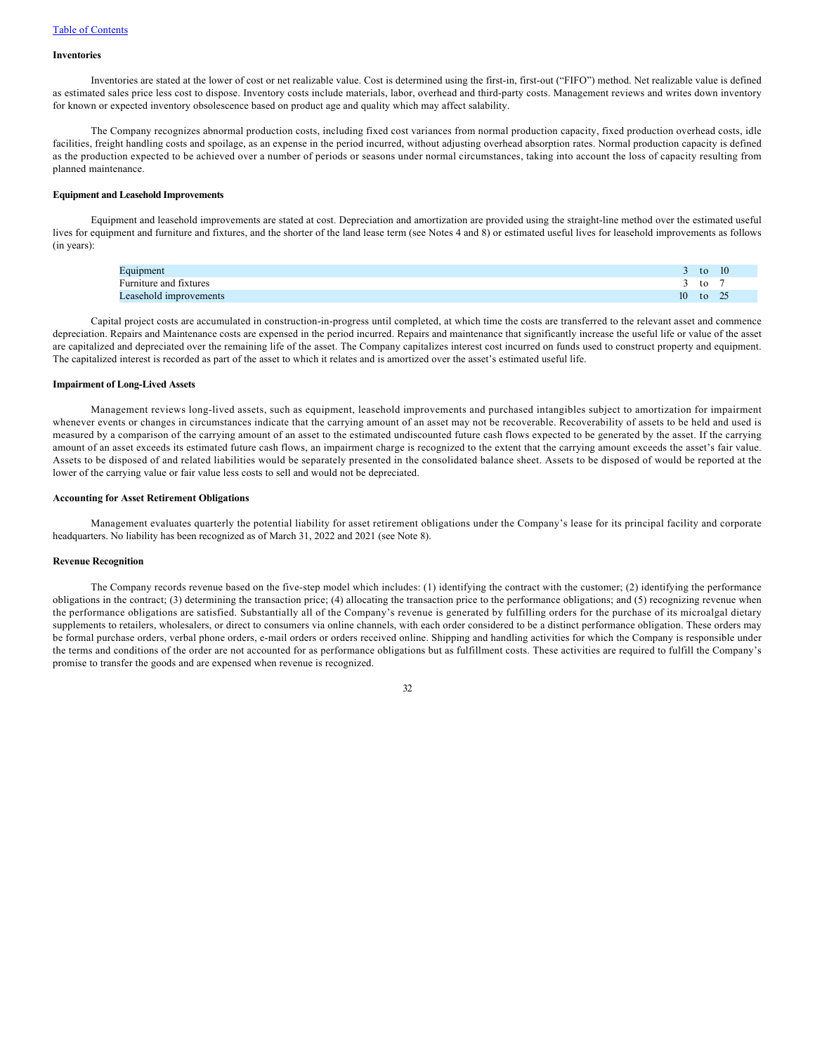#### **Inventories**

Inventories are stated at the lower of cost or net realizable value. Cost is determined using the first-in, first-out ("FIFO") method. Net realizable value is defined as estimated sales price less cost to dispose. Inventory costs include materials, labor, overhead and third-party costs. Management reviews and writes down inventory for known or expected inventory obsolescence based on product age and quality which may affect salability.

The Company recognizes abnormal production costs, including fixed cost variances from normal production capacity, fixed production overhead costs, idle facilities, freight handling costs and spoilage, as an expense in the period incurred, without adjusting overhead absorption rates. Normal production capacity is defined as the production expected to be achieved over a number of periods or seasons under normal circumstances, taking into account the loss of capacity resulting from planned maintenance.

#### **Equipment and Leasehold Improvements**

Equipment and leasehold improvements are stated at cost. Depreciation and amortization are provided using the straight-line method over the estimated useful lives for equipment and furniture and fixtures, and the shorter of the land lease term (see Notes 4 and 8) or estimated useful lives for leasehold improvements as follows (in years):

| Equipment              |    | $3$ to  |  |
|------------------------|----|---------|--|
| Furniture and fixtures |    | 3 to 7  |  |
| Leasehold improvements | 10 | to $25$ |  |

Capital project costs are accumulated in construction-in-progress until completed, at which time the costs are transferred to the relevant asset and commence depreciation. Repairs and Maintenance costs are expensed in the period incurred. Repairs and maintenance that significantly increase the useful life or value of the asset are capitalized and depreciated over the remaining life of the asset. The Company capitalizes interest cost incurred on funds used to construct property and equipment. The capitalized interest is recorded as part of the asset to which it relates and is amortized over the asset's estimated useful life.

#### **Impairment of Long-Lived Assets**

Management reviews long-lived assets, such as equipment, leasehold improvements and purchased intangibles subject to amortization for impairment whenever events or changes in circumstances indicate that the carrying amount of an asset may not be recoverable. Recoverability of assets to be held and used is measured by a comparison of the carrying amount of an asset to the estimated undiscounted future cash flows expected to be generated by the asset. If the carrying amount of an asset exceeds its estimated future cash flows, an impairment charge is recognized to the extent that the carrying amount exceeds the asset's fair value. Assets to be disposed of and related liabilities would be separately presented in the consolidated balance sheet. Assets to be disposed of would be reported at the lower of the carrying value or fair value less costs to sell and would not be depreciated.

#### **Accounting for Asset Retirement Obligations**

Management evaluates quarterly the potential liability for asset retirement obligations under the Company's lease for its principal facility and corporate headquarters. No liability has been recognized as of March 31, 2022 and 2021 (see Note 8).

#### **Revenue Recognition**

The Company records revenue based on the five-step model which includes: (1) identifying the contract with the customer; (2) identifying the performance obligations in the contract; (3) determining the transaction price; (4) allocating the transaction price to the performance obligations; and (5) recognizing revenue when the performance obligations are satisfied. Substantially all of the Company's revenue is generated by fulfilling orders for the purchase of its microalgal dietary supplements to retailers, wholesalers, or direct to consumers via online channels, with each order considered to be a distinct performance obligation. These orders may be formal purchase orders, verbal phone orders, e-mail orders or orders received online. Shipping and handling activities for which the Company is responsible under the terms and conditions of the order are not accounted for as performance obligations but as fulfillment costs. These activities are required to fulfill the Company's promise to transfer the goods and are expensed when revenue is recognized.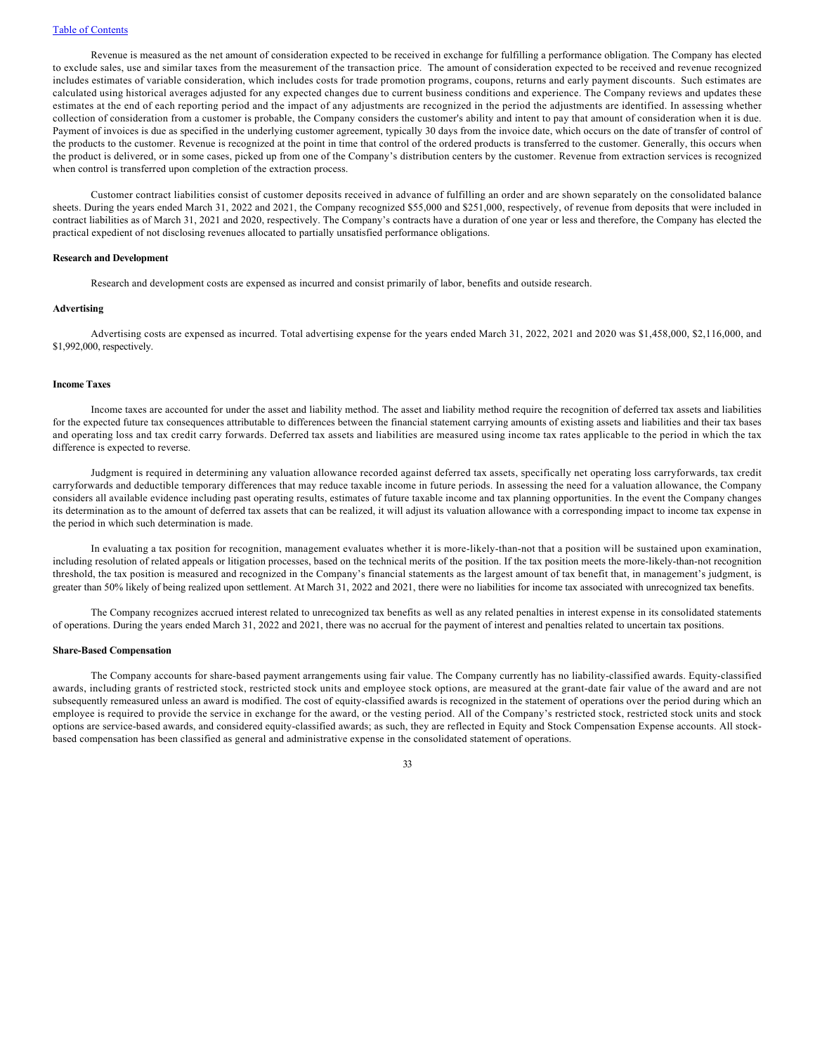Revenue is measured as the net amount of consideration expected to be received in exchange for fulfilling a performance obligation. The Company has elected to exclude sales, use and similar taxes from the measurement of the transaction price. The amount of consideration expected to be received and revenue recognized includes estimates of variable consideration, which includes costs for trade promotion programs, coupons, returns and early payment discounts. Such estimates are calculated using historical averages adjusted for any expected changes due to current business conditions and experience. The Company reviews and updates these estimates at the end of each reporting period and the impact of any adjustments are recognized in the period the adjustments are identified. In assessing whether collection of consideration from a customer is probable, the Company considers the customer's ability and intent to pay that amount of consideration when it is due. Payment of invoices is due as specified in the underlying customer agreement, typically 30 days from the invoice date, which occurs on the date of transfer of control of the products to the customer. Revenue is recognized at the point in time that control of the ordered products is transferred to the customer. Generally, this occurs when the product is delivered, or in some cases, picked up from one of the Company's distribution centers by the customer. Revenue from extraction services is recognized when control is transferred upon completion of the extraction process.

Customer contract liabilities consist of customer deposits received in advance of fulfilling an order and are shown separately on the consolidated balance sheets. During the years ended March 31, 2022 and 2021, the Company recognized \$55,000 and \$251,000, respectively, of revenue from deposits that were included in contract liabilities as of March 31, 2021 and 2020, respectively. The Company's contracts have a duration of one year or less and therefore, the Company has elected the practical expedient of not disclosing revenues allocated to partially unsatisfied performance obligations.

#### **Research and Development**

Research and development costs are expensed as incurred and consist primarily of labor, benefits and outside research.

#### **Advertising**

Advertising costs are expensed as incurred. Total advertising expense for the years ended March 31, 2022, 2021 and 2020 was \$1,458,000, \$2,116,000, and \$1,992,000, respectively.

#### **Income Taxes**

Income taxes are accounted for under the asset and liability method. The asset and liability method require the recognition of deferred tax assets and liabilities for the expected future tax consequences attributable to differences between the financial statement carrying amounts of existing assets and liabilities and their tax bases and operating loss and tax credit carry forwards. Deferred tax assets and liabilities are measured using income tax rates applicable to the period in which the tax difference is expected to reverse.

Judgment is required in determining any valuation allowance recorded against deferred tax assets, specifically net operating loss carryforwards, tax credit carryforwards and deductible temporary differences that may reduce taxable income in future periods. In assessing the need for a valuation allowance, the Company considers all available evidence including past operating results, estimates of future taxable income and tax planning opportunities. In the event the Company changes its determination as to the amount of deferred tax assets that can be realized, it will adjust its valuation allowance with a corresponding impact to income tax expense in the period in which such determination is made.

In evaluating a tax position for recognition, management evaluates whether it is more-likely-than-not that a position will be sustained upon examination, including resolution of related appeals or litigation processes, based on the technical merits of the position. If the tax position meets the more-likely-than-not recognition threshold, the tax position is measured and recognized in the Company's financial statements as the largest amount of tax benefit that, in management's judgment, is greater than 50% likely of being realized upon settlement. At March 31, 2022 and 2021, there were no liabilities for income tax associated with unrecognized tax benefits.

The Company recognizes accrued interest related to unrecognized tax benefits as well as any related penalties in interest expense in its consolidated statements of operations. During the years ended March 31, 2022 and 2021, there was no accrual for the payment of interest and penalties related to uncertain tax positions.

#### **Share-Based Compensation**

The Company accounts for share-based payment arrangements using fair value. The Company currently has no liability-classified awards. Equity-classified awards, including grants of restricted stock, restricted stock units and employee stock options, are measured at the grant-date fair value of the award and are not subsequently remeasured unless an award is modified. The cost of equity-classified awards is recognized in the statement of operations over the period during which an employee is required to provide the service in exchange for the award, or the vesting period. All of the Company's restricted stock, restricted stock units and stock options are service-based awards, and considered equity-classified awards; as such, they are reflected in Equity and Stock Compensation Expense accounts. All stockbased compensation has been classified as general and administrative expense in the consolidated statement of operations.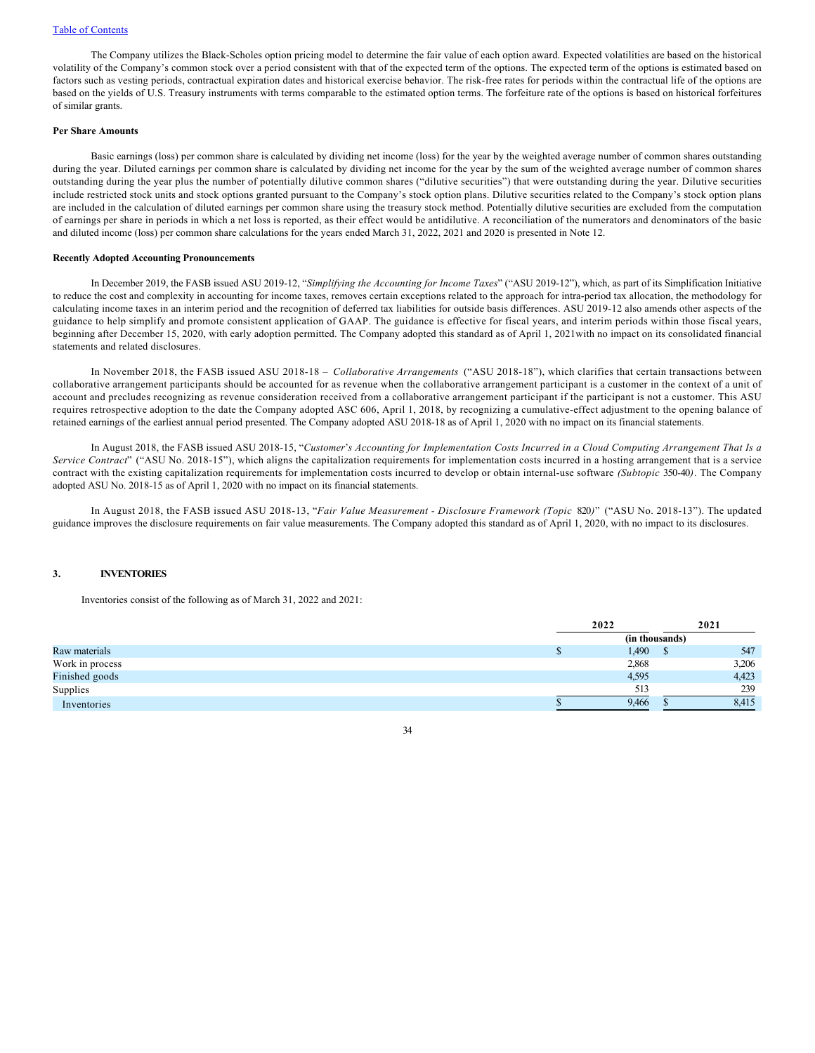The Company utilizes the Black-Scholes option pricing model to determine the fair value of each option award. Expected volatilities are based on the historical volatility of the Company's common stock over a period consistent with that of the expected term of the options. The expected term of the options is estimated based on factors such as vesting periods, contractual expiration dates and historical exercise behavior. The risk-free rates for periods within the contractual life of the options are based on the yields of U.S. Treasury instruments with terms comparable to the estimated option terms. The forfeiture rate of the options is based on historical forfeitures of similar grants.

#### **Per Share Amounts**

Basic earnings (loss) per common share is calculated by dividing net income (loss) for the year by the weighted average number of common shares outstanding during the year. Diluted earnings per common share is calculated by dividing net income for the year by the sum of the weighted average number of common shares outstanding during the year plus the number of potentially dilutive common shares ("dilutive securities") that were outstanding during the year. Dilutive securities include restricted stock units and stock options granted pursuant to the Company's stock option plans. Dilutive securities related to the Company's stock option plans are included in the calculation of diluted earnings per common share using the treasury stock method. Potentially dilutive securities are excluded from the computation of earnings per share in periods in which a net loss is reported, as their effect would be antidilutive. A reconciliation of the numerators and denominators of the basic and diluted income (loss) per common share calculations for the years ended March 31, 2022, 2021 and 2020 is presented in Note 12.

#### **Recently Adopted Accounting Pronouncements**

In December 2019, the FASB issued ASU 2019-12, "*Simplifying the Accounting for Income Taxes*" ("ASU 2019-12"), which, as part of its Simplification Initiative to reduce the cost and complexity in accounting for income taxes, removes certain exceptions related to the approach for intra-period tax allocation, the methodology for calculating income taxes in an interim period and the recognition of deferred tax liabilities for outside basis differences. ASU 2019-12 also amends other aspects of the guidance to help simplify and promote consistent application of GAAP. The guidance is effective for fiscal years, and interim periods within those fiscal years, beginning after December 15, 2020, with early adoption permitted. The Company adopted this standard as of April 1, 2021with no impact on its consolidated financial statements and related disclosures.

In November 2018, the FASB issued ASU 2018-18 – *Collaborative Arrangements*  ("ASU 2018-18"), which clarifies that certain transactions between collaborative arrangement participants should be accounted for as revenue when the collaborative arrangement participant is a customer in the context of a unit of account and precludes recognizing as revenue consideration received from a collaborative arrangement participant if the participant is not a customer. This ASU requires retrospective adoption to the date the Company adopted ASC 606, April 1, 2018, by recognizing a cumulative-effect adjustment to the opening balance of retained earnings of the earliest annual period presented. The Company adopted ASU 2018-18 as of April 1, 2020 with no impact on its financial statements.

In August 2018, the FASB issued ASU 2018-15, "*Customer*'*s Accounting for Implementation Costs Incurred in a Cloud Computing Arrangement That Is a Service Contract*" ("ASU No. 2018-15"), which aligns the capitalization requirements for implementation costs incurred in a hosting arrangement that is a service contract with the existing capitalization requirements for implementation costs incurred to develop or obtain internal-use software *(Subtopic* 350*-*40*)*. The Company adopted ASU No. 2018-15 as of April 1, 2020 with no impact on its financial statements.

In August 2018, the FASB issued ASU 2018-13, "*Fair Value Measurement - Disclosure Framework (Topic*  820*)*" ("ASU No. 2018-13"). The updated guidance improves the disclosure requirements on fair value measurements. The Company adopted this standard as of April 1, 2020, with no impact to its disclosures.

#### **3. INVENTORIES**

Inventories consist of the following as of March 31, 2022 and 2021:

|                 | 2022           |  | 2021  |
|-----------------|----------------|--|-------|
|                 | (in thousands) |  |       |
| Raw materials   | 1,490          |  | 547   |
| Work in process | 2,868          |  | 3,206 |
| Finished goods  | 4,595          |  | 4,423 |
| Supplies        | 513            |  | 239   |
| Inventories     | 9,466          |  | 8,415 |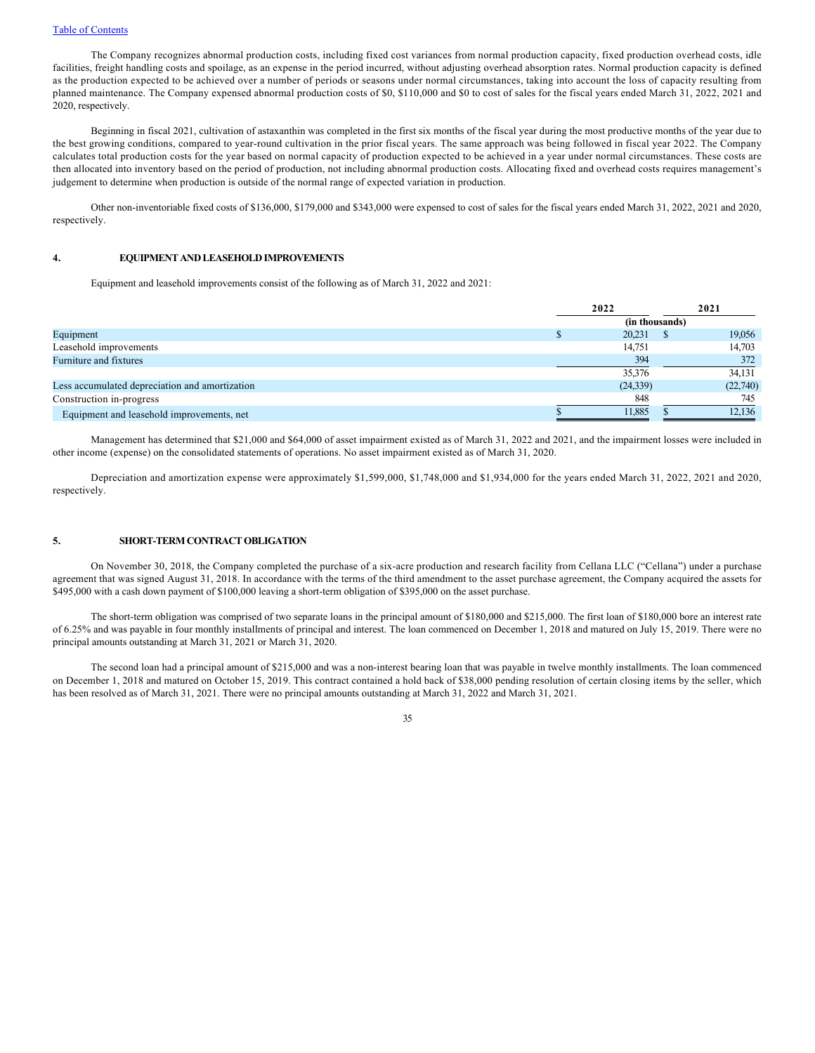The Company recognizes abnormal production costs, including fixed cost variances from normal production capacity, fixed production overhead costs, idle facilities, freight handling costs and spoilage, as an expense in the period incurred, without adjusting overhead absorption rates. Normal production capacity is defined as the production expected to be achieved over a number of periods or seasons under normal circumstances, taking into account the loss of capacity resulting from planned maintenance. The Company expensed abnormal production costs of \$0, \$110,000 and \$0 to cost of sales for the fiscal years ended March 31, 2022, 2021 and 2020, respectively.

Beginning in fiscal 2021, cultivation of astaxanthin was completed in the first six months of the fiscal year during the most productive months of the year due to the best growing conditions, compared to year-round cultivation in the prior fiscal years. The same approach was being followed in fiscal year 2022. The Company calculates total production costs for the year based on normal capacity of production expected to be achieved in a year under normal circumstances. These costs are then allocated into inventory based on the period of production, not including abnormal production costs. Allocating fixed and overhead costs requires management's judgement to determine when production is outside of the normal range of expected variation in production.

Other non-inventoriable fixed costs of \$136,000, \$179,000 and \$343,000 were expensed to cost of sales for the fiscal years ended March 31, 2022, 2021 and 2020, respectively.

#### **4. EQUIPMENT AND LEASEHOLD IMPROVEMENTS**

Equipment and leasehold improvements consist of the following as of March 31, 2022 and 2021:

|                                                | 2022 |           |                | 2021     |
|------------------------------------------------|------|-----------|----------------|----------|
|                                                |      |           | (in thousands) |          |
| Equipment                                      |      | 20,231    |                | 19,056   |
| Leasehold improvements                         |      | 14,751    |                | 14,703   |
| Furniture and fixtures                         |      | 394       |                | 372      |
|                                                |      | 35,376    |                | 34,131   |
| Less accumulated depreciation and amortization |      | (24, 339) |                | (22,740) |
| Construction in-progress                       |      | 848       |                | 745      |
| Equipment and leasehold improvements, net      |      | 11,885    |                | 12,136   |

Management has determined that \$21,000 and \$64,000 of asset impairment existed as of March 31, 2022 and 2021, and the impairment losses were included in other income (expense) on the consolidated statements of operations. No asset impairment existed as of March 31, 2020.

Depreciation and amortization expense were approximately \$1,599,000, \$1,748,000 and \$1,934,000 for the years ended March 31, 2022, 2021 and 2020, respectively.

#### **5. SHORT-TERM CONTRACT OBLIGATION**

On November 30, 2018, the Company completed the purchase of a six-acre production and research facility from Cellana LLC ("Cellana") under a purchase agreement that was signed August 31, 2018. In accordance with the terms of the third amendment to the asset purchase agreement, the Company acquired the assets for \$495,000 with a cash down payment of \$100,000 leaving a short-term obligation of \$395,000 on the asset purchase.

The short-term obligation was comprised of two separate loans in the principal amount of \$180,000 and \$215,000. The first loan of \$180,000 bore an interest rate of 6.25% and was payable in four monthly installments of principal and interest. The loan commenced on December 1, 2018 and matured on July 15, 2019. There were no principal amounts outstanding at March 31, 2021 or March 31, 2020.

The second loan had a principal amount of \$215,000 and was a non-interest bearing loan that was payable in twelve monthly installments. The loan commenced on December 1, 2018 and matured on October 15, 2019. This contract contained a hold back of \$38,000 pending resolution of certain closing items by the seller, which has been resolved as of March 31, 2021. There were no principal amounts outstanding at March 31, 2022 and March 31, 2021.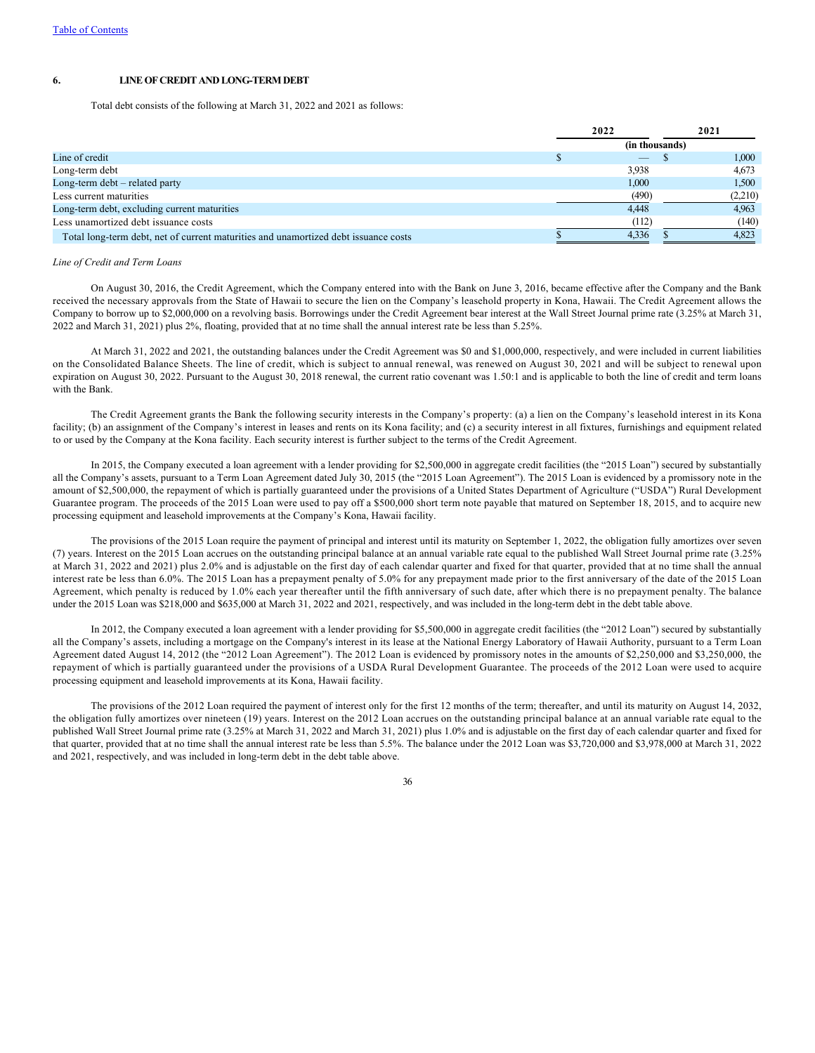#### **6. LINE OF CREDIT AND LONG-TERM DEBT**

Total debt consists of the following at March 31, 2022 and 2021 as follows:

|                                                                                     | 2022           | 2021    |
|-------------------------------------------------------------------------------------|----------------|---------|
|                                                                                     | (in thousands) |         |
| Line of credit                                                                      |                | 1,000   |
| Long-term debt                                                                      | 3.938          | 4,673   |
| Long-term $debt$ – related party                                                    | 1,000          | 1,500   |
| Less current maturities                                                             | (490)          | (2,210) |
| Long-term debt, excluding current maturities                                        | 4,448          | 4,963   |
| Less unamortized debt issuance costs                                                | (112)          | (140)   |
| Total long-term debt, net of current maturities and unamortized debt issuance costs | 4.336          | 4,823   |

#### *Line of Credit and Term Loans*

On August 30, 2016, the Credit Agreement, which the Company entered into with the Bank on June 3, 2016, became effective after the Company and the Bank received the necessary approvals from the State of Hawaii to secure the lien on the Company's leasehold property in Kona, Hawaii. The Credit Agreement allows the Company to borrow up to \$2,000,000 on a revolving basis. Borrowings under the Credit Agreement bear interest at the Wall Street Journal prime rate (3.25% at March 31, 2022 and March 31, 2021) plus 2%, floating, provided that at no time shall the annual interest rate be less than 5.25%.

At March 31, 2022 and 2021, the outstanding balances under the Credit Agreement was \$0 and \$1,000,000, respectively, and were included in current liabilities on the Consolidated Balance Sheets. The line of credit, which is subject to annual renewal, was renewed on August 30, 2021 and will be subject to renewal upon expiration on August 30, 2022. Pursuant to the August 30, 2018 renewal, the current ratio covenant was 1.50:1 and is applicable to both the line of credit and term loans with the Bank.

The Credit Agreement grants the Bank the following security interests in the Company's property: (a) a lien on the Company's leasehold interest in its Kona facility; (b) an assignment of the Company's interest in leases and rents on its Kona facility; and (c) a security interest in all fixtures, furnishings and equipment related to or used by the Company at the Kona facility. Each security interest is further subject to the terms of the Credit Agreement.

In 2015, the Company executed a loan agreement with a lender providing for \$2,500,000 in aggregate credit facilities (the "2015 Loan") secured by substantially all the Company's assets, pursuant to a Term Loan Agreement dated July 30, 2015 (the "2015 Loan Agreement"). The 2015 Loan is evidenced by a promissory note in the amount of \$2,500,000, the repayment of which is partially guaranteed under the provisions of a United States Department of Agriculture ("USDA") Rural Development Guarantee program. The proceeds of the 2015 Loan were used to pay off a \$500,000 short term note payable that matured on September 18, 2015, and to acquire new processing equipment and leasehold improvements at the Company's Kona, Hawaii facility.

The provisions of the 2015 Loan require the payment of principal and interest until its maturity on September 1, 2022, the obligation fully amortizes over seven (7) years. Interest on the 2015 Loan accrues on the outstanding principal balance at an annual variable rate equal to the published Wall Street Journal prime rate (3.25% at March 31, 2022 and 2021) plus 2.0% and is adjustable on the first day of each calendar quarter and fixed for that quarter, provided that at no time shall the annual interest rate be less than 6.0%. The 2015 Loan has a prepayment penalty of 5.0% for any prepayment made prior to the first anniversary of the date of the 2015 Loan Agreement, which penalty is reduced by 1.0% each year thereafter until the fifth anniversary of such date, after which there is no prepayment penalty. The balance under the 2015 Loan was \$218,000 and \$635,000 at March 31, 2022 and 2021, respectively, and was included in the long-term debt in the debt table above.

In 2012, the Company executed a loan agreement with a lender providing for \$5,500,000 in aggregate credit facilities (the "2012 Loan") secured by substantially all the Company's assets, including a mortgage on the Company's interest in its lease at the National Energy Laboratory of Hawaii Authority, pursuant to a Term Loan Agreement dated August 14, 2012 (the "2012 Loan Agreement"). The 2012 Loan is evidenced by promissory notes in the amounts of \$2,250,000 and \$3,250,000, the repayment of which is partially guaranteed under the provisions of a USDA Rural Development Guarantee. The proceeds of the 2012 Loan were used to acquire processing equipment and leasehold improvements at its Kona, Hawaii facility.

The provisions of the 2012 Loan required the payment of interest only for the first 12 months of the term; thereafter, and until its maturity on August 14, 2032, the obligation fully amortizes over nineteen (19) years. Interest on the 2012 Loan accrues on the outstanding principal balance at an annual variable rate equal to the published Wall Street Journal prime rate (3.25% at March 31, 2022 and March 31, 2021) plus 1.0% and is adjustable on the first day of each calendar quarter and fixed for that quarter, provided that at no time shall the annual interest rate be less than 5.5%. The balance under the 2012 Loan was \$3,720,000 and \$3,978,000 at March 31, 2022 and 2021, respectively, and was included in long-term debt in the debt table above.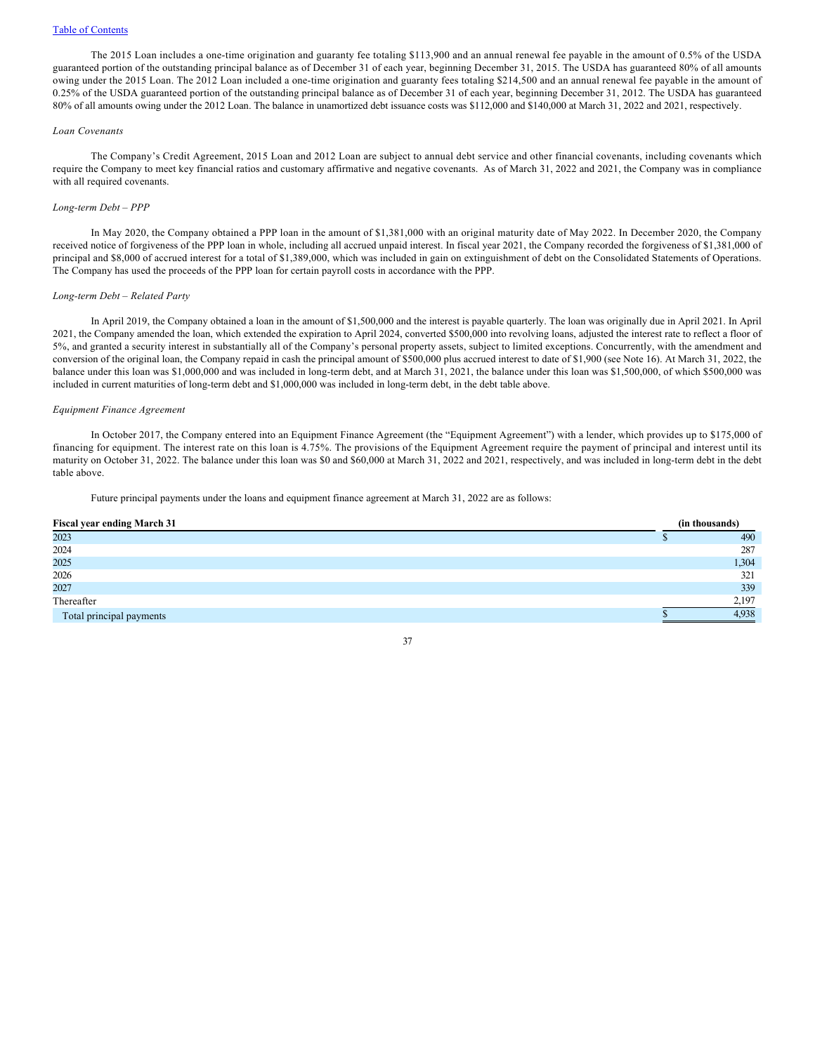The 2015 Loan includes a one-time origination and guaranty fee totaling \$113,900 and an annual renewal fee payable in the amount of 0.5% of the USDA guaranteed portion of the outstanding principal balance as of December 31 of each year, beginning December 31, 2015. The USDA has guaranteed 80% of all amounts owing under the 2015 Loan. The 2012 Loan included a one-time origination and guaranty fees totaling \$214,500 and an annual renewal fee payable in the amount of 0.25% of the USDA guaranteed portion of the outstanding principal balance as of December 31 of each year, beginning December 31, 2012. The USDA has guaranteed 80% of all amounts owing under the 2012 Loan. The balance in unamortized debt issuance costs was \$112,000 and \$140,000 at March 31, 2022 and 2021, respectively.

#### *Loan Covenants*

The Company's Credit Agreement, 2015 Loan and 2012 Loan are subject to annual debt service and other financial covenants, including covenants which require the Company to meet key financial ratios and customary affirmative and negative covenants. As of March 31, 2022 and 2021, the Company was in compliance with all required covenants.

#### *Long-term Debt* – *PPP*

In May 2020, the Company obtained a PPP loan in the amount of \$1,381,000 with an original maturity date of May 2022. In December 2020, the Company received notice of forgiveness of the PPP loan in whole, including all accrued unpaid interest. In fiscal year 2021, the Company recorded the forgiveness of \$1,381,000 of principal and \$8,000 of accrued interest for a total of \$1,389,000, which was included in gain on extinguishment of debt on the Consolidated Statements of Operations. The Company has used the proceeds of the PPP loan for certain payroll costs in accordance with the PPP.

#### *Long-term Debt* – *Related Party*

In April 2019, the Company obtained a loan in the amount of \$1,500,000 and the interest is payable quarterly. The loan was originally due in April 2021. In April 2021, the Company amended the loan, which extended the expiration to April 2024, converted \$500,000 into revolving loans, adjusted the interest rate to reflect a floor of 5%, and granted a security interest in substantially all of the Company's personal property assets, subject to limited exceptions. Concurrently, with the amendment and conversion of the original loan, the Company repaid in cash the principal amount of \$500,000 plus accrued interest to date of \$1,900 (see Note 16). At March 31, 2022, the balance under this loan was \$1,000,000 and was included in long-term debt, and at March 31, 2021, the balance under this loan was \$1,500,000, of which \$500,000 was included in current maturities of long-term debt and \$1,000,000 was included in long-term debt, in the debt table above.

#### *Equipment Finance Agreement*

In October 2017, the Company entered into an Equipment Finance Agreement (the "Equipment Agreement") with a lender, which provides up to \$175,000 of financing for equipment. The interest rate on this loan is 4.75%. The provisions of the Equipment Agreement require the payment of principal and interest until its maturity on October 31, 2022. The balance under this loan was \$0 and \$60,000 at March 31, 2022 and 2021, respectively, and was included in long-term debt in the debt table above.

Future principal payments under the loans and equipment finance agreement at March 31, 2022 are as follows:

| <b>Fiscal year ending March 31</b> | (in thousands) |
|------------------------------------|----------------|
| 2023                               | 490            |
| 2024                               | 287            |
| 2025                               | 1,304          |
| 2026                               | 321            |
| 2027                               | 339            |
| Thereafter                         | 2,197          |
| Total principal payments           | 4,938          |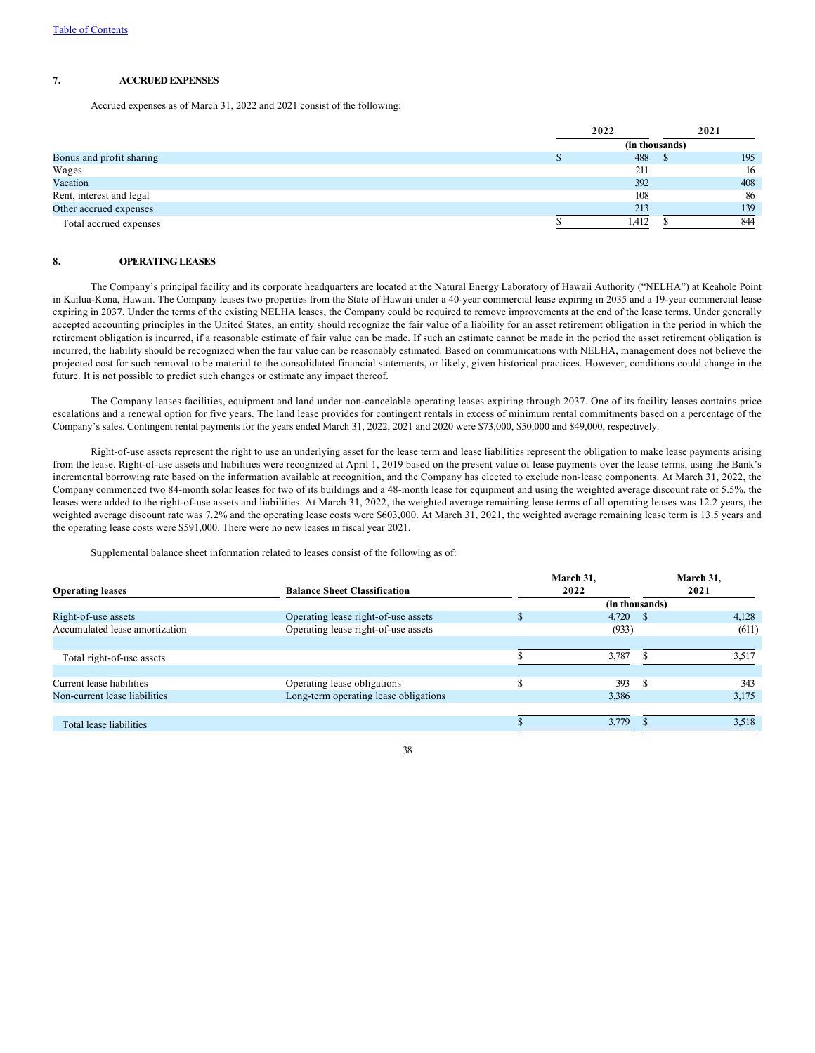#### **7. ACCRUED EXPENSES**

Accrued expenses as of March 31, 2022 and 2021 consist of the following:

|                          | 2022           |  | 2021 |
|--------------------------|----------------|--|------|
|                          | (in thousands) |  |      |
| Bonus and profit sharing | 488            |  | 195  |
| Wages                    | 211            |  | 16   |
| Vacation                 | 392            |  | 408  |
| Rent, interest and legal | 108            |  | 86   |
| Other accrued expenses   | 213            |  | 139  |
| Total accrued expenses   | 1.412          |  | 844  |

# **8. OPERATING LEASES**

The Company's principal facility and its corporate headquarters are located at the Natural Energy Laboratory of Hawaii Authority ("NELHA") at Keahole Point in Kailua-Kona, Hawaii. The Company leases two properties from the State of Hawaii under a 40-year commercial lease expiring in 2035 and a 19-year commercial lease expiring in 2037. Under the terms of the existing NELHA leases, the Company could be required to remove improvements at the end of the lease terms. Under generally accepted accounting principles in the United States, an entity should recognize the fair value of a liability for an asset retirement obligation in the period in which the retirement obligation is incurred, if a reasonable estimate of fair value can be made. If such an estimate cannot be made in the period the asset retirement obligation is incurred, the liability should be recognized when the fair value can be reasonably estimated. Based on communications with NELHA, management does not believe the projected cost for such removal to be material to the consolidated financial statements, or likely, given historical practices. However, conditions could change in the future. It is not possible to predict such changes or estimate any impact thereof.

The Company leases facilities, equipment and land under non-cancelable operating leases expiring through 2037. One of its facility leases contains price escalations and a renewal option for five years. The land lease provides for contingent rentals in excess of minimum rental commitments based on a percentage of the Company's sales. Contingent rental payments for the years ended March 31, 2022, 2021 and 2020 were \$73,000, \$50,000 and \$49,000, respectively.

Right-of-use assets represent the right to use an underlying asset for the lease term and lease liabilities represent the obligation to make lease payments arising from the lease. Right-of-use assets and liabilities were recognized at April 1, 2019 based on the present value of lease payments over the lease terms, using the Bank's incremental borrowing rate based on the information available at recognition, and the Company has elected to exclude non-lease components. At March 31, 2022, the Company commenced two 84-month solar leases for two of its buildings and a 48-month lease for equipment and using the weighted average discount rate of 5.5%, the leases were added to the right-of-use assets and liabilities. At March 31, 2022, the weighted average remaining lease terms of all operating leases was 12.2 years, the weighted average discount rate was 7.2% and the operating lease costs were \$603,000. At March 31, 2021, the weighted average remaining lease term is 13.5 years and the operating lease costs were \$591,000. There were no new leases in fiscal year 2021.

Supplemental balance sheet information related to leases consist of the following as of:

| <b>Balance Sheet Classification</b>   |   |       | March 31,<br>2021 |                |  |
|---------------------------------------|---|-------|-------------------|----------------|--|
|                                       |   |       |                   |                |  |
| Operating lease right-of-use assets   | æ | 4.720 |                   | 4,128          |  |
| Operating lease right-of-use assets   |   | (933) |                   | (611)          |  |
|                                       |   |       |                   |                |  |
|                                       |   | 3.787 |                   | 3,517          |  |
|                                       |   |       |                   |                |  |
| Operating lease obligations           | Φ | 393   |                   | 343            |  |
| Long-term operating lease obligations |   | 3,386 |                   | 3,175          |  |
|                                       |   |       |                   |                |  |
|                                       |   | 3.779 |                   | 3.518          |  |
|                                       |   |       | March 31,<br>2022 | (in thousands) |  |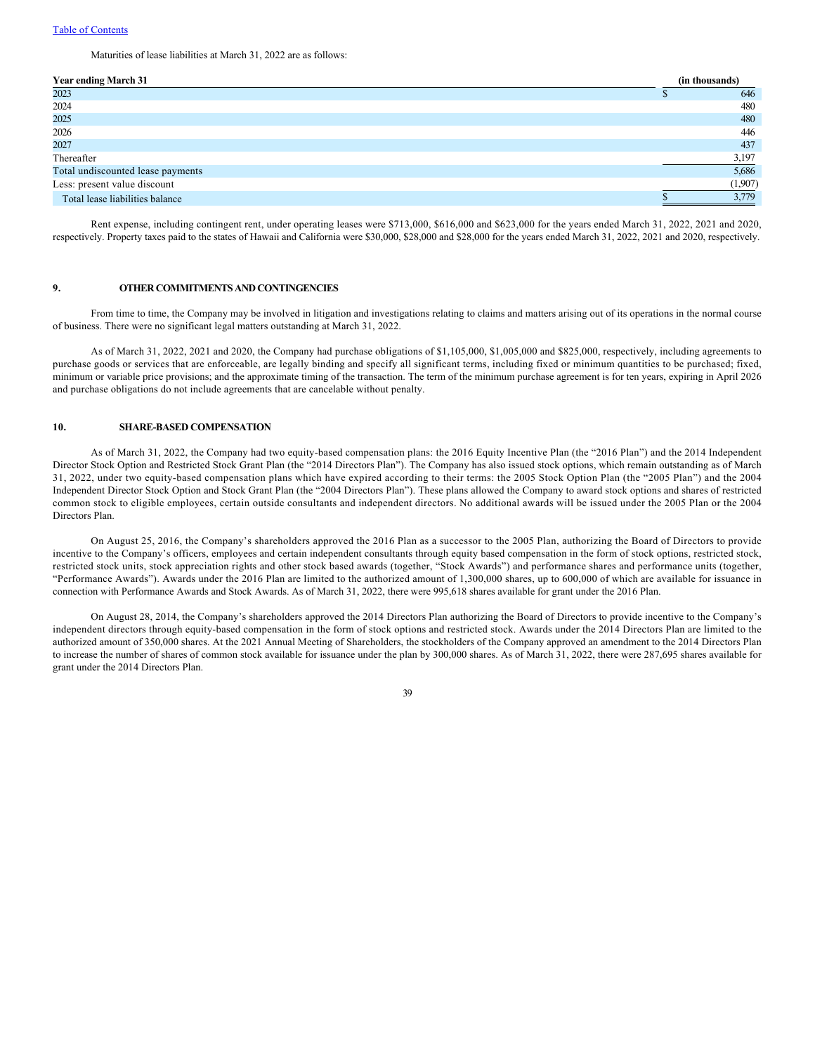#### [Table of Contents](#page-1-0)

Maturities of lease liabilities at March 31, 2022 are as follows:

| <b>Year ending March 31</b>       | (in thousands) |
|-----------------------------------|----------------|
| 2023                              | 646            |
| 2024                              | 480            |
| 2025                              | 480            |
| 2026                              | 446            |
| 2027                              | 437            |
| Thereafter                        | 3,197          |
| Total undiscounted lease payments | 5,686          |
| Less: present value discount      | (1,907)        |
| Total lease liabilities balance   | 3.779          |

Rent expense, including contingent rent, under operating leases were \$713,000, \$616,000 and \$623,000 for the years ended March 31, 2022, 2021 and 2020, respectively. Property taxes paid to the states of Hawaii and California were \$30,000, \$28,000 and \$28,000 for the years ended March 31, 2022, 2021 and 2020, respectively.

#### **9. OTHER COMMITMENTS AND CONTINGENCIES**

From time to time, the Company may be involved in litigation and investigations relating to claims and matters arising out of its operations in the normal course of business. There were no significant legal matters outstanding at March 31, 2022.

As of March 31, 2022, 2021 and 2020, the Company had purchase obligations of \$1,105,000, \$1,005,000 and \$825,000, respectively, including agreements to purchase goods or services that are enforceable, are legally binding and specify all significant terms, including fixed or minimum quantities to be purchased; fixed, minimum or variable price provisions; and the approximate timing of the transaction. The term of the minimum purchase agreement is for ten years, expiring in April 2026 and purchase obligations do not include agreements that are cancelable without penalty.

#### **10. SHARE-BASED COMPENSATION**

As of March 31, 2022, the Company had two equity-based compensation plans: the 2016 Equity Incentive Plan (the "2016 Plan") and the 2014 Independent Director Stock Option and Restricted Stock Grant Plan (the "2014 Directors Plan"). The Company has also issued stock options, which remain outstanding as of March 31, 2022, under two equity-based compensation plans which have expired according to their terms: the 2005 Stock Option Plan (the "2005 Plan") and the 2004 Independent Director Stock Option and Stock Grant Plan (the "2004 Directors Plan"). These plans allowed the Company to award stock options and shares of restricted common stock to eligible employees, certain outside consultants and independent directors. No additional awards will be issued under the 2005 Plan or the 2004 Directors Plan.

On August 25, 2016, the Company's shareholders approved the 2016 Plan as a successor to the 2005 Plan, authorizing the Board of Directors to provide incentive to the Company's officers, employees and certain independent consultants through equity based compensation in the form of stock options, restricted stock, restricted stock units, stock appreciation rights and other stock based awards (together, "Stock Awards") and performance shares and performance units (together, "Performance Awards"). Awards under the 2016 Plan are limited to the authorized amount of 1,300,000 shares, up to 600,000 of which are available for issuance in connection with Performance Awards and Stock Awards. As of March 31, 2022, there were 995,618 shares available for grant under the 2016 Plan.

On August 28, 2014, the Company's shareholders approved the 2014 Directors Plan authorizing the Board of Directors to provide incentive to the Company's independent directors through equity-based compensation in the form of stock options and restricted stock. Awards under the 2014 Directors Plan are limited to the authorized amount of 350,000 shares. At the 2021 Annual Meeting of Shareholders, the stockholders of the Company approved an amendment to the 2014 Directors Plan to increase the number of shares of common stock available for issuance under the plan by 300,000 shares. As of March 31, 2022, there were 287,695 shares available for grant under the 2014 Directors Plan.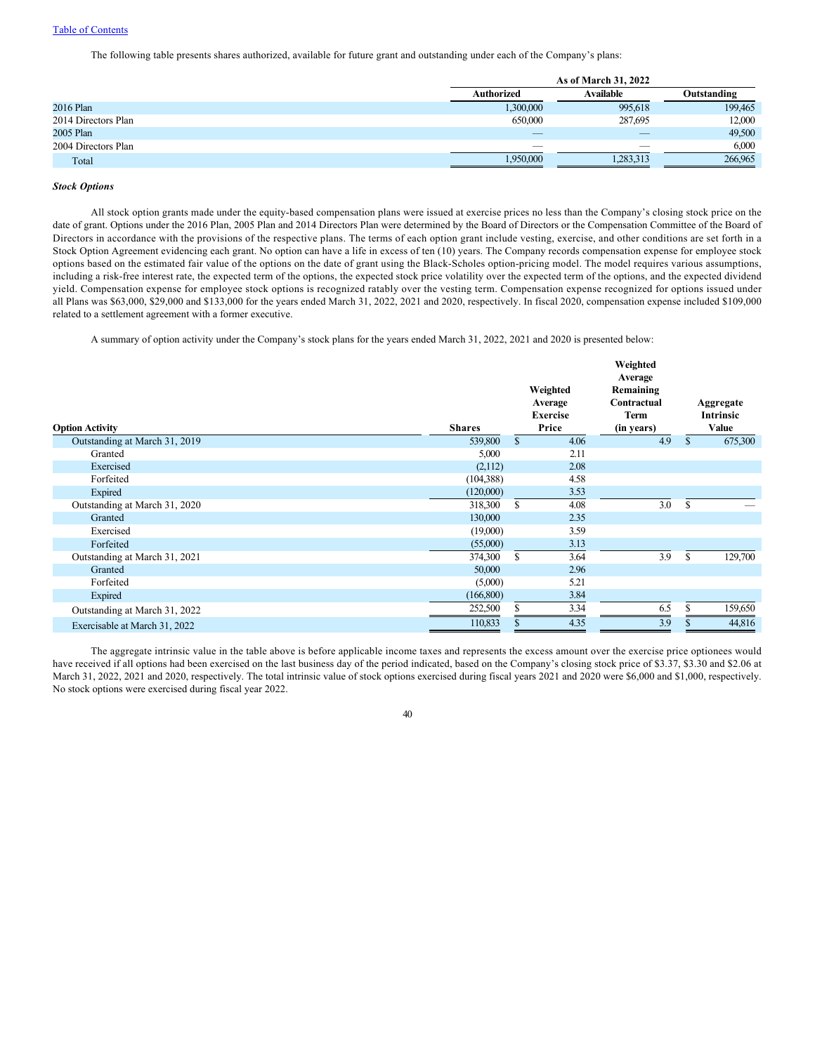The following table presents shares authorized, available for future grant and outstanding under each of the Company's plans:

|                     | As of March 31, 2022 |           |             |  |
|---------------------|----------------------|-----------|-------------|--|
|                     | <b>Authorized</b>    | Available | Outstanding |  |
| 2016 Plan           | 1,300,000            | 995,618   | 199,465     |  |
| 2014 Directors Plan | 650,000              | 287,695   | 12,000      |  |
| 2005 Plan           | __                   |           | 49,500      |  |
| 2004 Directors Plan |                      |           | 6,000       |  |
| Total               | 1,950,000            | 1,283,313 | 266,965     |  |
|                     |                      |           |             |  |

#### *Stock Options*

All stock option grants made under the equity-based compensation plans were issued at exercise prices no less than the Company's closing stock price on the date of grant. Options under the 2016 Plan, 2005 Plan and 2014 Directors Plan were determined by the Board of Directors or the Compensation Committee of the Board of Directors in accordance with the provisions of the respective plans. The terms of each option grant include vesting, exercise, and other conditions are set forth in a Stock Option Agreement evidencing each grant. No option can have a life in excess of ten (10) years. The Company records compensation expense for employee stock options based on the estimated fair value of the options on the date of grant using the Black-Scholes option-pricing model. The model requires various assumptions, including a risk-free interest rate, the expected term of the options, the expected stock price volatility over the expected term of the options, and the expected dividend yield. Compensation expense for employee stock options is recognized ratably over the vesting term. Compensation expense recognized for options issued under all Plans was \$63,000, \$29,000 and \$133,000 for the years ended March 31, 2022, 2021 and 2020, respectively. In fiscal 2020, compensation expense included \$109,000 related to a settlement agreement with a former executive.

A summary of option activity under the Company's stock plans for the years ended March 31, 2022, 2021 and 2020 is presented below:

| <b>Option Activity</b>        | <b>Shares</b> |              | Weighted<br>Average<br><b>Exercise</b><br>Price | Weighted<br>Average<br>Remaining<br>Contractual<br>Term<br>(in years) |    | Aggregate<br><b>Intrinsic</b><br>Value |
|-------------------------------|---------------|--------------|-------------------------------------------------|-----------------------------------------------------------------------|----|----------------------------------------|
| Outstanding at March 31, 2019 | 539,800       | $\mathbb{S}$ | 4.06                                            | 4.9                                                                   |    | 675,300                                |
| Granted                       | 5,000         |              | 2.11                                            |                                                                       |    |                                        |
| Exercised                     | (2,112)       |              | 2.08                                            |                                                                       |    |                                        |
| Forfeited                     | (104,388)     |              | 4.58                                            |                                                                       |    |                                        |
| Expired                       | (120,000)     |              | 3.53                                            |                                                                       |    |                                        |
| Outstanding at March 31, 2020 | 318,300       | S            | 4.08                                            | 3.0                                                                   | \$ |                                        |
| Granted                       | 130,000       |              | 2.35                                            |                                                                       |    |                                        |
| Exercised                     | (19,000)      |              | 3.59                                            |                                                                       |    |                                        |
| Forfeited                     | (55,000)      |              | 3.13                                            |                                                                       |    |                                        |
| Outstanding at March 31, 2021 | 374,300       | S            | 3.64                                            | 3.9                                                                   | S  | 129,700                                |
| Granted                       | 50,000        |              | 2.96                                            |                                                                       |    |                                        |
| Forfeited                     | (5,000)       |              | 5.21                                            |                                                                       |    |                                        |
| Expired                       | (166, 800)    |              | 3.84                                            |                                                                       |    |                                        |
| Outstanding at March 31, 2022 | 252,500       |              | 3.34                                            | 6.5                                                                   |    | 159,650                                |
| Exercisable at March 31, 2022 | 110,833       |              | 4.35                                            | 3.9                                                                   |    | 44,816                                 |

The aggregate intrinsic value in the table above is before applicable income taxes and represents the excess amount over the exercise price optionees would have received if all options had been exercised on the last business day of the period indicated, based on the Company's closing stock price of \$3.37, \$3.30 and \$2.06 at March 31, 2022, 2021 and 2020, respectively. The total intrinsic value of stock options exercised during fiscal years 2021 and 2020 were \$6,000 and \$1,000, respectively. No stock options were exercised during fiscal year 2022.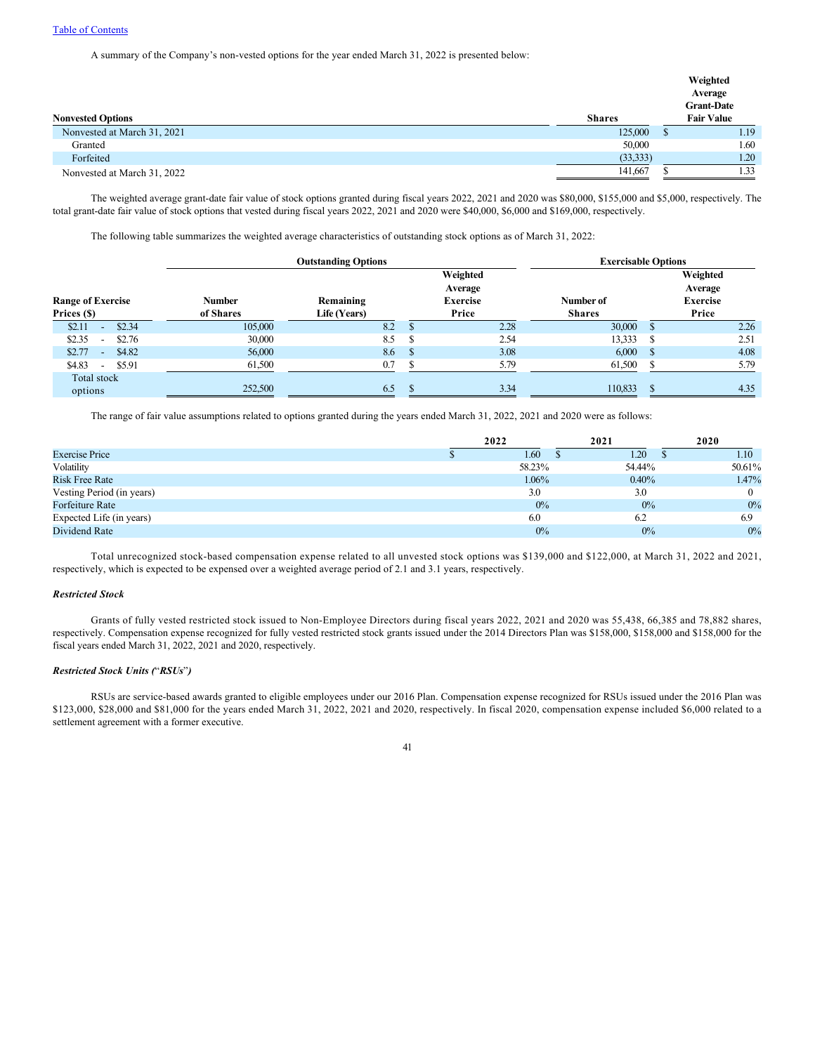A summary of the Company's non-vested options for the year ended March 31, 2022 is presented below:

|                             |               | Weighted<br>Average<br><b>Grant-Date</b> |
|-----------------------------|---------------|------------------------------------------|
| <b>Nonvested Options</b>    | <b>Shares</b> | <b>Fair Value</b>                        |
| Nonvested at March 31, 2021 | 125,000       | 1.19                                     |
| Granted                     | 50,000        | 1.60                                     |
| Forfeited                   | (33,333)      | 1.20                                     |
| Nonvested at March 31, 2022 | 141,667       | 1.33                                     |

The weighted average grant-date fair value of stock options granted during fiscal years 2022, 2021 and 2020 was \$80,000, \$155,000 and \$5,000, respectively. The total grant-date fair value of stock options that vested during fiscal years 2022, 2021 and 2020 were \$40,000, \$6,000 and \$169,000, respectively.

The following table summarizes the weighted average characteristics of outstanding stock options as of March 31, 2022:

|                            |               | <b>Outstanding Options</b> | <b>Exercisable Options</b> |                                        |               |   |                                        |
|----------------------------|---------------|----------------------------|----------------------------|----------------------------------------|---------------|---|----------------------------------------|
| <b>Range of Exercise</b>   | <b>Number</b> | Remaining                  |                            | Weighted<br>Average<br><b>Exercise</b> | Number of     |   | Weighted<br>Average<br><b>Exercise</b> |
| Prices (\$)                | of Shares     | Life (Years)               |                            | Price                                  | <b>Shares</b> |   | Price                                  |
| \$2.11<br>\$2.34<br>۰      | 105,000       | 8.2                        |                            | 2.28                                   | 30,000        |   | 2.26                                   |
| \$2.35<br>\$2.76<br>۰      | 30,000        | 8.5                        |                            | 2.54                                   | 13,333        | S | 2.51                                   |
| \$2.77<br>\$4.82<br>۰      | 56,000        | 8.6                        | - \$                       | 3.08                                   | 6,000         | S | 4.08                                   |
| \$4.83<br>\$5.91<br>$\sim$ | 61,500        | 0.7                        |                            | 5.79                                   | 61,500        |   | 5.79                                   |
| Total stock                |               |                            |                            |                                        |               |   |                                        |
| options                    | 252,500       | 6.5                        |                            | 3.34                                   | 110,833       |   | 4.35                                   |

The range of fair value assumptions related to options granted during the years ended March 31, 2022, 2021 and 2020 were as follows:

|                           | 2022   | 2021     | 2020   |
|---------------------------|--------|----------|--------|
| <b>Exercise Price</b>     | 1.60   | 1.20     | 1.10   |
| Volatility                | 58.23% | 54.44%   | 50.61% |
| <b>Risk Free Rate</b>     | 1.06%  | $0.40\%$ | 1.47%  |
| Vesting Period (in years) | 3.0    | 3.0      |        |
| Forfeiture Rate           | $0\%$  | $0\%$    | $0\%$  |
| Expected Life (in years)  | 6.0    | 6.2      | 6.9    |
| Dividend Rate             | $0\%$  | 0%       | 0%     |

Total unrecognized stock-based compensation expense related to all unvested stock options was \$139,000 and \$122,000, at March 31, 2022 and 2021, respectively, which is expected to be expensed over a weighted average period of 2.1 and 3.1 years, respectively.

# *Restricted Stock*

Grants of fully vested restricted stock issued to Non-Employee Directors during fiscal years 2022, 2021 and 2020 was 55,438, 66,385 and 78,882 shares, respectively. Compensation expense recognized for fully vested restricted stock grants issued under the 2014 Directors Plan was \$158,000, \$158,000 and \$158,000 for the fiscal years ended March 31, 2022, 2021 and 2020, respectively.

#### *Restricted Stock Units (*"*RSUs*"*)*

RSUs are service-based awards granted to eligible employees under our 2016 Plan. Compensation expense recognized for RSUs issued under the 2016 Plan was \$123,000, \$28,000 and \$81,000 for the years ended March 31, 2022, 2021 and 2020, respectively. In fiscal 2020, compensation expense included \$6,000 related to a settlement agreement with a former executive.

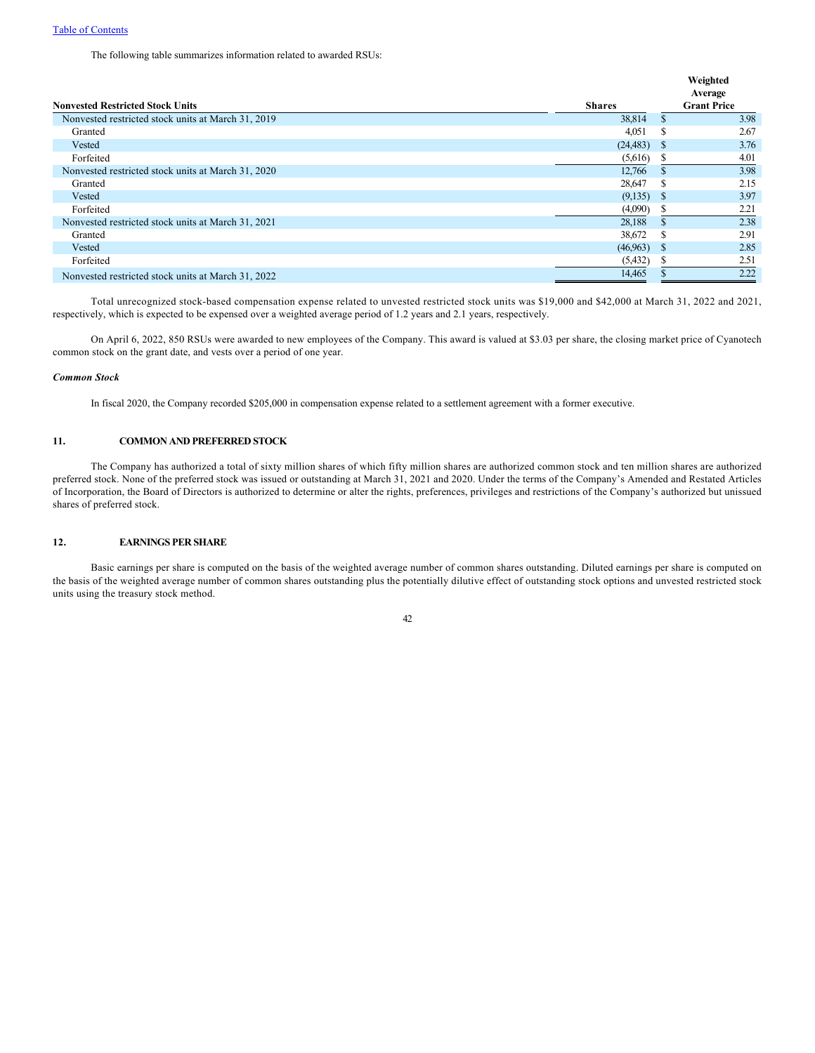The following table summarizes information related to awarded RSUs:

|                                                    |               |      | Weighted<br>Average |
|----------------------------------------------------|---------------|------|---------------------|
| <b>Nonvested Restricted Stock Units</b>            | <b>Shares</b> |      | <b>Grant Price</b>  |
| Nonvested restricted stock units at March 31, 2019 | 38,814        |      | 3.98                |
| Granted                                            | 4,051         | -S   | 2.67                |
| Vested                                             | $(24,483)$ \$ |      | 3.76                |
| Forfeited                                          | (5,616)       | -S   | 4.01                |
| Nonvested restricted stock units at March 31, 2020 | 12,766        |      | 3.98                |
| Granted                                            | 28,647        | -S   | 2.15                |
| Vested                                             | (9,135)       | - \$ | 3.97                |
| Forfeited                                          | (4,090)       |      | 2.21                |
| Nonvested restricted stock units at March 31, 2021 | 28,188        |      | 2.38                |
| Granted                                            | 38,672        | \$.  | 2.91                |
| Vested                                             | (46,963)      | - \$ | 2.85                |
| Forfeited                                          | (5,432)       | -S   | 2.51                |
| Nonvested restricted stock units at March 31, 2022 | 14,465        |      | 2.22                |

Total unrecognized stock-based compensation expense related to unvested restricted stock units was \$19,000 and \$42,000 at March 31, 2022 and 2021, respectively, which is expected to be expensed over a weighted average period of 1.2 years and 2.1 years, respectively.

On April 6, 2022, 850 RSUs were awarded to new employees of the Company. This award is valued at \$3.03 per share, the closing market price of Cyanotech common stock on the grant date, and vests over a period of one year.

#### *Common Stock*

In fiscal 2020, the Company recorded \$205,000 in compensation expense related to a settlement agreement with a former executive.

### **11. COMMON AND PREFERRED STOCK**

The Company has authorized a total of sixty million shares of which fifty million shares are authorized common stock and ten million shares are authorized preferred stock. None of the preferred stock was issued or outstanding at March 31, 2021 and 2020. Under the terms of the Company's Amended and Restated Articles of Incorporation, the Board of Directors is authorized to determine or alter the rights, preferences, privileges and restrictions of the Company's authorized but unissued shares of preferred stock.

#### **12. EARNINGS PER SHARE**

Basic earnings per share is computed on the basis of the weighted average number of common shares outstanding. Diluted earnings per share is computed on the basis of the weighted average number of common shares outstanding plus the potentially dilutive effect of outstanding stock options and unvested restricted stock units using the treasury stock method.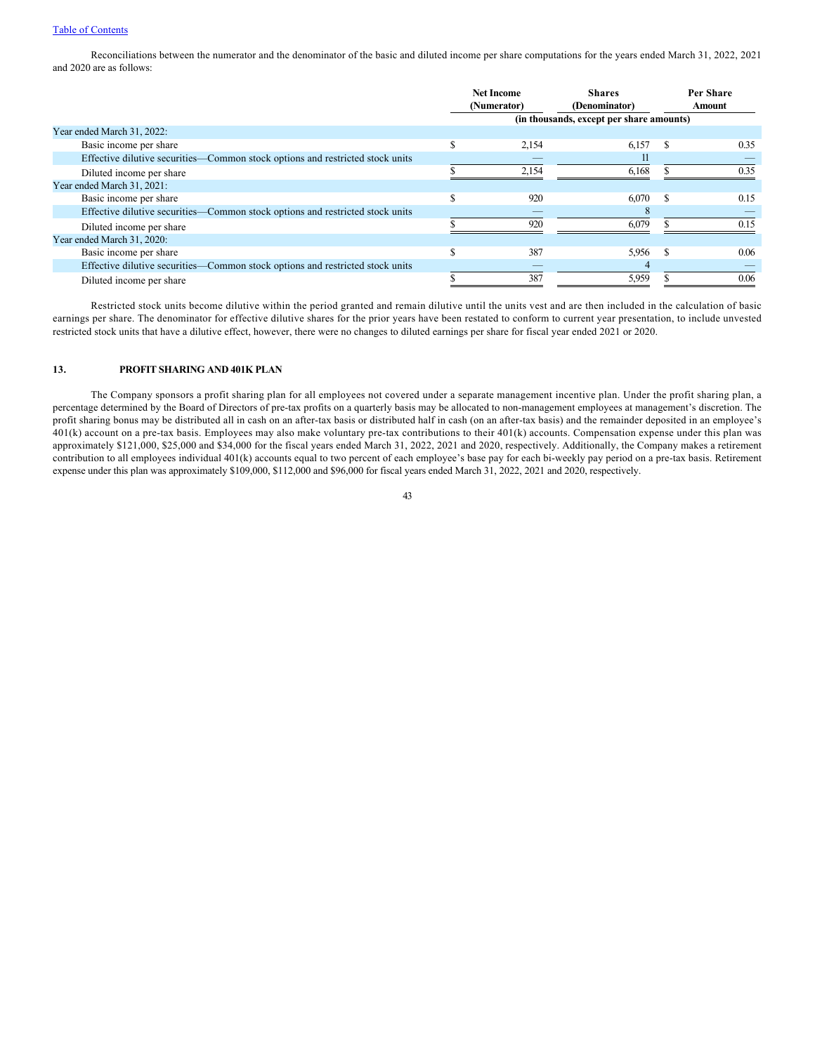#### [Table of Contents](#page-1-0)

Reconciliations between the numerator and the denominator of the basic and diluted income per share computations for the years ended March 31, 2022, 2021 and 2020 are as follows:

|                                                                               |  | <b>Net Income</b><br><b>Shares</b><br>(Denominator)<br>(Numerator) |                                          | Per Share<br>Amount |      |
|-------------------------------------------------------------------------------|--|--------------------------------------------------------------------|------------------------------------------|---------------------|------|
|                                                                               |  |                                                                    | (in thousands, except per share amounts) |                     |      |
| Year ended March 31, 2022:                                                    |  |                                                                    |                                          |                     |      |
| Basic income per share                                                        |  | 2,154                                                              | 6,157                                    |                     | 0.35 |
| Effective dilutive securities—Common stock options and restricted stock units |  |                                                                    |                                          |                     |      |
| Diluted income per share                                                      |  | 2,154                                                              | 6,168                                    |                     | 0.35 |
| Year ended March 31, 2021:                                                    |  |                                                                    |                                          |                     |      |
| Basic income per share                                                        |  | 920                                                                | 6,070                                    |                     | 0.15 |
| Effective dilutive securities—Common stock options and restricted stock units |  |                                                                    |                                          |                     |      |
| Diluted income per share                                                      |  | 920                                                                | 6,079                                    |                     | 0.15 |
| Year ended March 31, 2020:                                                    |  |                                                                    |                                          |                     |      |
| Basic income per share                                                        |  | 387                                                                | 5,956                                    |                     | 0.06 |
| Effective dilutive securities-Common stock options and restricted stock units |  |                                                                    |                                          |                     |      |
| Diluted income per share                                                      |  | 387                                                                | 5,959                                    |                     | 0.06 |

Restricted stock units become dilutive within the period granted and remain dilutive until the units vest and are then included in the calculation of basic earnings per share. The denominator for effective dilutive shares for the prior years have been restated to conform to current year presentation, to include unvested restricted stock units that have a dilutive effect, however, there were no changes to diluted earnings per share for fiscal year ended 2021 or 2020.

#### **13. PROFIT SHARING AND 401K PLAN**

The Company sponsors a profit sharing plan for all employees not covered under a separate management incentive plan. Under the profit sharing plan, a percentage determined by the Board of Directors of pre-tax profits on a quarterly basis may be allocated to non-management employees at management's discretion. The profit sharing bonus may be distributed all in cash on an after-tax basis or distributed half in cash (on an after-tax basis) and the remainder deposited in an employee's 401(k) account on a pre-tax basis. Employees may also make voluntary pre-tax contributions to their 401(k) accounts. Compensation expense under this plan was approximately \$121,000, \$25,000 and \$34,000 for the fiscal years ended March 31, 2022, 2021 and 2020, respectively. Additionally, the Company makes a retirement contribution to all employees individual 401(k) accounts equal to two percent of each employee's base pay for each bi-weekly pay period on a pre-tax basis. Retirement expense under this plan was approximately \$109,000, \$112,000 and \$96,000 for fiscal years ended March 31, 2022, 2021 and 2020, respectively.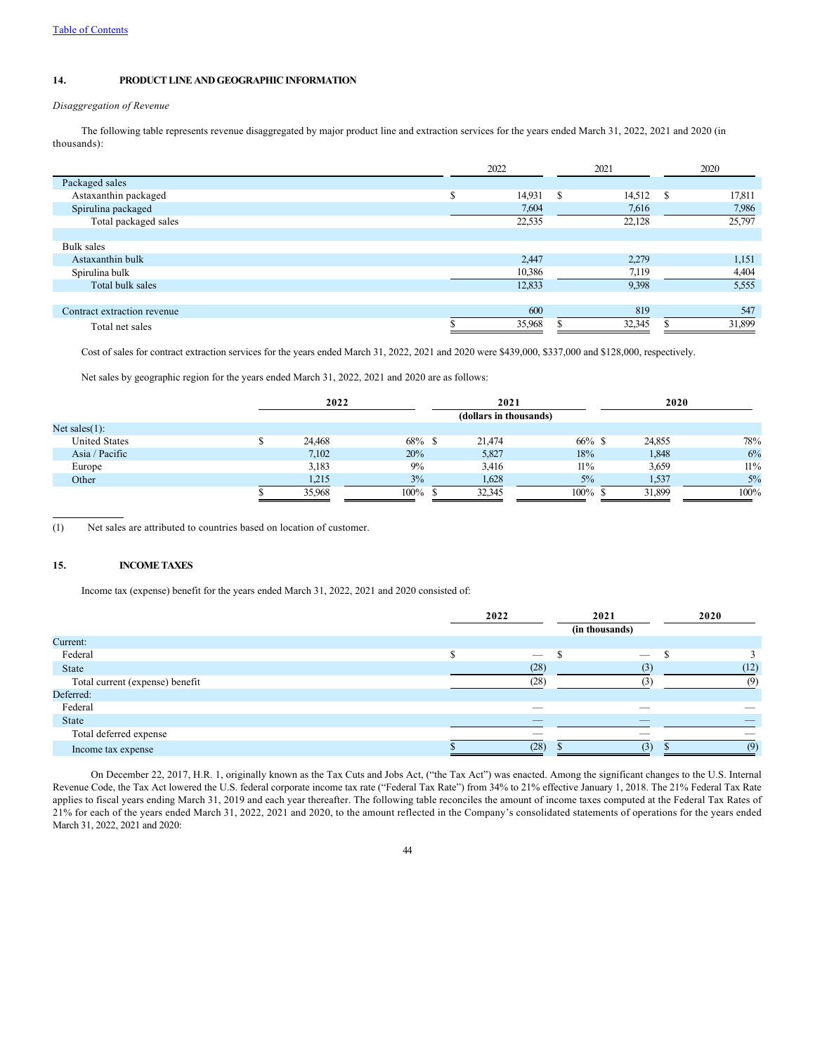### **14. PRODUCT LINE AND GEOGRAPHIC INFORMATION**

#### *Disaggregation of Revenue*

The following table represents revenue disaggregated by major product line and extraction services for the years ended March 31, 2022, 2021 and 2020 (in thousands):

|                             |   | 2022   | 2021         |   | 2020   |
|-----------------------------|---|--------|--------------|---|--------|
| Packaged sales              |   |        |              |   |        |
| Astaxanthin packaged        | S | 14,931 | -S<br>14,512 | S | 17,811 |
| Spirulina packaged          |   | 7,604  | 7,616        |   | 7,986  |
| Total packaged sales        |   | 22,535 | 22,128       |   | 25,797 |
|                             |   |        |              |   |        |
| Bulk sales                  |   |        |              |   |        |
| Astaxanthin bulk            |   | 2,447  | 2,279        |   | 1,151  |
| Spirulina bulk              |   | 10,386 | 7,119        |   | 4,404  |
| Total bulk sales            |   | 12,833 | 9,398        |   | 5,555  |
|                             |   |        |              |   |        |
| Contract extraction revenue |   | 600    | 819          |   | 547    |
| Total net sales             |   | 35,968 | 32,345       |   | 31,899 |

Cost of sales for contract extraction services for the years ended March 31, 2022, 2021 and 2020 were \$439,000, \$337,000 and \$128,000, respectively.

Net sales by geographic region for the years ended March 31, 2022, 2021 and 2020 are as follows:

|                      | 2022   |           |                        | 2021       |        | 2020   |
|----------------------|--------|-----------|------------------------|------------|--------|--------|
|                      |        |           | (dollars in thousands) |            |        |        |
| Net sales $(1)$ :    |        |           |                        |            |        |        |
| <b>United States</b> | 24,468 | $68\%$ \$ | 21,474                 | $66\%$ \$  | 24,855 | 78%    |
| Asia / Pacific       | 7,102  | 20%       | 5,827                  | 18%        | 1,848  | 6%     |
| Europe               | 3,183  | 9%        | 3,416                  | $11\%$     | 3,659  | $11\%$ |
| Other                | 1,215  | 3%        | 1,628                  | 5%         | 1,537  | 5%     |
|                      | 35,968 | 100%      | 32,345                 | $100\%$ \$ | 31,899 | 100%   |

(1) Net sales are attributed to countries based on location of customer.

### **15. INCOME TAXES**

Income tax (expense) benefit for the years ended March 31, 2022, 2021 and 2020 consisted of:

|                                 | 2022 |                          | 2021<br>(in thousands)         | 2020 |      |
|---------------------------------|------|--------------------------|--------------------------------|------|------|
|                                 |      |                          |                                |      |      |
| Current:                        |      |                          |                                |      |      |
| Federal                         |      |                          | $\overline{\phantom{a}}$       |      |      |
| State                           |      | (28)                     | (3)                            |      | (12) |
| Total current (expense) benefit |      | (28)                     |                                |      | (9)  |
| Deferred:                       |      |                          |                                |      |      |
| Federal                         |      | $\overline{\phantom{a}}$ | $\overline{\phantom{a}}$       |      | __   |
| State                           |      | ___                      | $\overbrace{\hspace{25mm}}^{}$ |      | __   |
| Total deferred expense          |      | $\overline{\phantom{a}}$ | $\overbrace{\hspace{25mm}}^{}$ |      |      |
| Income tax expense              |      | (28)                     | (3)                            |      | (9)  |

On December 22, 2017, H.R. 1, originally known as the Tax Cuts and Jobs Act, ("the Tax Act") was enacted. Among the significant changes to the U.S. Internal Revenue Code, the Tax Act lowered the U.S. federal corporate income tax rate ("Federal Tax Rate") from 34% to 21% effective January 1, 2018. The 21% Federal Tax Rate applies to fiscal years ending March 31, 2019 and each year thereafter. The following table reconciles the amount of income taxes computed at the Federal Tax Rates of 21% for each of the years ended March 31, 2022, 2021 and 2020, to the amount reflected in the Company's consolidated statements of operations for the years ended March 31, 2022, 2021 and 2020: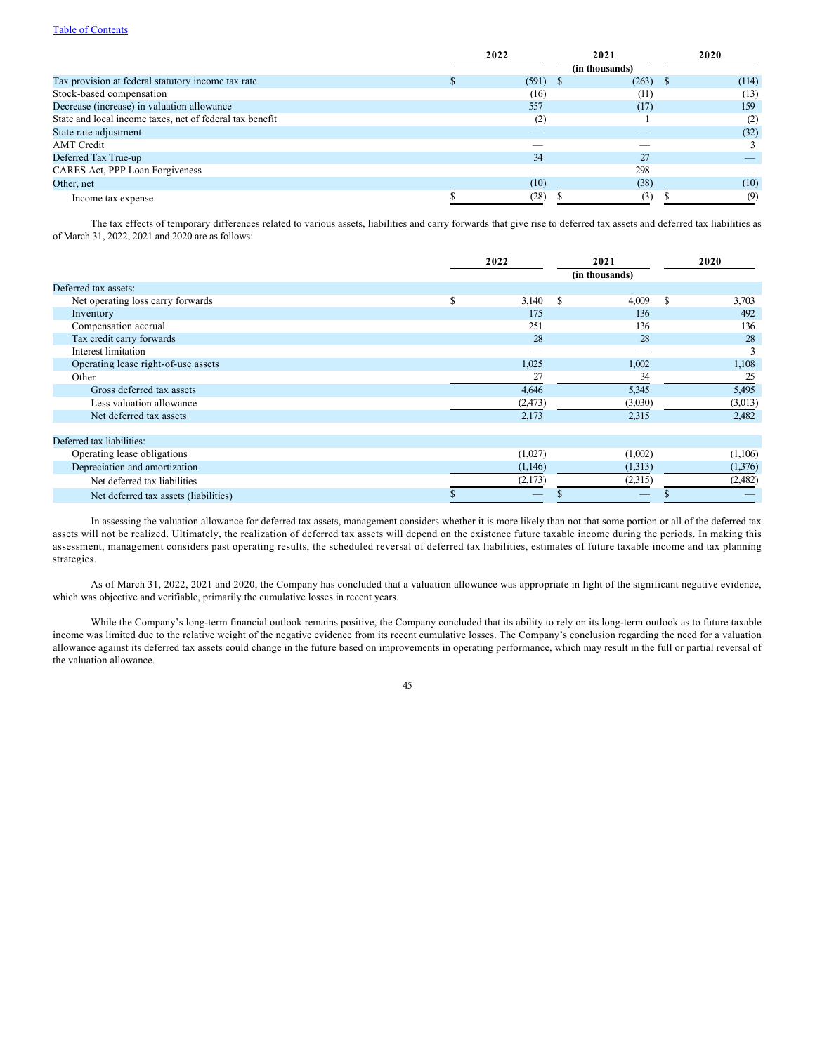#### [Table of Contents](#page-1-0)

|                                                          | 2022 |       | 2021                     |  | 2020  |
|----------------------------------------------------------|------|-------|--------------------------|--|-------|
|                                                          |      |       | (in thousands)           |  |       |
| Tax provision at federal statutory income tax rate       |      | (591) | $(263)$ \$               |  | (114) |
| Stock-based compensation                                 |      | (16)  | (11)                     |  | (13)  |
| Decrease (increase) in valuation allowance               |      | 557   | (17)                     |  | 159   |
| State and local income taxes, net of federal tax benefit |      | (2)   |                          |  | (2)   |
| State rate adjustment                                    |      | __    | $\overline{\phantom{a}}$ |  | (32)  |
| AMT Credit                                               |      |       | __                       |  |       |
| Deferred Tax True-up                                     |      | 34    | 27                       |  |       |
| CARES Act, PPP Loan Forgiveness                          |      |       | 298                      |  |       |
| Other, net                                               |      | (10)  | (38)                     |  | (10)  |
| Income tax expense                                       |      | (28)  | 13                       |  | (9)   |

The tax effects of temporary differences related to various assets, liabilities and carry forwards that give rise to deferred tax assets and deferred tax liabilities as of March 31, 2022, 2021 and 2020 are as follows:

|                                       | 2022 |         | 2021           | 2020        |
|---------------------------------------|------|---------|----------------|-------------|
|                                       |      |         | (in thousands) |             |
| Deferred tax assets:                  |      |         |                |             |
| Net operating loss carry forwards     | \$   | 3,140   | -S<br>4,009    | -S<br>3,703 |
| Inventory                             |      | 175     | 136            | 492         |
| Compensation accrual                  |      | 251     | 136            | 136         |
| Tax credit carry forwards             |      | 28      | 28             | 28          |
| Interest limitation                   |      |         |                | 3           |
| Operating lease right-of-use assets   |      | 1,025   | 1,002          | 1,108       |
| Other                                 |      | 27      | 34             | 25          |
| Gross deferred tax assets             |      | 4,646   | 5,345          | 5,495       |
| Less valuation allowance              |      | (2,473) | (3,030)        | (3,013)     |
| Net deferred tax assets               |      | 2,173   | 2,315          | 2,482       |
|                                       |      |         |                |             |
| Deferred tax liabilities:             |      |         |                |             |
| Operating lease obligations           |      | (1,027) | (1,002)        | (1,106)     |
| Depreciation and amortization         |      | (1,146) | (1,313)        | (1,376)     |
| Net deferred tax liabilities          |      | (2,173) | (2,315)        | (2,482)     |
| Net deferred tax assets (liabilities) |      |         |                |             |

In assessing the valuation allowance for deferred tax assets, management considers whether it is more likely than not that some portion or all of the deferred tax assets will not be realized. Ultimately, the realization of deferred tax assets will depend on the existence future taxable income during the periods. In making this assessment, management considers past operating results, the scheduled reversal of deferred tax liabilities, estimates of future taxable income and tax planning strategies.

As of March 31, 2022, 2021 and 2020, the Company has concluded that a valuation allowance was appropriate in light of the significant negative evidence, which was objective and verifiable, primarily the cumulative losses in recent years.

While the Company's long-term financial outlook remains positive, the Company concluded that its ability to rely on its long-term outlook as to future taxable income was limited due to the relative weight of the negative evidence from its recent cumulative losses. The Company's conclusion regarding the need for a valuation allowance against its deferred tax assets could change in the future based on improvements in operating performance, which may result in the full or partial reversal of the valuation allowance.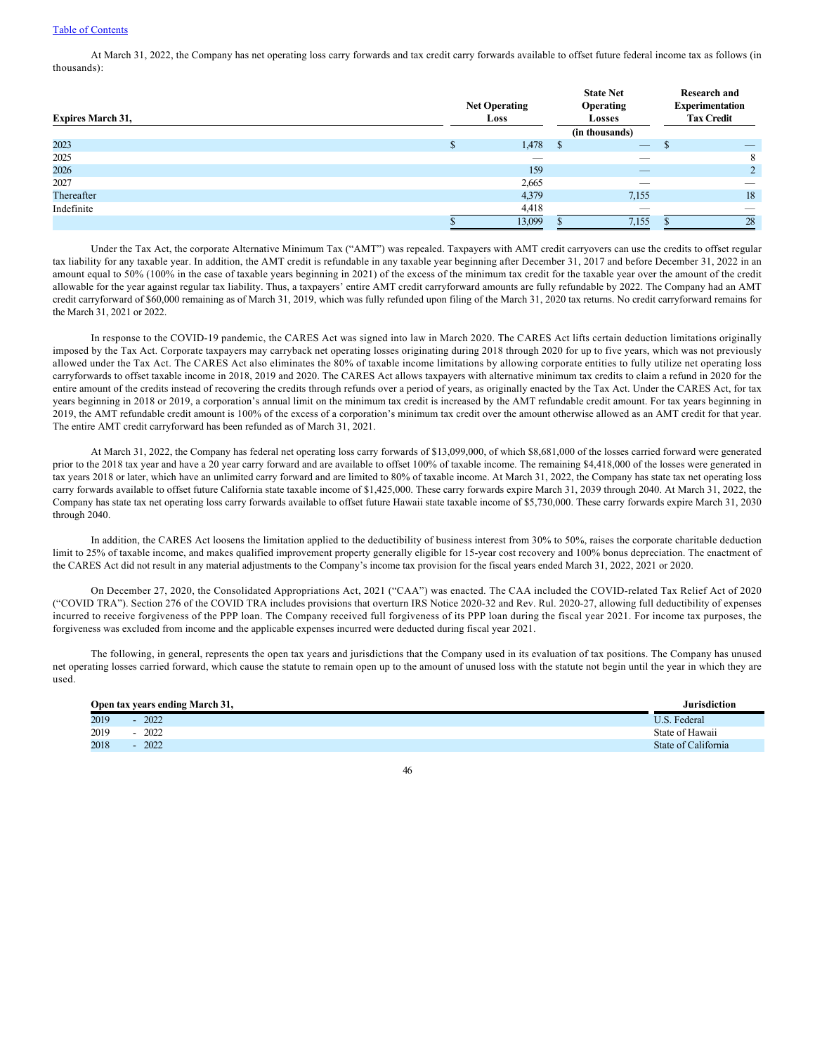#### [Table of Contents](#page-1-0)

At March 31, 2022, the Company has net operating loss carry forwards and tax credit carry forwards available to offset future federal income tax as follows (in thousands):

| <b>Expires March 31,</b> |    | <b>Net Operating</b><br>Loss | <b>State Net</b><br>Operating<br>Losses | <b>Research and</b><br><b>Experimentation</b><br><b>Tax Credit</b> |  |
|--------------------------|----|------------------------------|-----------------------------------------|--------------------------------------------------------------------|--|
|                          |    |                              | (in thousands)                          |                                                                    |  |
| 2023                     | D. | 1,478                        | -S<br>$\overbrace{\hspace{25mm}}^{}$    | D                                                                  |  |
| 2025                     |    | __                           | $\overbrace{\hspace{25mm}}^{}$          | 8                                                                  |  |
| 2026                     |    | 159                          | $\overbrace{\hspace{25mm}}^{}$          |                                                                    |  |
| 2027                     |    | 2,665                        | $\overbrace{\hspace{25mm}}^{}$          |                                                                    |  |
| Thereafter               |    | 4,379                        | 7,155                                   | 18                                                                 |  |
| Indefinite               |    | 4,418                        | $\overbrace{\hspace{25mm}}^{}$          | __                                                                 |  |
|                          |    | 13,099                       | 7,155                                   | 28                                                                 |  |

Under the Tax Act, the corporate Alternative Minimum Tax ("AMT") was repealed. Taxpayers with AMT credit carryovers can use the credits to offset regular tax liability for any taxable year. In addition, the AMT credit is refundable in any taxable year beginning after December 31, 2017 and before December 31, 2022 in an amount equal to 50% (100% in the case of taxable years beginning in 2021) of the excess of the minimum tax credit for the taxable year over the amount of the credit allowable for the year against regular tax liability. Thus, a taxpayers' entire AMT credit carryforward amounts are fully refundable by 2022. The Company had an AMT credit carryforward of \$60,000 remaining as of March 31, 2019, which was fully refunded upon filing of the March 31, 2020 tax returns. No credit carryforward remains for the March 31, 2021 or 2022.

In response to the COVID-19 pandemic, the CARES Act was signed into law in March 2020. The CARES Act lifts certain deduction limitations originally imposed by the Tax Act. Corporate taxpayers may carryback net operating losses originating during 2018 through 2020 for up to five years, which was not previously allowed under the Tax Act. The CARES Act also eliminates the 80% of taxable income limitations by allowing corporate entities to fully utilize net operating loss carryforwards to offset taxable income in 2018, 2019 and 2020. The CARES Act allows taxpayers with alternative minimum tax credits to claim a refund in 2020 for the entire amount of the credits instead of recovering the credits through refunds over a period of years, as originally enacted by the Tax Act. Under the CARES Act, for tax years beginning in 2018 or 2019, a corporation's annual limit on the minimum tax credit is increased by the AMT refundable credit amount. For tax years beginning in 2019, the AMT refundable credit amount is 100% of the excess of a corporation's minimum tax credit over the amount otherwise allowed as an AMT credit for that year. The entire AMT credit carryforward has been refunded as of March 31, 2021.

At March 31, 2022, the Company has federal net operating loss carry forwards of \$13,099,000, of which \$8,681,000 of the losses carried forward were generated prior to the 2018 tax year and have a 20 year carry forward and are available to offset 100% of taxable income. The remaining \$4,418,000 of the losses were generated in tax years 2018 or later, which have an unlimited carry forward and are limited to 80% of taxable income. At March 31, 2022, the Company has state tax net operating loss carry forwards available to offset future California state taxable income of \$1,425,000. These carry forwards expire March 31, 2039 through 2040. At March 31, 2022, the Company has state tax net operating loss carry forwards available to offset future Hawaii state taxable income of \$5,730,000. These carry forwards expire March 31, 2030 through 2040.

In addition, the CARES Act loosens the limitation applied to the deductibility of business interest from 30% to 50%, raises the corporate charitable deduction limit to 25% of taxable income, and makes qualified improvement property generally eligible for 15-year cost recovery and 100% bonus depreciation. The enactment of the CARES Act did not result in any material adjustments to the Company's income tax provision for the fiscal years ended March 31, 2022, 2021 or 2020.

On December 27, 2020, the Consolidated Appropriations Act, 2021 ("CAA") was enacted. The CAA included the COVID-related Tax Relief Act of 2020 ("COVID TRA"). Section 276 of the COVID TRA includes provisions that overturn IRS Notice 2020-32 and Rev. Rul. 2020-27, allowing full deductibility of expenses incurred to receive forgiveness of the PPP loan. The Company received full forgiveness of its PPP loan during the fiscal year 2021. For income tax purposes, the forgiveness was excluded from income and the applicable expenses incurred were deducted during fiscal year 2021.

The following, in general, represents the open tax years and jurisdictions that the Company used in its evaluation of tax positions. The Company has unused net operating losses carried forward, which cause the statute to remain open up to the amount of unused loss with the statute not begin until the year in which they are used.

|      | Open tax years ending March 31, | Jurisdiction        |
|------|---------------------------------|---------------------|
| 2019 | 2022                            | U.S. Federal        |
| 2019 | 2022                            | State of Hawaii     |
| 2018 | 2022                            | State of California |

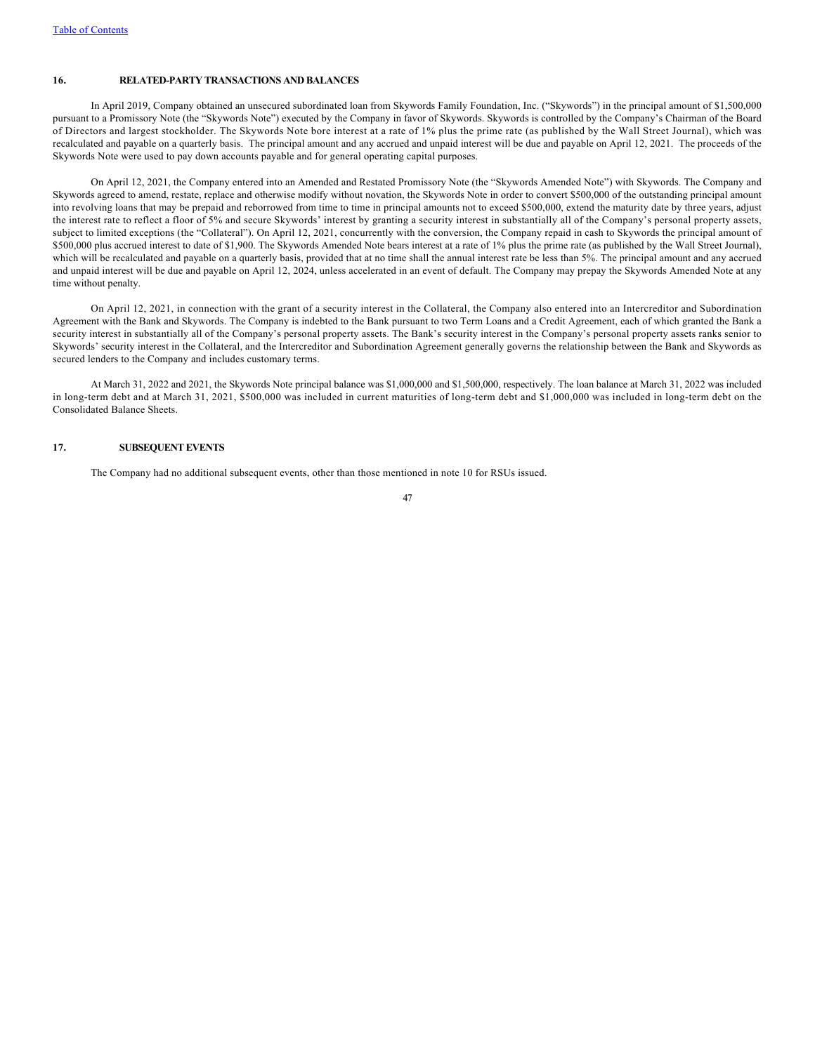#### **16. RELATED-PARTY TRANSACTIONS AND BALANCES**

In April 2019, Company obtained an unsecured subordinated loan from Skywords Family Foundation, Inc. ("Skywords") in the principal amount of \$1,500,000 pursuant to a Promissory Note (the "Skywords Note") executed by the Company in favor of Skywords. Skywords is controlled by the Company's Chairman of the Board of Directors and largest stockholder. The Skywords Note bore interest at a rate of 1% plus the prime rate (as published by the Wall Street Journal), which was recalculated and payable on a quarterly basis. The principal amount and any accrued and unpaid interest will be due and payable on April 12, 2021. The proceeds of the Skywords Note were used to pay down accounts payable and for general operating capital purposes.

On April 12, 2021, the Company entered into an Amended and Restated Promissory Note (the "Skywords Amended Note") with Skywords. The Company and Skywords agreed to amend, restate, replace and otherwise modify without novation, the Skywords Note in order to convert \$500,000 of the outstanding principal amount into revolving loans that may be prepaid and reborrowed from time to time in principal amounts not to exceed \$500,000, extend the maturity date by three years, adjust the interest rate to reflect a floor of 5% and secure Skywords' interest by granting a security interest in substantially all of the Company's personal property assets, subject to limited exceptions (the "Collateral"). On April 12, 2021, concurrently with the conversion, the Company repaid in cash to Skywords the principal amount of \$500,000 plus accrued interest to date of \$1,900. The Skywords Amended Note bears interest at a rate of 1% plus the prime rate (as published by the Wall Street Journal), which will be recalculated and payable on a quarterly basis, provided that at no time shall the annual interest rate be less than 5%. The principal amount and any accrued and unpaid interest will be due and payable on April 12, 2024, unless accelerated in an event of default. The Company may prepay the Skywords Amended Note at any time without penalty.

On April 12, 2021, in connection with the grant of a security interest in the Collateral, the Company also entered into an Intercreditor and Subordination Agreement with the Bank and Skywords. The Company is indebted to the Bank pursuant to two Term Loans and a Credit Agreement, each of which granted the Bank a security interest in substantially all of the Company's personal property assets. The Bank's security interest in the Company's personal property assets ranks senior to Skywords' security interest in the Collateral, and the Intercreditor and Subordination Agreement generally governs the relationship between the Bank and Skywords as secured lenders to the Company and includes customary terms.

At March 31, 2022 and 2021, the Skywords Note principal balance was \$1,000,000 and \$1,500,000, respectively. The loan balance at March 31, 2022 was included in long-term debt and at March 31, 2021, \$500,000 was included in current maturities of long-term debt and \$1,000,000 was included in long-term debt on the Consolidated Balance Sheets.

# **17. SUBSEQUENT EVENTS**

The Company had no additional subsequent events, other than those mentioned in note 10 for RSUs issued.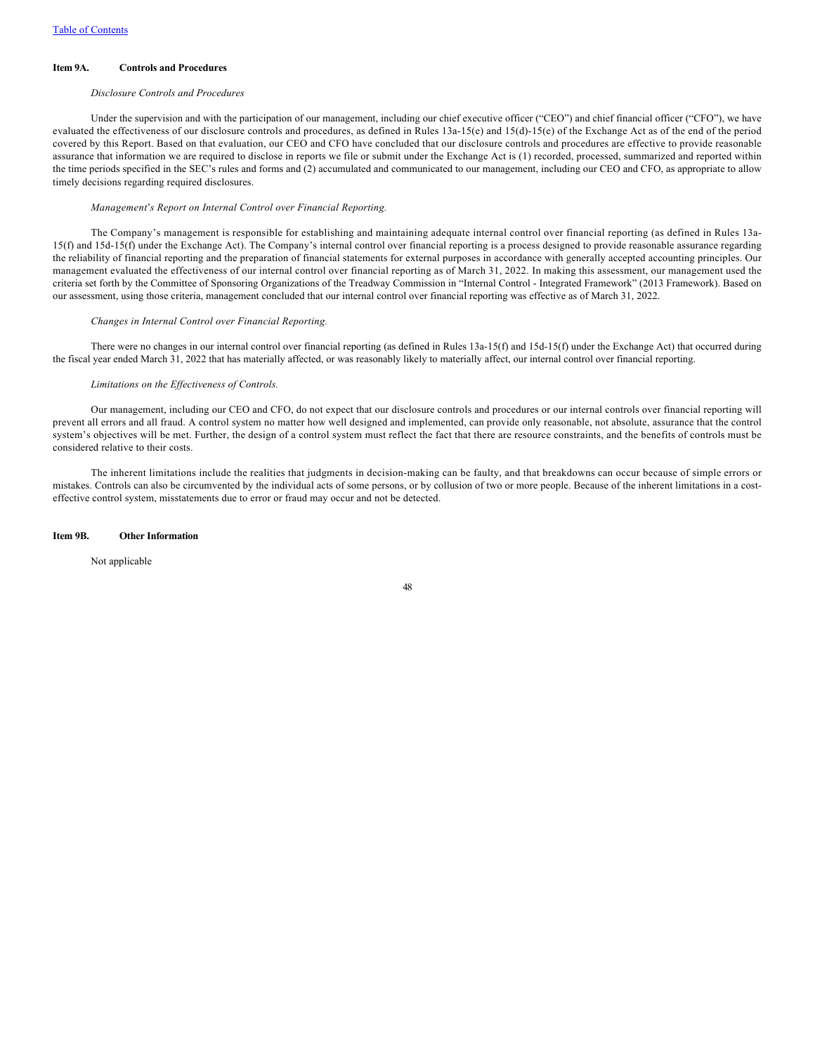#### <span id="page-47-0"></span>**Item 9A. Controls and Procedures**

#### *Disclosure Controls and Procedures*

Under the supervision and with the participation of our management, including our chief executive officer ("CEO") and chief financial officer ("CFO"), we have evaluated the effectiveness of our disclosure controls and procedures, as defined in Rules 13a-15(e) and 15(d)-15(e) of the Exchange Act as of the end of the period covered by this Report. Based on that evaluation, our CEO and CFO have concluded that our disclosure controls and procedures are effective to provide reasonable assurance that information we are required to disclose in reports we file or submit under the Exchange Act is (1) recorded, processed, summarized and reported within the time periods specified in the SEC's rules and forms and (2) accumulated and communicated to our management, including our CEO and CFO, as appropriate to allow timely decisions regarding required disclosures.

#### *Management*'*s Report on Internal Control over Financial Reporting.*

The Company's management is responsible for establishing and maintaining adequate internal control over financial reporting (as defined in Rules 13a-15(f) and 15d-15(f) under the Exchange Act). The Company's internal control over financial reporting is a process designed to provide reasonable assurance regarding the reliability of financial reporting and the preparation of financial statements for external purposes in accordance with generally accepted accounting principles. Our management evaluated the effectiveness of our internal control over financial reporting as of March 31, 2022. In making this assessment, our management used the criteria set forth by the Committee of Sponsoring Organizations of the Treadway Commission in "Internal Control - Integrated Framework" (2013 Framework). Based on our assessment, using those criteria, management concluded that our internal control over financial reporting was effective as of March 31, 2022.

#### *Changes in Internal Control over Financial Reporting.*

There were no changes in our internal control over financial reporting (as defined in Rules 13a-15(f) and 15d-15(f) under the Exchange Act) that occurred during the fiscal year ended March 31, 2022 that has materially affected, or was reasonably likely to materially affect, our internal control over financial reporting.

#### *Limitations on the Effectiveness of Controls.*

Our management, including our CEO and CFO, do not expect that our disclosure controls and procedures or our internal controls over financial reporting will prevent all errors and all fraud. A control system no matter how well designed and implemented, can provide only reasonable, not absolute, assurance that the control system's objectives will be met. Further, the design of a control system must reflect the fact that there are resource constraints, and the benefits of controls must be considered relative to their costs.

The inherent limitations include the realities that judgments in decision-making can be faulty, and that breakdowns can occur because of simple errors or mistakes. Controls can also be circumvented by the individual acts of some persons, or by collusion of two or more people. Because of the inherent limitations in a costeffective control system, misstatements due to error or fraud may occur and not be detected.

#### <span id="page-47-1"></span>**Item 9B. Other Information**

Not applicable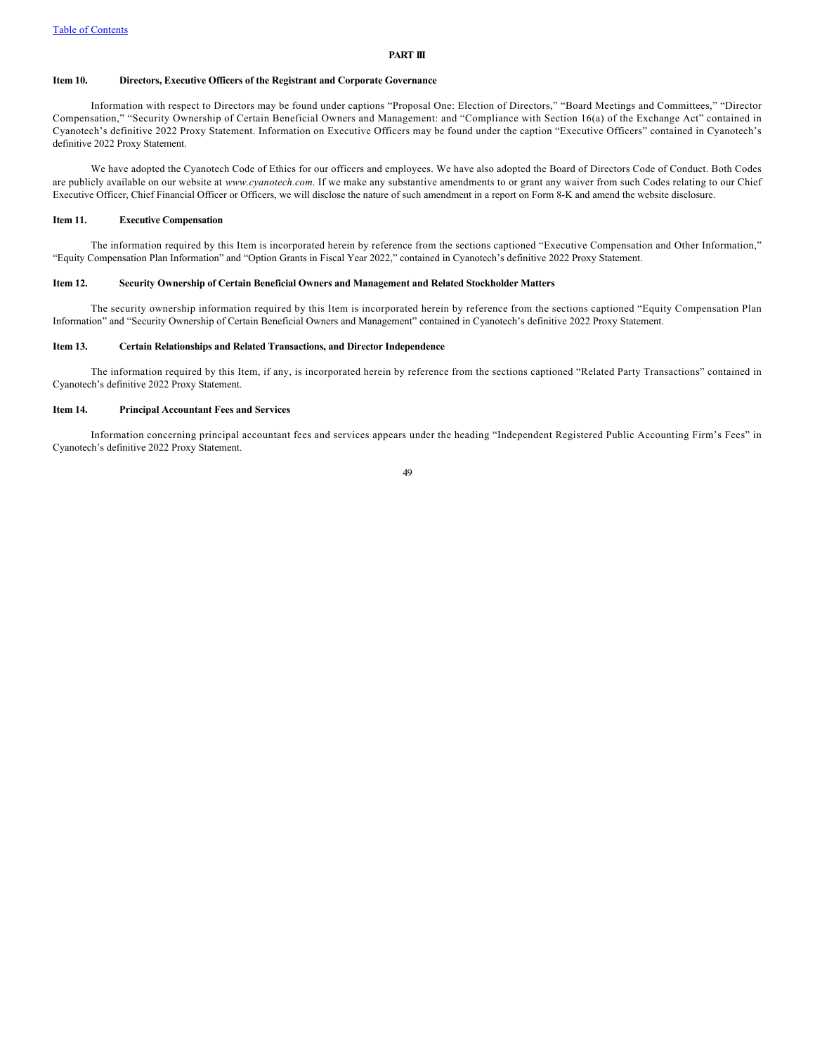#### **PART III**

#### <span id="page-48-0"></span>**Item 10. Directors, Executive Officers of the Registrant and Corporate Governance**

Information with respect to Directors may be found under captions "Proposal One: Election of Directors," "Board Meetings and Committees," "Director Compensation," "Security Ownership of Certain Beneficial Owners and Management: and "Compliance with Section 16(a) of the Exchange Act" contained in Cyanotech's definitive 2022 Proxy Statement. Information on Executive Officers may be found under the caption "Executive Officers" contained in Cyanotech's definitive 2022 Proxy Statement.

We have adopted the Cyanotech Code of Ethics for our officers and employees. We have also adopted the Board of Directors Code of Conduct. Both Codes are publicly available on our website at www.cyanotech.com. If we make any substantive amendments to or grant any waiver from such Codes relating to our Chief Executive Officer, Chief Financial Officer or Officers, we will disclose the nature of such amendment in a report on Form 8-K and amend the website disclosure.

#### <span id="page-48-1"></span>**Item 11. Executive Compensation**

The information required by this Item is incorporated herein by reference from the sections captioned "Executive Compensation and Other Information," "Equity Compensation Plan Information" and "Option Grants in Fiscal Year 2022," contained in Cyanotech's definitive 2022 Proxy Statement.

#### <span id="page-48-2"></span>**Item 12. Security Ownership of Certain Beneficial Owners and Management and Related Stockholder Matters**

The security ownership information required by this Item is incorporated herein by reference from the sections captioned "Equity Compensation Plan Information" and "Security Ownership of Certain Beneficial Owners and Management" contained in Cyanotech's definitive 2022 Proxy Statement.

# <span id="page-48-3"></span>**Item 13. Certain Relationships and Related Transactions, and Director Independence**

The information required by this Item, if any, is incorporated herein by reference from the sections captioned "Related Party Transactions" contained in Cyanotech's definitive 2022 Proxy Statement.

#### <span id="page-48-4"></span>**Item 14. Principal Accountant Fees and Services**

Information concerning principal accountant fees and services appears under the heading "Independent Registered Public Accounting Firm's Fees" in Cyanotech's definitive 2022 Proxy Statement.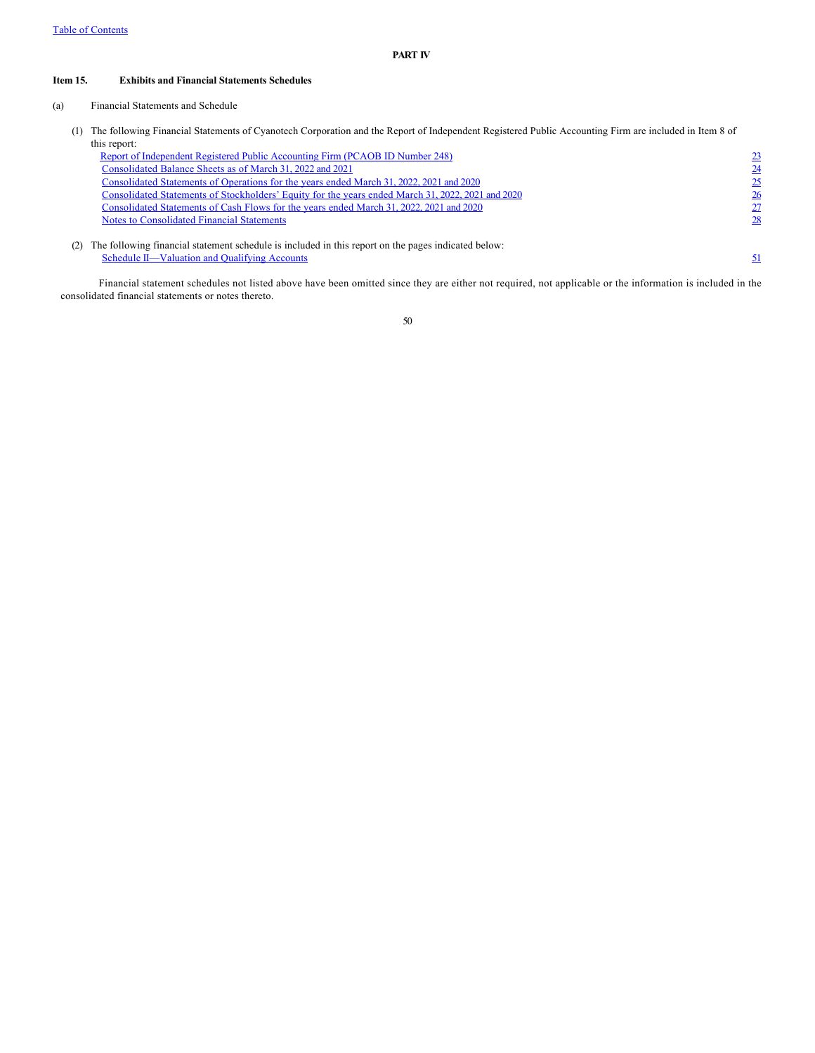# <span id="page-49-0"></span>**Item 15. Exhibits and Financial Statements Schedules**

# (a) Financial Statements and Schedule

(1) The following Financial Statements of Cyanotech Corporation and the Report of Independent Registered Public Accounting Firm are included in Item 8 of this report:

| Report of Independent Registered Public Accounting Firm (PCAOB ID Number 248)                           | 23        |
|---------------------------------------------------------------------------------------------------------|-----------|
| Consolidated Balance Sheets as of March 31, 2022 and 2021                                               | 24        |
| Consolidated Statements of Operations for the years ended March 31, 2022, 2021 and 2020                 | 25        |
| Consolidated Statements of Stockholders' Equity for the years ended March 31, 2022, 2021 and 2020       | <u>26</u> |
| Consolidated Statements of Cash Flows for the years ended March 31, 2022, 2021 and 2020                 | 27        |
| Notes to Consolidated Financial Statements                                                              | 28        |
|                                                                                                         |           |
| (2) The following financial statement schedule is included in this report on the pages indicated below: |           |
| Schedule II—Valuation and Qualifying Accounts                                                           |           |

Financial statement schedules not listed above have been omitted since they are either not required, not applicable or the information is included in the consolidated financial statements or notes thereto.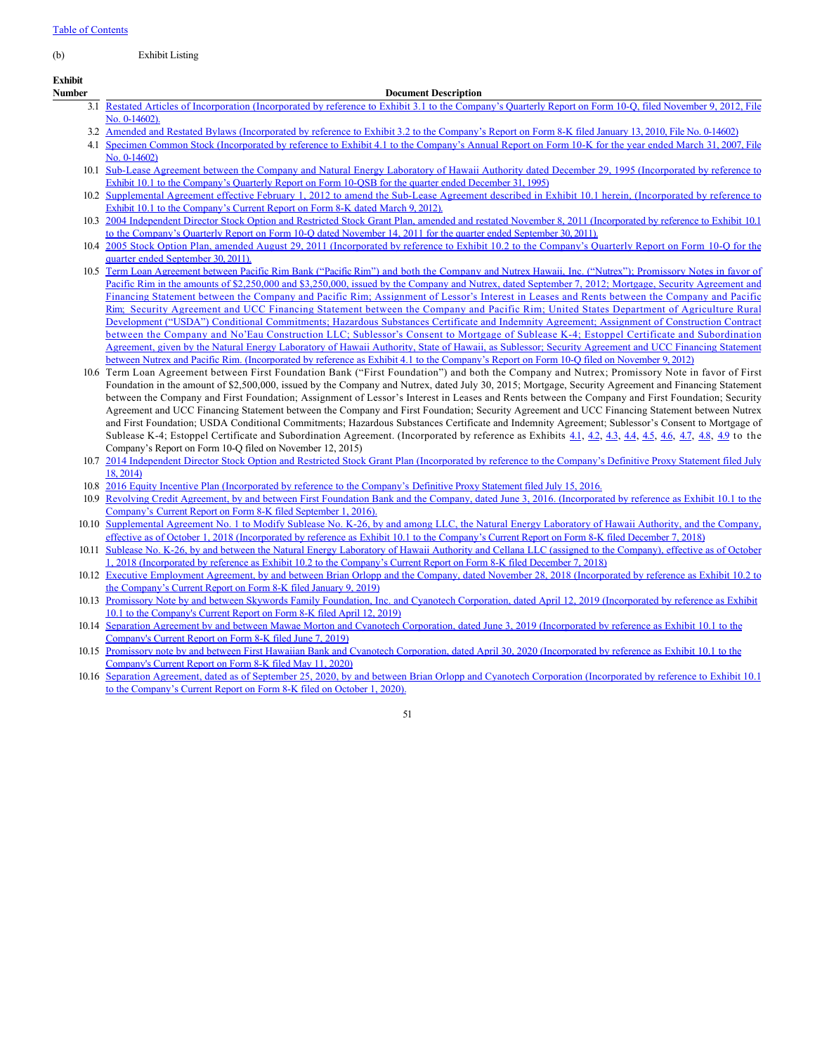#### (b) Exhibit Listing

**Exhibit**

- **Number Document Description** 3.1 [Restated Arti](http://www.sec.gov/Archives/edgar/data/768408/000110465912076635/a12-20415_1ex3d1.htm)cles of Incorporation (Incorporated by reference to Exhibit 3.1 to the Company's Quarterly Report on Form 10-Q, filed November 9, 2012, File No. 0-14602).
	- 3.2 [Amended and Restated Bylaws \(Incorporated by reference to Exhibit](http://www.sec.gov/Archives/edgar/data/768408/000110465910001531/a10-1782_1ex3d2.htm) 3.2 to the Company's Report on Form 8-K filed January 13, 2010, File No. 0-14602)
	- 4.1 [Specimen Co](http://www.sec.gov/Archives/edgar/data/768408/000110465907063150/a07-17460_1ex4d1.htm)mmon Stock (Incorporated by reference to Exhibit 4.1 to the Company's Annual Report on Form 10-K for the year ended March 31, 2007, File No. 0-14602)
	- 10.1 [Sub-Lease Agreement between the Company and Natural Energy Laboratory of Hawaii Authority dated](http://www.sec.gov/Archives/edgar/data/768408/0000912057-96-002541.txt) December 29, 1995 (Incorporated by reference to Exhibit 10.1 to the Company's Quarterly Report on Form 10-QSB for the quarter ended December 31, 1995)
	- 10.2 Supplemental Agreement effective February 1, 2012 to amend the Sub-Lease Agreement described in Exhibit 10.1 herein, (Incorporated by reference to Exhibit [10.1 to the Company's Current Report on Form](http://www.sec.gov/Archives/edgar/data/768408/000110465912018262/a12-7027_1ex10d1.htm) 8-K dated March 9, 2012).
	- 10.3 [2004 Independent Director Stock Option and Restricted Stock Grant Plan, amended and restated November](http://www.sec.gov/Archives/edgar/data/768408/000110465911063540/a11-25985_1ex10d1.htm) 8, 2011 (Incorporated by reference to Exhibit 10.1 to the Company's Quarterly Report on Form 10-Q dated November 14, 2011 for the quarter ended September 30, 2011).
	- 10.4 [2005 Stock Option Plan, amended](http://www.sec.gov/Archives/edgar/data/768408/000110465911063540/a11-25985_1ex10d2.htm) August 29, 2011 (Incorporated by reference to Exhibit 10.2 to the Company's Quarterly Report on Form 10-Q for the quarter ended September 30, 2011).
	- 10.5 Term Loan Agreement between Pacific Rim Bank ("Pacific Rim") and both the Company and Nutrex Hawaii, Inc. ("Nutrex"); Promissory Notes in favor of Pacific Rim in the amounts of \$2,250,000 and \$3,250,000, issued by the Company and Nutrex, dated September 7, 2012; Mortgage, Security Agreement and [Financing Statement between the Company and Pacific Rim; Assignment of Lessor's Interest in Leases and Rents between the Compa](http://www.sec.gov/Archives/edgar/data/768408/000110465912076635/a12-20415_1ex4d1.htm)ny and Pacific Rim; Security Agreement and UCC Financing Statement between the Company and Pacific Rim; United States Department of Agriculture Rural Development ("USDA") Conditional Commitments; Hazardous Substances Certificate and Indemnity Agreement; Assignment of Construction Contract between the Company and No'Eau Construction LLC; Sublessor's Consent to Mortgage of Sublease K-4; Estoppel Certificate and Subordination Agreement, given by the Natural Energy Laboratory of Hawaii Authority, State of Hawaii, as Sublessor; Security Agreement and UCC Financing Statement between Nutrex and Pacific Rim. (Incorporated by reference as Exhibit 4.1 to the Company's Report on Form 10-Q filed on November 9, 2012)
	- 10.6 Term Loan Agreement between First Foundation Bank ("First Foundation") and both the Company and Nutrex; Promissory Note in favor of First Foundation in the amount of \$2,500,000, issued by the Company and Nutrex, dated July 30, 2015; Mortgage, Security Agreement and Financing Statement between the Company and First Foundation; Assignment of Lessor's Interest in Leases and Rents between the Company and First Foundation; Security Agreement and UCC Financing Statement between the Company and First Foundation; Security Agreement and UCC Financing Statement between Nutrex and First Foundation; USDA Conditional Commitments; Hazardous Substances Certificate and Indemnity Agreement; Sublessor's Consent to Mortgage of Sublease K-4; Estoppel Certificate and Subordination Agreement. (Incorporated by reference as Exhibits  $4.1$ ,  $4.2$ ,  $4.3$ ,  $4.4$ ,  $4.5$ ,  $4.6$ ,  $4.7$ ,  $4.8$ ,  $4.9$  to the Company's Report on Form 10-Q filed on November 12, 2015)
	- 10.7 [2014 Independent Director Stock Option and Restricted Stock Grant Plan \(Incorporated by reference to the Company's Definitive Proxy Statement filed July](http://www.sec.gov/Archives/edgar/data/768408/000143774914013007/cyan20140710_def14a.htm) 18, 2014)
	- 10.8 [2016 Equity Incentive Plan \(Incorporated by reference to the Company's](http://www.sec.gov/Archives/edgar/data/768408/000143774916035255/cyan20160712_def14a.htm) Definitive Proxy Statement filed July 15, 2016.
	- 10.9 [Revolving Credit Agreement, by and between First Foundation B](http://www.sec.gov/Archives/edgar/data/768408/000143774916038285/ex10-1.htm)ank and the Company, dated June 3, 2016. (Incorporated by reference as Exhibit 10.1 to the Company's Current Report on Form 8-K filed September 1, 2016).
	- 10.10 [Supplemental Agreement No. 1 to Modify Sublease No. K-26, by and among LLC, the Natural Energy Laboratory of Hawaii Authority, and t](http://www.sec.gov/Archives/edgar/data/768408/000143774918021753/ex_131319.htm)he Company, effective as of October 1, 2018 (Incorporated by reference as Exhibit 10.1 to the Company's Current Report on Form 8-K filed December 7, 2018)
	- 10.11 [Sublease No. K-26, by and between the Natural Energy Laboratory of Hawaii Authority and Cellana LLC \(assigned to th](http://www.sec.gov/Archives/edgar/data/768408/000143774918021753/ex_131320.htm)e Company), effective as of October 1, 2018 (Incorporated by reference as Exhibit 10.2 to the Company's Current Report on Form 8-K filed December 7, 2018)
	- 10.12 [Executive Employment Agreement, by and between Brian Orlopp](http://www.sec.gov/Archives/edgar/data/768408/000143774919000574/ex_132605.htm) and the Company, dated November 28, 2018 (Incorporated by reference as Exhibit 10.2 to the Company's Current Report on Form 8-K filed January 9, 2019)
	- 10.13 [Promissory Note by and between Skywords Family Foundation, Inc. and Cyanotech Corporation, dated April 12, 2019 \(Incorporated by reference as Exhibit](http://www.sec.gov/Archives/edgar/data/768408/000143774919007116/cyan20190411_8k.htm) 10.1 to the Company's Current Report on Form 8-K filed April 12, 2019)
	- 10.14 [Separation Agreement by and between Mawae Morton and Cyanotech Corporation, dated June 3, 2019 \(Incorporated by reference as Exhibit 10.1 to the](http://www.sec.gov/Archives/edgar/data/768408/000143774919011624/cyan20190606g_8k.htm) Company's Current Report on Form 8-K filed June 7, 2019)
	- 10.15 [Promissory note by and between First Hawaiian Bank and Cyanotech Corporation, dated April 30, 2020 \(Incorporated by reference as Exhibit 10.1 to the](http://www.sec.gov/Archives/edgar/data/768408/000143774920010307/cyan20200508_8k.htm) Company's Current Report on Form 8-K filed May 11, 2020)
	- 10.16 [Separation Agreement, dated as of September 25, 2020, by and between Brian Orlopp and Cyanotech Corporation \(Incorporated by reference to Exhibit 10.1](http://www.sec.gov/Archives/edgar/data/0000768408/000143774920020587/cyan20200930_8k.htm)) to the Company's Current Report on Form 8-K filed on October 1, 2020).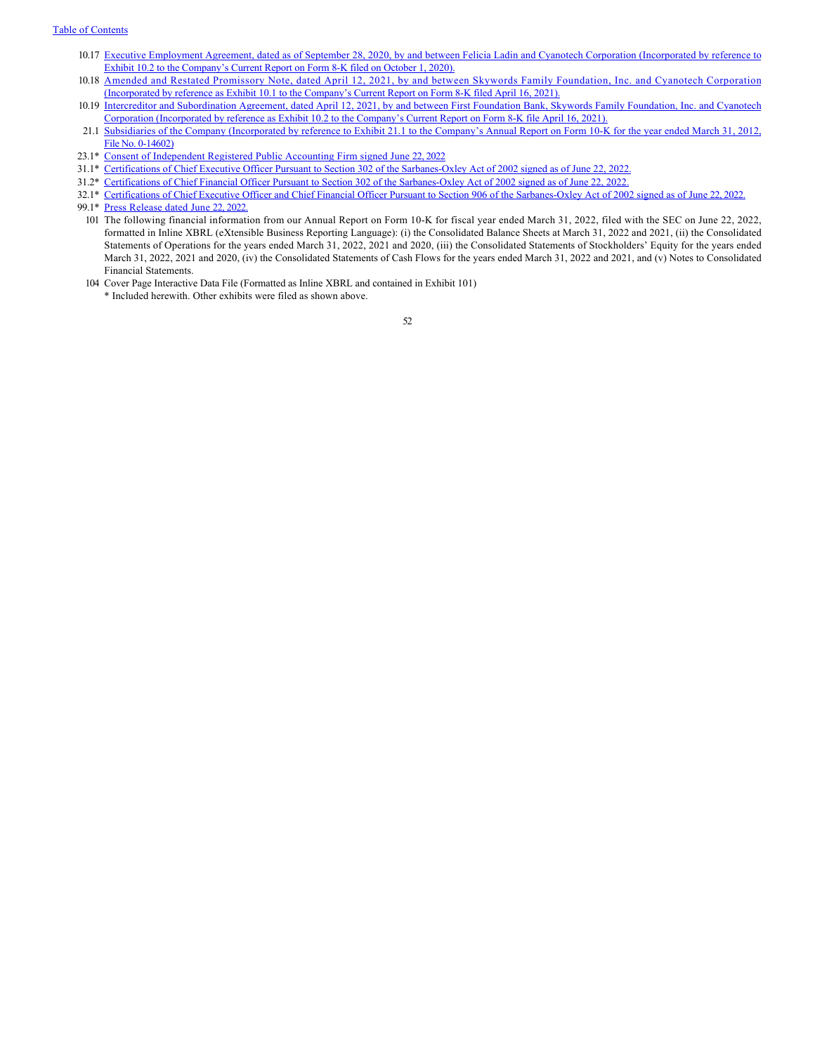#### [Table of Contents](#page-1-0)

- 10.17 [Executive Employment Agreement, dated as of September 28, 2020, by and between Felicia Ladin and Cyanotech Corporation \(Incorporated by reference to](http://www.sec.gov/Archives/edgar/data/0000768408/000143774920020587/cyan20200930_8k.htm) Exhibit 10.2 to the Company's Current Report on Form 8-K filed on October 1, 2020).
- 10.18 [Amended and Restated Promissory Note, dated April 12, 2021, by and between Skywords Family Foundation, Inc. and Cyanotech Corporation](http://www.sec.gov/Archives/edgar/data/0000768408/000143774921009066/cyan20210413_8k.htm) (Incorporated by reference as Exhibit 10.1 to the Company's Current Report on Form 8-K filed April 16, 2021).
- 10.19 [Intercreditor and Subordination Agreement, dated April 12, 2021, by and between First Foundation Bank, Skywords Family Foundation, Inc. and Cyanotech](http://www.sec.gov/Archives/edgar/data/0000768408/000143774921009066/cyan20210413_8k.htm) Corporation (Incorporated by reference as Exhibit 10.2 to the Company's Current Report on Form 8-K file April 16, 2021).
- 21.1 [Subsidiaries of the Company \(Incorporated by reference to Exhibit 21.1 to the Company's Annual Report on Form 10-K for the year ended March 31, 2012,](http://www.sec.gov/Archives/edgar/data/768408/000110465912045009/a12-7275_1ex21d1.htm) File No. 0-14602)
- 23.1\* [Consent of Independent Registered Public Accounting Firm signed June 22, 2022](ex_385967.htm)
- 31.1\* [Certifications of Chief Executive Officer Pursuant to Section 302 of the Sarbanes-Oxley Act of 2002 signed as of June 22, 2022.](ex_385968.htm)
- 31.2\* [Certifications of Chief Financial Officer Pursuant to Section 302 of the Sarbanes-Oxley Act of 2002 signed as of June 22, 2022.](ex_385969.htm)
- 32.1\* [Certifications of Chief Executive Officer and Chief Financial Officer Pursuant to Section 906 of the Sarbanes-Oxley Act of 2002 signed as of June](ex_385970.htm) 22, 2022. 99.1\* [Press Release dated June 22, 2022.](ex_385971.htm)
- 101 The following financial information from our Annual Report on Form 10-K for fiscal year ended March 31, 2022, filed with the SEC on June 22, 2022, formatted in Inline XBRL (eXtensible Business Reporting Language): (i) the Consolidated Balance Sheets at March 31, 2022 and 2021, (ii) the Consolidated Statements of Operations for the years ended March 31, 2022, 2021 and 2020, (iii) the Consolidated Statements of Stockholders' Equity for the years ended March 31, 2022, 2021 and 2020, (iv) the Consolidated Statements of Cash Flows for the years ended March 31, 2022 and 2021, and (v) Notes to Consolidated Financial Statements.
- 104 Cover Page Interactive Data File (Formatted as Inline XBRL and contained in Exhibit 101) \* Included herewith. Other exhibits were filed as shown above.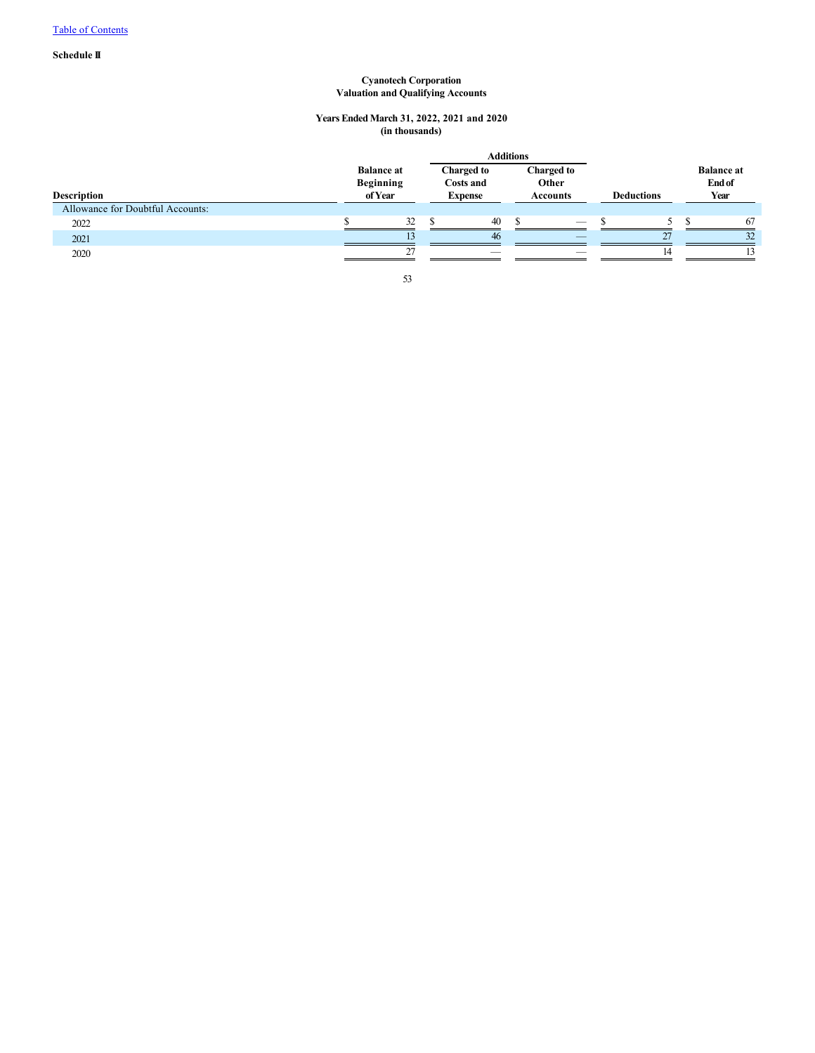#### **Cyanotech Corporation Valuation and Qualifying Accounts**

# **Years Ended March 31, 2022, 2021 and 2020 (in thousands)**

<span id="page-52-0"></span>

|                                  |                                       |                                       | <b>Additions</b>         |                                      |                             |
|----------------------------------|---------------------------------------|---------------------------------------|--------------------------|--------------------------------------|-----------------------------|
|                                  | <b>Balance at</b><br><b>Beginning</b> | <b>Charged to</b><br><b>Costs and</b> | Charged to<br>Other      |                                      | <b>Balance</b> at<br>End of |
| <b>Description</b>               | of Year                               | <b>Expense</b>                        |                          | <b>Deductions</b><br><b>Accounts</b> |                             |
| Allowance for Doubtful Accounts: |                                       |                                       |                          |                                      |                             |
| 2022                             | 32                                    | 40                                    | $\overline{\phantom{a}}$ |                                      | 67                          |
| 2021                             |                                       | -46                                   | $\overline{\phantom{a}}$ |                                      | 32                          |
| 2020                             | $\sim$                                | $\overline{\phantom{a}}$              | $\overline{\phantom{a}}$ |                                      | 13                          |
|                                  |                                       |                                       |                          |                                      |                             |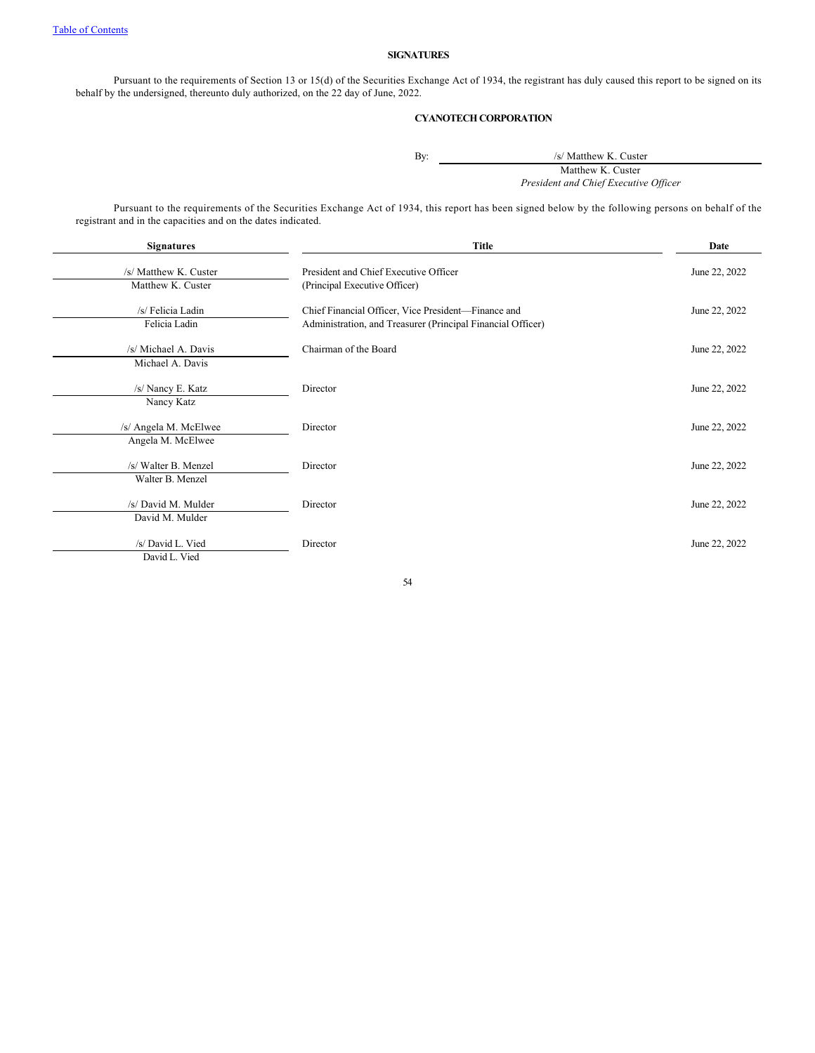#### <span id="page-53-0"></span>**SIGNATURES**

Pursuant to the requirements of Section 13 or 15(d) of the Securities Exchange Act of 1934, the registrant has duly caused this report to be signed on its behalf by the undersigned, thereunto duly authorized, on the 22 day of June, 2022.

# **CYANOTECH CORPORATION**

By:  $\frac{1}{s}$  Matthew K. Custer Matthew K. Custer

*President and Chief Executive Officer*

Pursuant to the requirements of the Securities Exchange Act of 1934, this report has been signed below by the following persons on behalf of the registrant and in the capacities and on the dates indicated.

| Title<br><b>Signatures</b>                 |                                                                                                                    | Date          |  |
|--------------------------------------------|--------------------------------------------------------------------------------------------------------------------|---------------|--|
| /s/ Matthew K. Custer<br>Matthew K. Custer | President and Chief Executive Officer<br>(Principal Executive Officer)                                             | June 22, 2022 |  |
| /s/ Felicia Ladin<br>Felicia Ladin         | Chief Financial Officer, Vice President-Finance and<br>Administration, and Treasurer (Principal Financial Officer) | June 22, 2022 |  |
| /s/ Michael A. Davis<br>Michael A. Davis   | Chairman of the Board                                                                                              | June 22, 2022 |  |
| /s/ Nancy E. Katz<br>Nancy Katz            | Director                                                                                                           | June 22, 2022 |  |
| /s/ Angela M. McElwee<br>Angela M. McElwee | Director                                                                                                           | June 22, 2022 |  |
| /s/ Walter B. Menzel<br>Walter B. Menzel   | Director                                                                                                           | June 22, 2022 |  |
| /s/ David M. Mulder<br>David M. Mulder     | Director                                                                                                           | June 22, 2022 |  |
| /s/ David L. Vied<br>David L. Vied         | Director                                                                                                           | June 22, 2022 |  |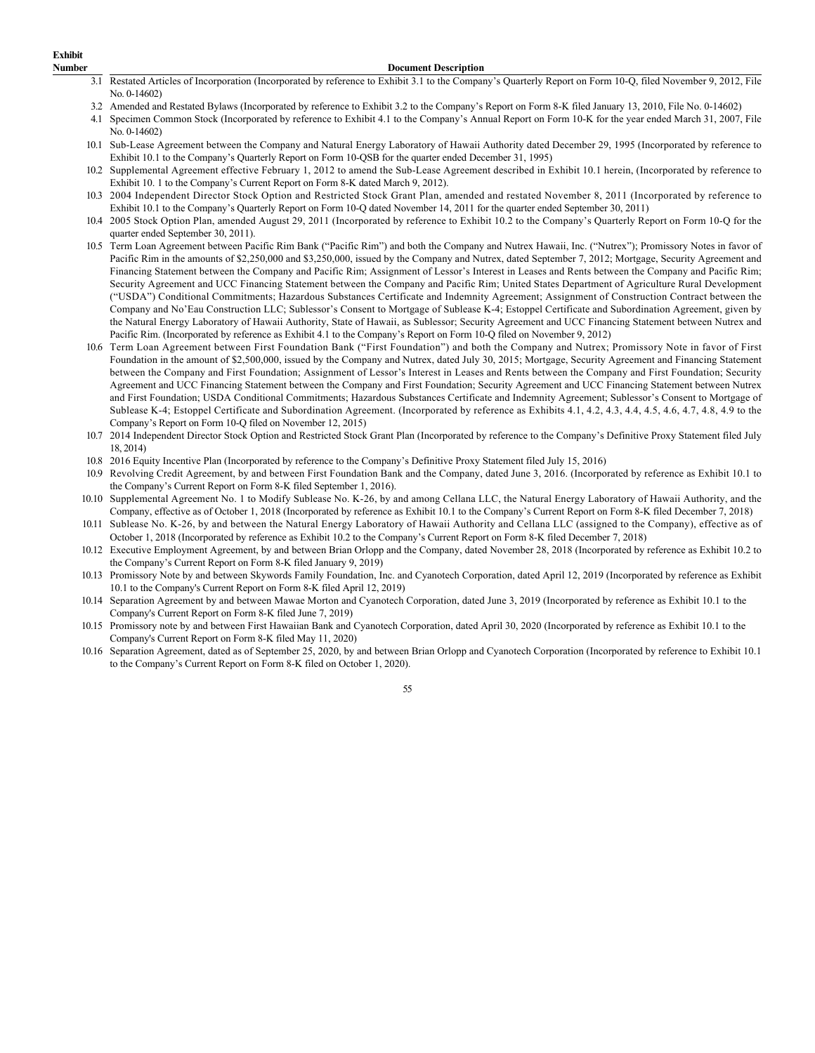# **Exhibit**

#### **Number Document Description**

- 3.1 Restated Articles of Incorporation (Incorporated by reference to Exhibit 3.1 to the Company's Quarterly Report on Form 10-Q, filed November 9, 2012, File No. 0-14602)
- 3.2 Amended and Restated Bylaws (Incorporated by reference to Exhibit 3.2 to the Company's Report on Form 8-K filed January 13, 2010, File No. 0-14602)
- 4.1 Specimen Common Stock (Incorporated by reference to Exhibit 4.1 to the Company's Annual Report on Form 10-K for the year ended March 31, 2007, File No. 0-14602)
- 10.1 Sub-Lease Agreement between the Company and Natural Energy Laboratory of Hawaii Authority dated December 29, 1995 (Incorporated by reference to Exhibit 10.1 to the Company's Quarterly Report on Form 10-QSB for the quarter ended December 31, 1995)
- 10.2 Supplemental Agreement effective February 1, 2012 to amend the Sub-Lease Agreement described in Exhibit 10.1 herein, (Incorporated by reference to Exhibit 10. 1 to the Company's Current Report on Form 8-K dated March 9, 2012).
- 10.3 2004 Independent Director Stock Option and Restricted Stock Grant Plan, amended and restated November 8, 2011 (Incorporated by reference to Exhibit 10.1 to the Company's Quarterly Report on Form 10-Q dated November 14, 2011 for the quarter ended September 30, 2011)
- 10.4 2005 Stock Option Plan, amended August 29, 2011 (Incorporated by reference to Exhibit 10.2 to the Company's Quarterly Report on Form 10-Q for the quarter ended September 30, 2011).
- 10.5 Term Loan Agreement between Pacific Rim Bank ("Pacific Rim") and both the Company and Nutrex Hawaii, Inc. ("Nutrex"); Promissory Notes in favor of Pacific Rim in the amounts of \$2,250,000 and \$3,250,000, issued by the Company and Nutrex, dated September 7, 2012; Mortgage, Security Agreement and Financing Statement between the Company and Pacific Rim; Assignment of Lessor's Interest in Leases and Rents between the Company and Pacific Rim; Security Agreement and UCC Financing Statement between the Company and Pacific Rim; United States Department of Agriculture Rural Development ("USDA") Conditional Commitments; Hazardous Substances Certificate and Indemnity Agreement; Assignment of Construction Contract between the Company and No'Eau Construction LLC; Sublessor's Consent to Mortgage of Sublease K-4; Estoppel Certificate and Subordination Agreement, given by the Natural Energy Laboratory of Hawaii Authority, State of Hawaii, as Sublessor; Security Agreement and UCC Financing Statement between Nutrex and Pacific Rim. (Incorporated by reference as Exhibit 4.1 to the Company's Report on Form 10-Q filed on November 9, 2012)
- 10.6 Term Loan Agreement between First Foundation Bank ("First Foundation") and both the Company and Nutrex; Promissory Note in favor of First Foundation in the amount of \$2,500,000, issued by the Company and Nutrex, dated July 30, 2015; Mortgage, Security Agreement and Financing Statement between the Company and First Foundation; Assignment of Lessor's Interest in Leases and Rents between the Company and First Foundation; Security Agreement and UCC Financing Statement between the Company and First Foundation; Security Agreement and UCC Financing Statement between Nutrex and First Foundation; USDA Conditional Commitments; Hazardous Substances Certificate and Indemnity Agreement; Sublessor's Consent to Mortgage of Sublease K-4; Estoppel Certificate and Subordination Agreement. (Incorporated by reference as Exhibits 4.1, 4.2, 4.3, 4.4, 4.5, 4.6, 4.7, 4.8, 4.9 to the Company's Report on Form 10-Q filed on November 12, 2015)
- 10.7 2014 Independent Director Stock Option and Restricted Stock Grant Plan (Incorporated by reference to the Company's Definitive Proxy Statement filed July 18, 2014)
- 10.8 2016 Equity Incentive Plan (Incorporated by reference to the Company's Definitive Proxy Statement filed July 15, 2016)
- 10.9 Revolving Credit Agreement, by and between First Foundation Bank and the Company, dated June 3, 2016. (Incorporated by reference as Exhibit 10.1 to the Company's Current Report on Form 8-K filed September 1, 2016).
- 10.10 Supplemental Agreement No. 1 to Modify Sublease No. K-26, by and among Cellana LLC, the Natural Energy Laboratory of Hawaii Authority, and the Company, effective as of October 1, 2018 (Incorporated by reference as Exhibit 10.1 to the Company's Current Report on Form 8-K filed December 7, 2018)
- 10.11 Sublease No. K-26, by and between the Natural Energy Laboratory of Hawaii Authority and Cellana LLC (assigned to the Company), effective as of October 1, 2018 (Incorporated by reference as Exhibit 10.2 to the Company's Current Report on Form 8-K filed December 7, 2018)
- 10.12 Executive Employment Agreement, by and between Brian Orlopp and the Company, dated November 28, 2018 (Incorporated by reference as Exhibit 10.2 to the Company's Current Report on Form 8-K filed January 9, 2019)
- 10.13 Promissory Note by and between Skywords Family Foundation, Inc. and Cyanotech Corporation, dated April 12, 2019 (Incorporated by reference as Exhibit 10.1 to the Company's Current Report on Form 8-K filed April 12, 2019)
- 10.14 Separation Agreement by and between Mawae Morton and Cyanotech Corporation, dated June 3, 2019 (Incorporated by reference as Exhibit 10.1 to the Company's Current Report on Form 8-K filed June 7, 2019)
- 10.15 Promissory note by and between First Hawaiian Bank and Cyanotech Corporation, dated April 30, 2020 (Incorporated by reference as Exhibit 10.1 to the Company's Current Report on Form 8-K filed May 11, 2020)
- 10.16 Separation Agreement, dated as of September 25, 2020, by and between Brian Orlopp and Cyanotech Corporation (Incorporated by reference to Exhibit 10.1 to the Company's Current Report on Form 8-K filed on October 1, 2020).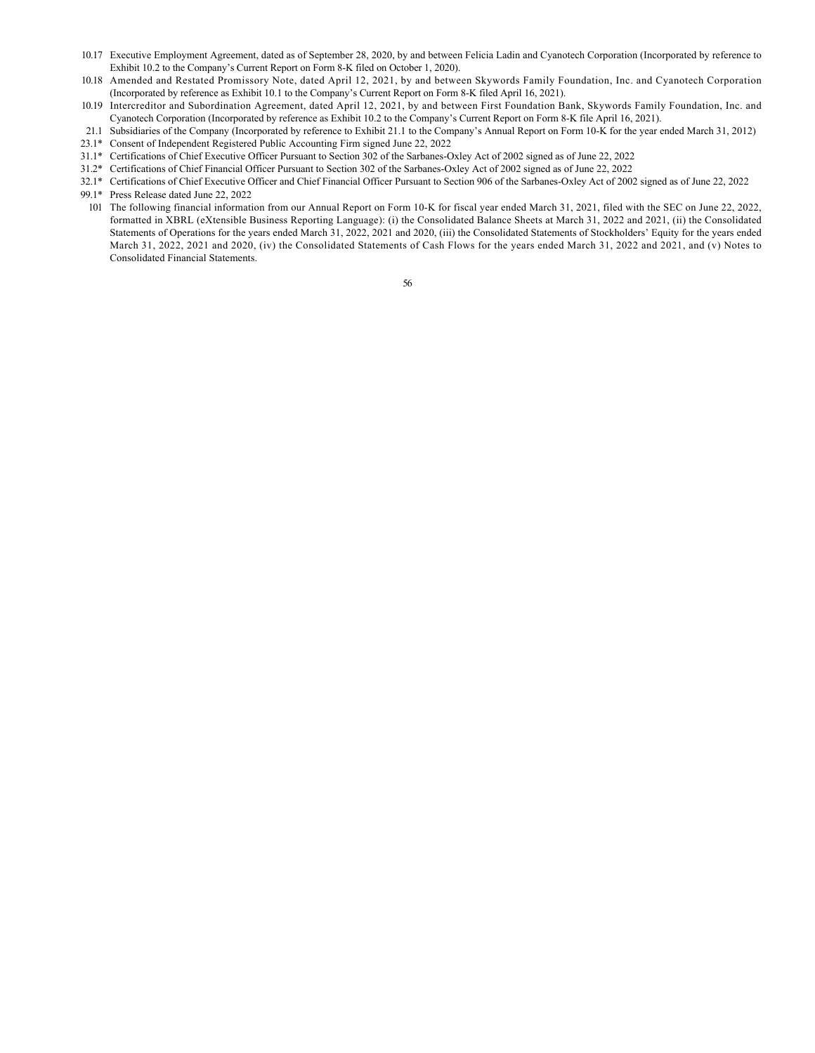- 10.17 Executive Employment Agreement, dated as of September 28, 2020, by and between Felicia Ladin and Cyanotech Corporation (Incorporated by reference to Exhibit 10.2 to the Company's Current Report on Form 8-K filed on October 1, 2020).
- 10.18 Amended and Restated Promissory Note, dated April 12, 2021, by and between Skywords Family Foundation, Inc. and Cyanotech Corporation (Incorporated by reference as Exhibit 10.1 to the Company's Current Report on Form 8-K filed April 16, 2021).
- 10.19 Intercreditor and Subordination Agreement, dated April 12, 2021, by and between First Foundation Bank, Skywords Family Foundation, Inc. and Cyanotech Corporation (Incorporated by reference as Exhibit 10.2 to the Company's Current Report on Form 8-K file April 16, 2021).
- 21.1 Subsidiaries of the Company (Incorporated by reference to Exhibit 21.1 to the Company's Annual Report on Form 10-K for the year ended March 31, 2012) 23.1\* Consent of Independent Registered Public Accounting Firm signed June 22, 2022
- 31.1\* Certifications of Chief Executive Officer Pursuant to Section 302 of the Sarbanes-Oxley Act of 2002 signed as of June 22, 2022
- 31.2\* Certifications of Chief Financial Officer Pursuant to Section 302 of the Sarbanes-Oxley Act of 2002 signed as of June 22, 2022
- 32.1\* Certifications of Chief Executive Officer and Chief Financial Officer Pursuant to Section 906 of the Sarbanes-Oxley Act of 2002 signed as of June 22, 2022

99.1\* Press Release dated June 22, 2022

101 The following financial information from our Annual Report on Form 10-K for fiscal year ended March 31, 2021, filed with the SEC on June 22, 2022, formatted in XBRL (eXtensible Business Reporting Language): (i) the Consolidated Balance Sheets at March 31, 2022 and 2021, (ii) the Consolidated Statements of Operations for the years ended March 31, 2022, 2021 and 2020, (iii) the Consolidated Statements of Stockholders' Equity for the years ended March 31, 2022, 2021 and 2020, (iv) the Consolidated Statements of Cash Flows for the years ended March 31, 2022 and 2021, and (v) Notes to Consolidated Financial Statements.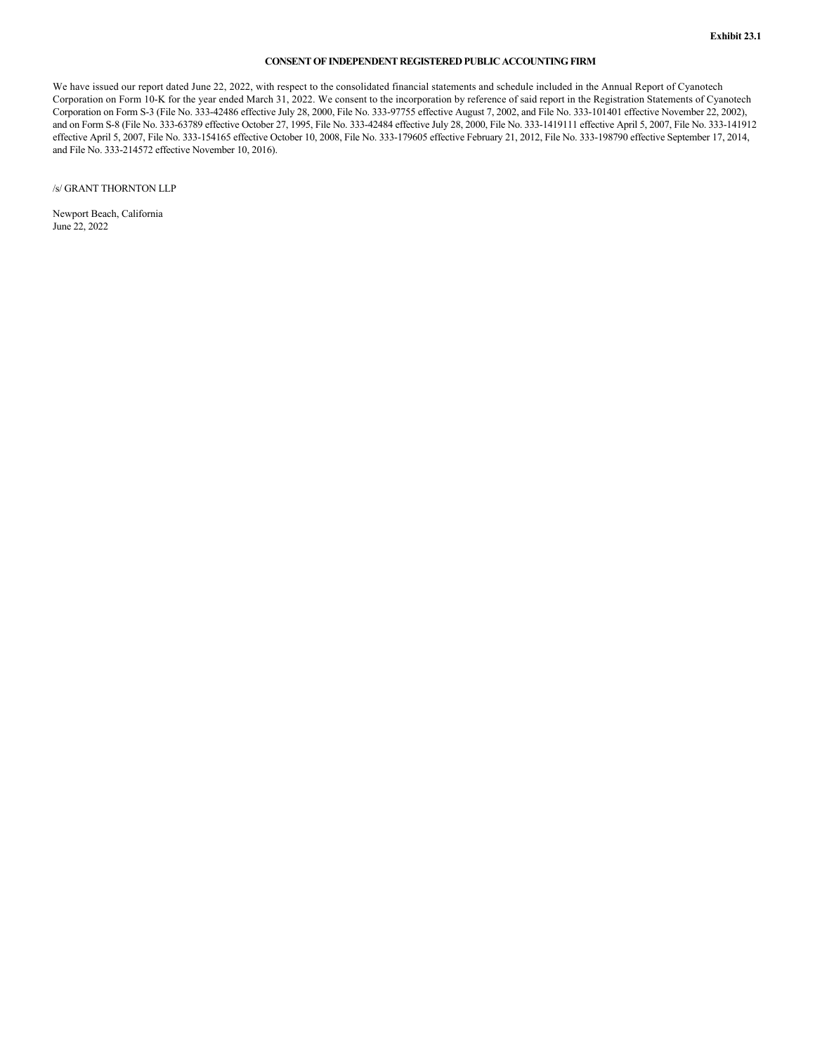#### **CONSENT OF INDEPENDENT REGISTERED PUBLIC ACCOUNTING FIRM**

We have issued our report dated June 22, 2022, with respect to the consolidated financial statements and schedule included in the Annual Report of Cyanotech Corporation on Form 10-K for the year ended March 31, 2022. We consent to the incorporation by reference of said report in the Registration Statements of Cyanotech Corporation on Form S-3 (File No. 333-42486 effective July 28, 2000, File No. 333-97755 effective August 7, 2002, and File No. 333-101401 effective November 22, 2002), and on Form S-8 (File No. 333-63789 effective October 27, 1995, File No. 333-42484 effective July 28, 2000, File No. 333-1419111 effective April 5, 2007, File No. 333-141912 effective April 5, 2007, File No. 333-154165 effective October 10, 2008, File No. 333-179605 effective February 21, 2012, File No. 333-198790 effective September 17, 2014, and File No. 333-214572 effective November 10, 2016).

/s/ GRANT THORNTON LLP

Newport Beach, California June 22, 2022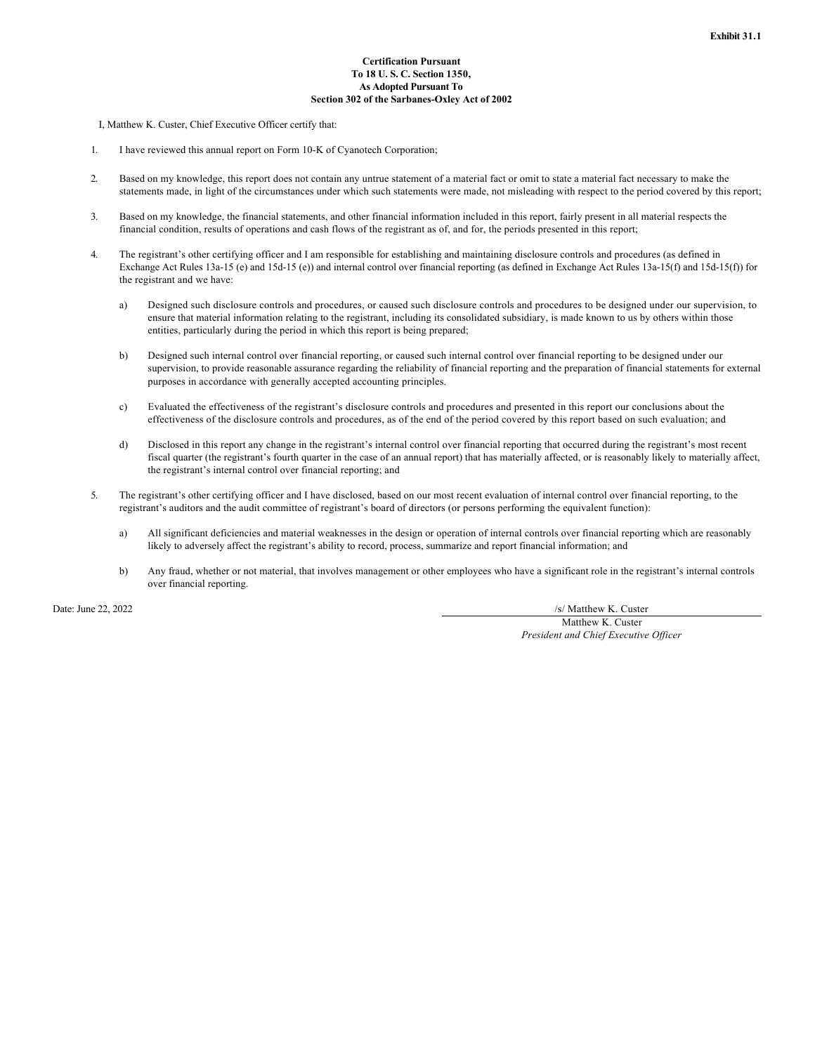#### **Certification Pursuant To 18 U. S. C. Section 1350, As Adopted Pursuant To Section 302 of the Sarbanes-Oxley Act of 2002**

I, Matthew K. Custer, Chief Executive Officer certify that:

- 1. I have reviewed this annual report on Form 10-K of Cyanotech Corporation;
- 2. Based on my knowledge, this report does not contain any untrue statement of a material fact or omit to state a material fact necessary to make the statements made, in light of the circumstances under which such statements were made, not misleading with respect to the period covered by this report;
- 3. Based on my knowledge, the financial statements, and other financial information included in this report, fairly present in all material respects the financial condition, results of operations and cash flows of the registrant as of, and for, the periods presented in this report;
- 4. The registrant's other certifying officer and I am responsible for establishing and maintaining disclosure controls and procedures (as defined in Exchange Act Rules 13a-15 (e) and 15d-15 (e)) and internal control over financial reporting (as defined in Exchange Act Rules 13a-15(f) and 15d-15(f)) for the registrant and we have:
	- a) Designed such disclosure controls and procedures, or caused such disclosure controls and procedures to be designed under our supervision, to ensure that material information relating to the registrant, including its consolidated subsidiary, is made known to us by others within those entities, particularly during the period in which this report is being prepared;
	- b) Designed such internal control over financial reporting, or caused such internal control over financial reporting to be designed under our supervision, to provide reasonable assurance regarding the reliability of financial reporting and the preparation of financial statements for external purposes in accordance with generally accepted accounting principles.
	- c) Evaluated the effectiveness of the registrant's disclosure controls and procedures and presented in this report our conclusions about the effectiveness of the disclosure controls and procedures, as of the end of the period covered by this report based on such evaluation; and
	- d) Disclosed in this report any change in the registrant's internal control over financial reporting that occurred during the registrant's most recent fiscal quarter (the registrant's fourth quarter in the case of an annual report) that has materially affected, or is reasonably likely to materially affect, the registrant's internal control over financial reporting; and
- 5. The registrant's other certifying officer and I have disclosed, based on our most recent evaluation of internal control over financial reporting, to the registrant's auditors and the audit committee of registrant's board of directors (or persons performing the equivalent function):
	- a) All significant deficiencies and material weaknesses in the design or operation of internal controls over financial reporting which are reasonably likely to adversely affect the registrant's ability to record, process, summarize and report financial information; and
	- b) Any fraud, whether or not material, that involves management or other employees who have a significant role in the registrant's internal controls over financial reporting.

Date: June 22, 2022 /s/ Matthew K. Custer

Matthew K. Custer *President and Chief Executive Officer*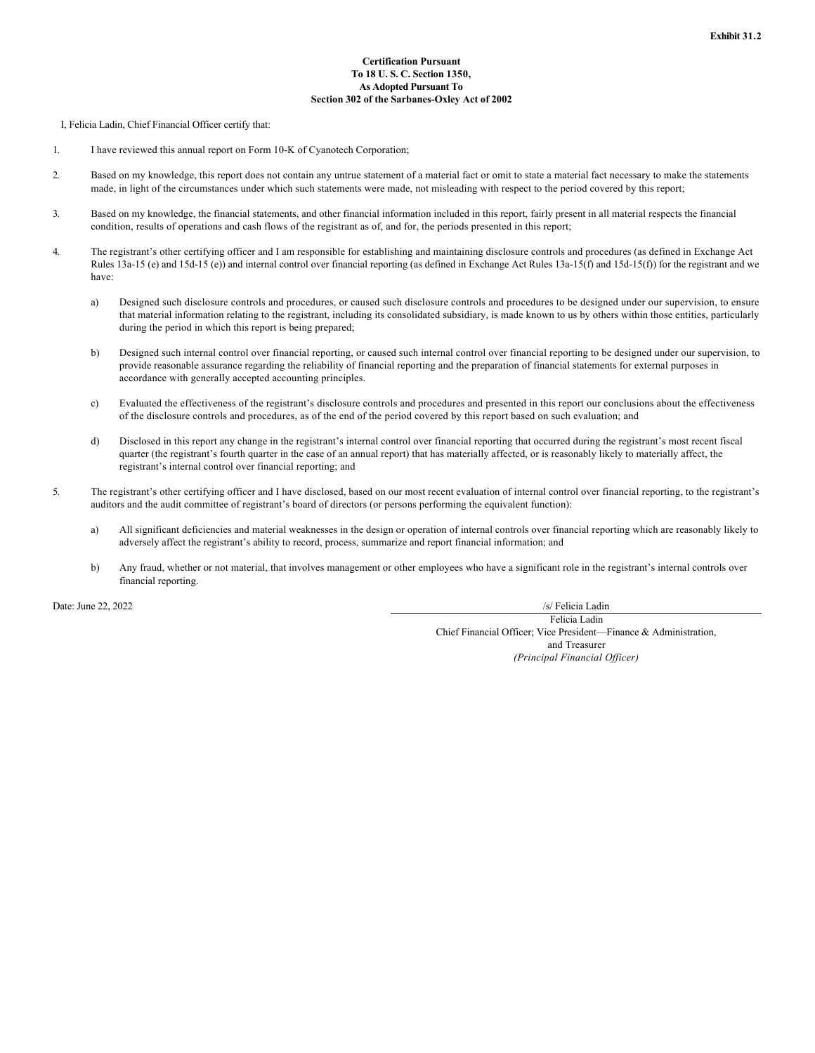### **Certification Pursuant To 18 U. S. C. Section 1350, As Adopted Pursuant To Section 302 of the Sarbanes-Oxley Act of 2002**

I, Felicia Ladin, Chief Financial Officer certify that:

- 1. I have reviewed this annual report on Form 10-K of Cyanotech Corporation;
- 2. Based on my knowledge, this report does not contain any untrue statement of a material fact or omit to state a material fact necessary to make the statements made, in light of the circumstances under which such statements were made, not misleading with respect to the period covered by this report;
- 3. Based on my knowledge, the financial statements, and other financial information included in this report, fairly present in all material respects the financial condition, results of operations and cash flows of the registrant as of, and for, the periods presented in this report;
- 4. The registrant's other certifying officer and I am responsible for establishing and maintaining disclosure controls and procedures (as defined in Exchange Act Rules 13a-15 (e) and 15d-15 (e)) and internal control over financial reporting (as defined in Exchange Act Rules 13a-15(f) and 15d-15(f)) for the registrant and we have:
	- a) Designed such disclosure controls and procedures, or caused such disclosure controls and procedures to be designed under our supervision, to ensure that material information relating to the registrant, including its consolidated subsidiary, is made known to us by others within those entities, particularly during the period in which this report is being prepared;
	- b) Designed such internal control over financial reporting, or caused such internal control over financial reporting to be designed under our supervision, to provide reasonable assurance regarding the reliability of financial reporting and the preparation of financial statements for external purposes in accordance with generally accepted accounting principles.
	- c) Evaluated the effectiveness of the registrant's disclosure controls and procedures and presented in this report our conclusions about the effectiveness of the disclosure controls and procedures, as of the end of the period covered by this report based on such evaluation; and
	- d) Disclosed in this report any change in the registrant's internal control over financial reporting that occurred during the registrant's most recent fiscal quarter (the registrant's fourth quarter in the case of an annual report) that has materially affected, or is reasonably likely to materially affect, the registrant's internal control over financial reporting; and
- 5. The registrant's other certifying officer and I have disclosed, based on our most recent evaluation of internal control over financial reporting, to the registrant's auditors and the audit committee of registrant's board of directors (or persons performing the equivalent function):
	- a) All significant deficiencies and material weaknesses in the design or operation of internal controls over financial reporting which are reasonably likely to adversely affect the registrant's ability to record, process, summarize and report financial information; and
	- b) Any fraud, whether or not material, that involves management or other employees who have a significant role in the registrant's internal controls over financial reporting.

Date: June 22, 2022 /s/ Felicia Ladin Felicia Ladin Chief Financial Officer; Vice President—Finance & Administration, and Treasurer *(Principal Financial Officer)*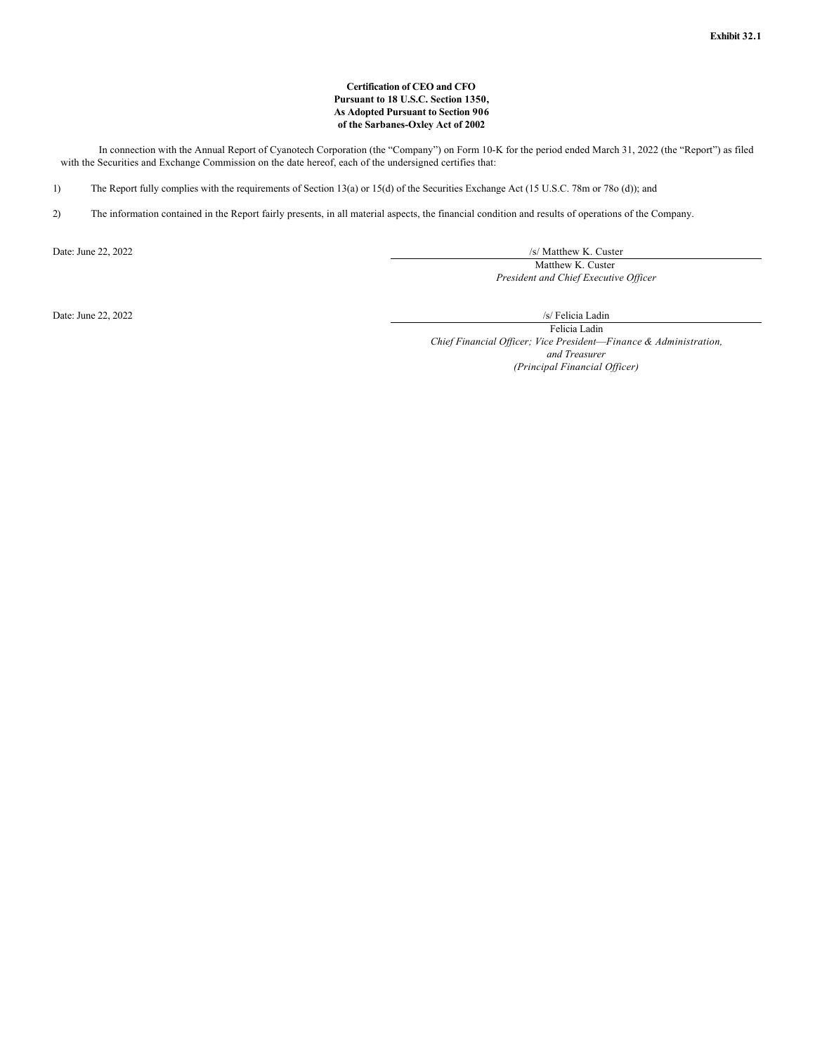#### **Certification of CEO and CFO Pursuant to 18 U.S.C. Section 1350, As Adopted Pursuant to Section 906 of the Sarbanes-Oxley Act of 2002**

In connection with the Annual Report of Cyanotech Corporation (the "Company") on Form 10-K for the period ended March 31, 2022 (the "Report") as filed with the Securities and Exchange Commission on the date hereof, each of the undersigned certifies that:

1) The Report fully complies with the requirements of Section 13(a) or 15(d) of the Securities Exchange Act (15 U.S.C. 78m or 78o (d)); and

2) The information contained in the Report fairly presents, in all material aspects, the financial condition and results of operations of the Company.

Date: June 22, 2022 /s/ Matthew K. Custer Matthew K. Custer *President and Chief Executive Officer*

Date: June 22, 2022 /s/ Felicia Ladin

Felicia Ladin *Chief Financial Officer; Vice President*—*Finance & Administration, and Treasurer (Principal Financial Officer)*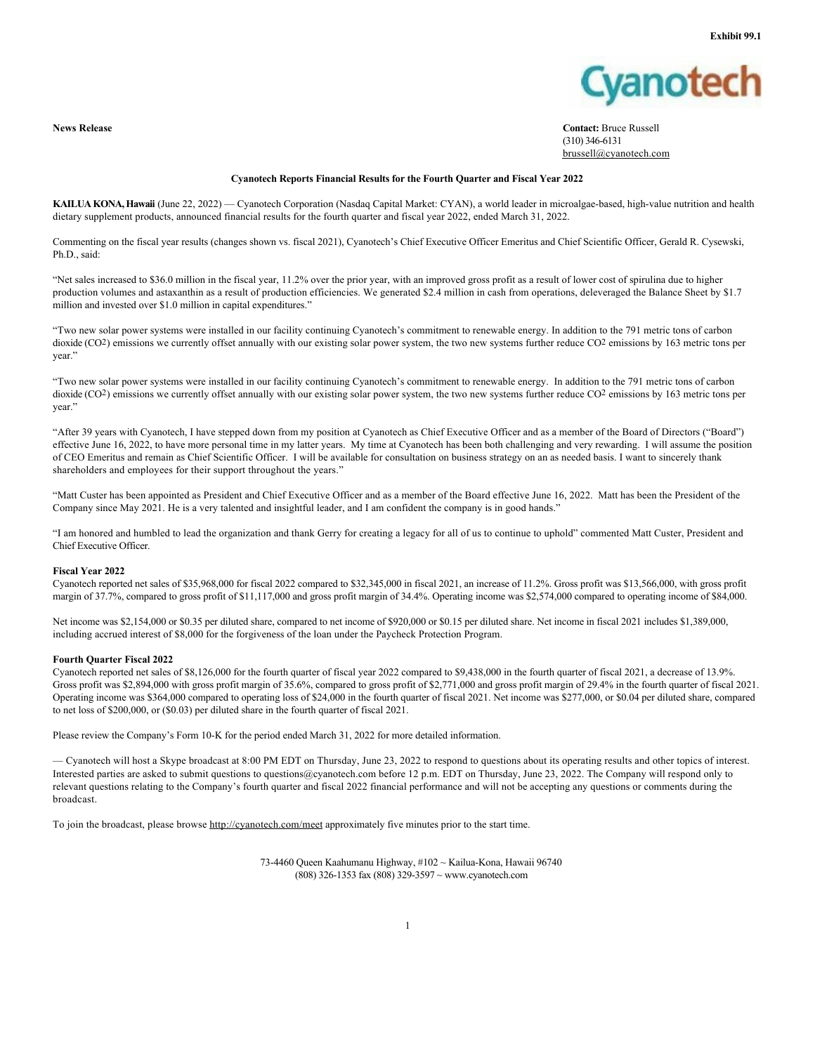**News Release Contact:** Bruce Russell (310) 346-6131 brussell@cyanotech.com

#### **Cyanotech Reports Financial Results for the Fourth Quarter and Fiscal Year 2022**

**KAILUA KONA, Hawaii** (June 22, 2022) — Cyanotech Corporation (Nasdaq Capital Market: CYAN), a world leader in microalgae-based, high-value nutrition and health dietary supplement products, announced financial results for the fourth quarter and fiscal year 2022, ended March 31, 2022.

Commenting on the fiscal year results (changes shown vs. fiscal 2021), Cyanotech's Chief Executive Officer Emeritus and Chief Scientific Officer, Gerald R. Cysewski, Ph.D., said:

"Net sales increased to \$36.0 million in the fiscal year, 11.2% over the prior year, with an improved gross profit as a result of lower cost of spirulina due to higher production volumes and astaxanthin as a result of production efficiencies. We generated \$2.4 million in cash from operations, deleveraged the Balance Sheet by \$1.7 million and invested over \$1.0 million in capital expenditures."

"Two new solar power systems were installed in our facility continuing Cyanotech's commitment to renewable energy. In addition to the 791 metric tons of carbon dioxide (CO2) emissions we currently offset annually with our existing solar power system, the two new systems further reduce CO2 emissions by 163 metric tons per year."

"Two new solar power systems were installed in our facility continuing Cyanotech's commitment to renewable energy. In addition to the 791 metric tons of carbon dioxide (CO2) emissions we currently offset annually with our existing solar power system, the two new systems further reduce CO2 emissions by 163 metric tons per year."

"After 39 years with Cyanotech, I have stepped down from my position at Cyanotech as Chief Executive Officer and as a member of the Board of Directors ("Board") effective June 16, 2022, to have more personal time in my latter years. My time at Cyanotech has been both challenging and very rewarding. I will assume the position of CEO Emeritus and remain as Chief Scientific Officer. I will be available for consultation on business strategy on an as needed basis. I want to sincerely thank shareholders and employees for their support throughout the years."

"Matt Custer has been appointed as President and Chief Executive Officer and as a member of the Board effective June 16, 2022. Matt has been the President of the Company since May 2021. He is a very talented and insightful leader, and I am confident the company is in good hands."

"I am honored and humbled to lead the organization and thank Gerry for creating a legacy for all of us to continue to uphold" commented Matt Custer, President and Chief Executive Officer.

#### **Fiscal Year 2022**

Cyanotech reported net sales of \$35,968,000 for fiscal 2022 compared to \$32,345,000 in fiscal 2021, an increase of 11.2%. Gross profit was \$13,566,000, with gross profit margin of 37.7%, compared to gross profit of \$11,117,000 and gross profit margin of 34.4%. Operating income was \$2,574,000 compared to operating income of \$84,000.

Net income was \$2,154,000 or \$0.35 per diluted share, compared to net income of \$920,000 or \$0.15 per diluted share. Net income in fiscal 2021 includes \$1,389,000, including accrued interest of \$8,000 for the forgiveness of the loan under the Paycheck Protection Program.

#### **Fourth Quarter Fiscal 2022**

Cyanotech reported net sales of \$8,126,000 for the fourth quarter of fiscal year 2022 compared to \$9,438,000 in the fourth quarter of fiscal 2021, a decrease of 13.9%. Gross profit was \$2,894,000 with gross profit margin of 35.6%, compared to gross profit of \$2,771,000 and gross profit margin of 29.4% in the fourth quarter of fiscal 2021. Operating income was \$364,000 compared to operating loss of \$24,000 in the fourth quarter of fiscal 2021. Net income was \$277,000, or \$0.04 per diluted share, compared to net loss of \$200,000, or (\$0.03) per diluted share in the fourth quarter of fiscal 2021.

Please review the Company's Form 10-K for the period ended March 31, 2022 for more detailed information.

— Cyanotech will host a Skype broadcast at 8:00 PM EDT on Thursday, June 23, 2022 to respond to questions about its operating results and other topics of interest. Interested parties are asked to submit questions to questions@cyanotech.com before 12 p.m. EDT on Thursday, June 23, 2022. The Company will respond only to relevant questions relating to the Company's fourth quarter and fiscal 2022 financial performance and will not be accepting any questions or comments during the broadcast.

To join the broadcast, please browse http://cyanotech.com/meet approximately five minutes prior to the start time.

73-4460 Queen Kaahumanu Highway, #102 ~ Kailua-Kona, Hawaii 96740 (808) 326-1353 fax (808) 329-3597 ~ www.cyanotech.com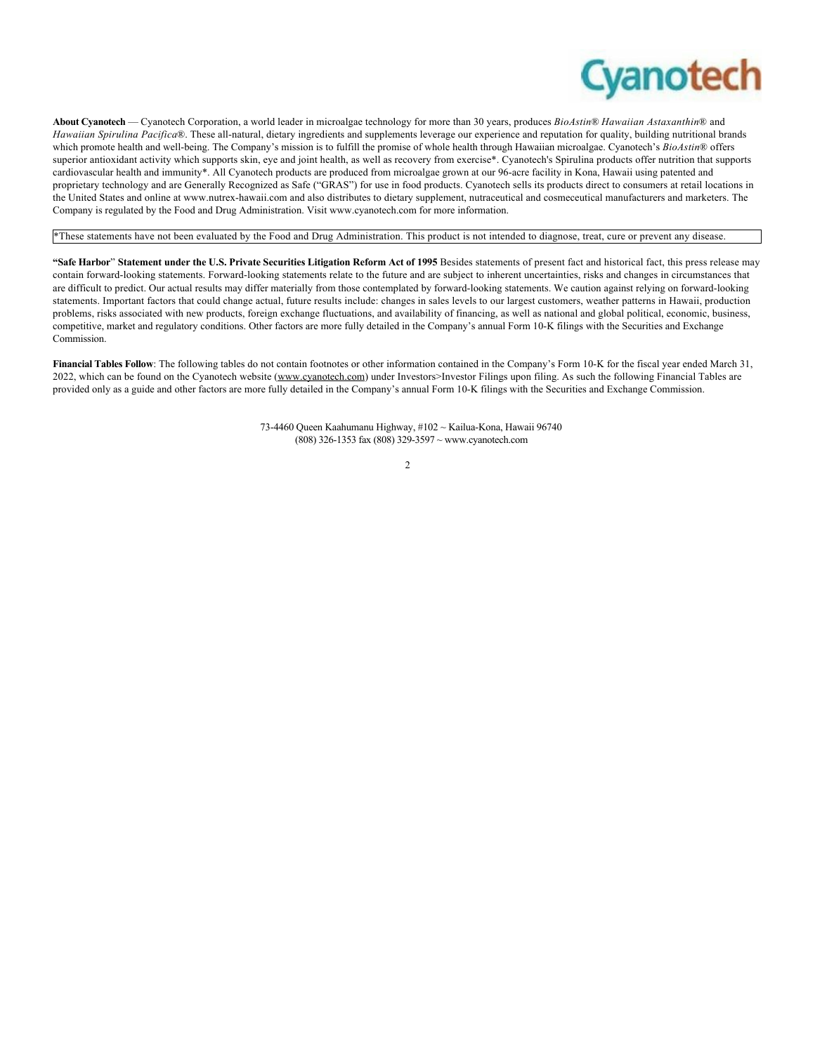**About Cyanotech** — Cyanotech Corporation, a world leader in microalgae technology for more than 30 years, produces *BioAstin*® *Hawaiian Astaxanthin*® and *Hawaiian Spirulina Pacifica*®. These all-natural, dietary ingredients and supplements leverage our experience and reputation for quality, building nutritional brands which promote health and well-being. The Company's mission is to fulfill the promise of whole health through Hawaiian microalgae. Cyanotech's *BioAstin*® offers superior antioxidant activity which supports skin, eye and joint health, as well as recovery from exercise\*. Cyanotech's Spirulina products offer nutrition that supports cardiovascular health and immunity\*. All Cyanotech products are produced from microalgae grown at our 96-acre facility in Kona, Hawaii using patented and proprietary technology and are Generally Recognized as Safe ("GRAS") for use in food products. Cyanotech sells its products direct to consumers at retail locations in the United States and online at www.nutrex-hawaii.com and also distributes to dietary supplement, nutraceutical and cosmeceutical manufacturers and marketers. The Company is regulated by the Food and Drug Administration. Visit www.cyanotech.com for more information.

\*These statements have not been evaluated by the Food and Drug Administration. This product is not intended to diagnose, treat, cure or prevent any disease.

**"Safe Harbor**" **Statement under the U.S. Private Securities Litigation Reform Act of 1995** Besides statements of present fact and historical fact, this press release may contain forward-looking statements. Forward-looking statements relate to the future and are subject to inherent uncertainties, risks and changes in circumstances that are difficult to predict. Our actual results may differ materially from those contemplated by forward-looking statements. We caution against relying on forward-looking statements. Important factors that could change actual, future results include: changes in sales levels to our largest customers, weather patterns in Hawaii, production problems, risks associated with new products, foreign exchange fluctuations, and availability of financing, as well as national and global political, economic, business, competitive, market and regulatory conditions. Other factors are more fully detailed in the Company's annual Form 10-K filings with the Securities and Exchange Commission.

**Financial Tables Follow**: The following tables do not contain footnotes or other information contained in the Company's Form 10-K for the fiscal year ended March 31, 2022, which can be found on the Cyanotech website (www.cyanotech.com) under Investors>Investor Filings upon filing. As such the following Financial Tables are provided only as a guide and other factors are more fully detailed in the Company's annual Form 10-K filings with the Securities and Exchange Commission.

> 73-4460 Queen Kaahumanu Highway, #102 ~ Kailua-Kona, Hawaii 96740 (808) 326-1353 fax (808) 329-3597 ~ www.cyanotech.com

#### $\mathfrak{D}$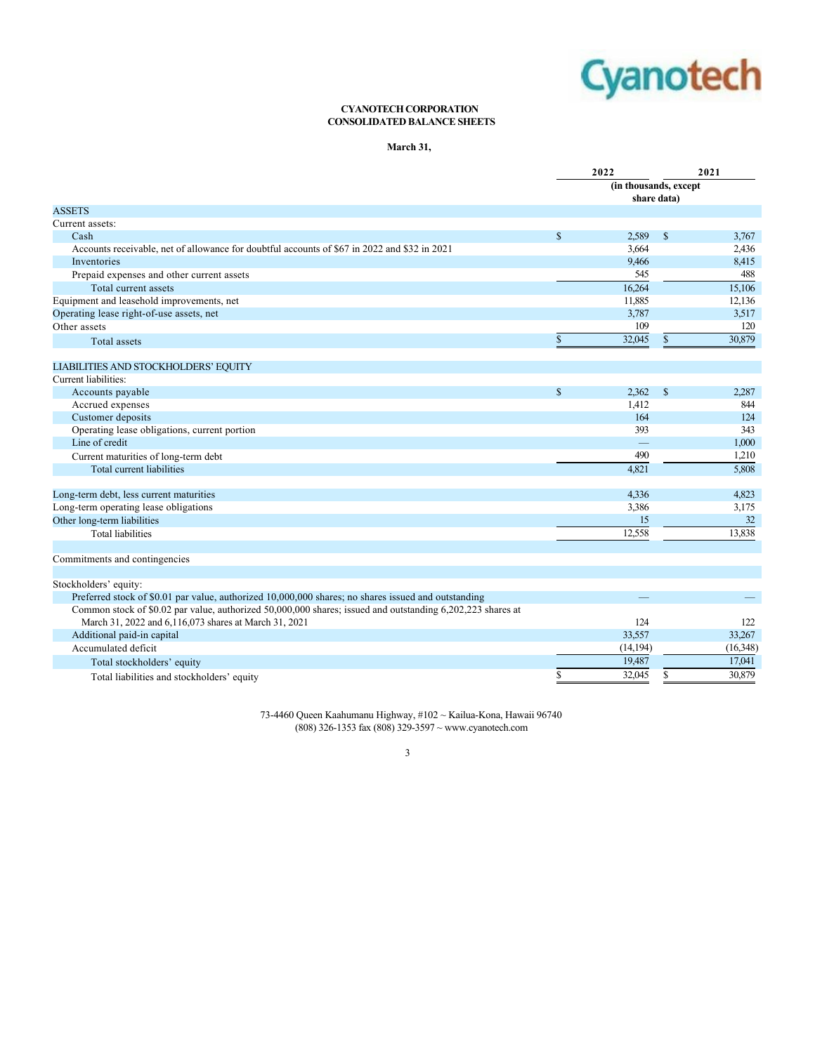# **CYANOTECH CORPORATION CONSOLIDATED BALANCE SHEETS**

# **March 31,**

| (in thousands, except<br>share data)<br>Current assets:<br>$\mathbb{S}$<br>Cash<br>2,589<br>$\mathbb{S}$<br>3,767<br>Accounts receivable, net of allowance for doubtful accounts of \$67 in 2022 and \$32 in 2021<br>3,664<br>2,436<br>9,466<br>Inventories<br>8,415<br>488<br>545<br>Prepaid expenses and other current assets<br>Total current assets<br>16,264<br>15,106<br>Equipment and leasehold improvements, net<br>11,885<br>12,136<br>3,787<br>3,517<br>109<br>120<br>$\mathbb{S}$<br>32,045<br><sup>\$</sup><br>30.879<br>Total assets<br>LIABILITIES AND STOCKHOLDERS' EQUITY<br>$\mathbb{S}$<br>Accounts payable<br>\$<br>2,362<br>2,287<br>Accrued expenses<br>844<br>1,412<br>Customer deposits<br>124<br>164<br>Operating lease obligations, current portion<br>343<br>393<br>Line of credit<br>1,000<br>Current maturities of long-term debt<br>490<br>1,210<br>4,821<br>5,808<br>Total current liabilities<br>Long-term debt, less current maturities<br>4,336<br>4,823<br>Long-term operating lease obligations<br>3,386<br>3,175<br>15<br>32<br>Other long-term liabilities<br>12,558<br>13,838<br><b>Total liabilities</b><br>Stockholders' equity:<br>Preferred stock of \$0.01 par value, authorized 10,000,000 shares; no shares issued and outstanding<br>Common stock of \$0.02 par value, authorized 50,000,000 shares; issued and outstanding 6,202,223 shares at<br>March 31, 2022 and 6,116,073 shares at March 31, 2021<br>124<br>122<br>Additional paid-in capital<br>33,557<br>33,267<br>(14, 194)<br>(16,348)<br>Accumulated deficit<br>19,487<br>17,041<br>Total stockholders' equity<br>\$<br>30,879<br>32,045<br>\$ |                                            | 2022<br>2021 |  |  |  |
|----------------------------------------------------------------------------------------------------------------------------------------------------------------------------------------------------------------------------------------------------------------------------------------------------------------------------------------------------------------------------------------------------------------------------------------------------------------------------------------------------------------------------------------------------------------------------------------------------------------------------------------------------------------------------------------------------------------------------------------------------------------------------------------------------------------------------------------------------------------------------------------------------------------------------------------------------------------------------------------------------------------------------------------------------------------------------------------------------------------------------------------------------------------------------------------------------------------------------------------------------------------------------------------------------------------------------------------------------------------------------------------------------------------------------------------------------------------------------------------------------------------------------------------------------------------------------------------------------------------------------------------------------------|--------------------------------------------|--------------|--|--|--|
|                                                                                                                                                                                                                                                                                                                                                                                                                                                                                                                                                                                                                                                                                                                                                                                                                                                                                                                                                                                                                                                                                                                                                                                                                                                                                                                                                                                                                                                                                                                                                                                                                                                          |                                            |              |  |  |  |
|                                                                                                                                                                                                                                                                                                                                                                                                                                                                                                                                                                                                                                                                                                                                                                                                                                                                                                                                                                                                                                                                                                                                                                                                                                                                                                                                                                                                                                                                                                                                                                                                                                                          |                                            |              |  |  |  |
|                                                                                                                                                                                                                                                                                                                                                                                                                                                                                                                                                                                                                                                                                                                                                                                                                                                                                                                                                                                                                                                                                                                                                                                                                                                                                                                                                                                                                                                                                                                                                                                                                                                          | <b>ASSETS</b>                              |              |  |  |  |
|                                                                                                                                                                                                                                                                                                                                                                                                                                                                                                                                                                                                                                                                                                                                                                                                                                                                                                                                                                                                                                                                                                                                                                                                                                                                                                                                                                                                                                                                                                                                                                                                                                                          |                                            |              |  |  |  |
|                                                                                                                                                                                                                                                                                                                                                                                                                                                                                                                                                                                                                                                                                                                                                                                                                                                                                                                                                                                                                                                                                                                                                                                                                                                                                                                                                                                                                                                                                                                                                                                                                                                          |                                            |              |  |  |  |
|                                                                                                                                                                                                                                                                                                                                                                                                                                                                                                                                                                                                                                                                                                                                                                                                                                                                                                                                                                                                                                                                                                                                                                                                                                                                                                                                                                                                                                                                                                                                                                                                                                                          |                                            |              |  |  |  |
|                                                                                                                                                                                                                                                                                                                                                                                                                                                                                                                                                                                                                                                                                                                                                                                                                                                                                                                                                                                                                                                                                                                                                                                                                                                                                                                                                                                                                                                                                                                                                                                                                                                          |                                            |              |  |  |  |
|                                                                                                                                                                                                                                                                                                                                                                                                                                                                                                                                                                                                                                                                                                                                                                                                                                                                                                                                                                                                                                                                                                                                                                                                                                                                                                                                                                                                                                                                                                                                                                                                                                                          |                                            |              |  |  |  |
|                                                                                                                                                                                                                                                                                                                                                                                                                                                                                                                                                                                                                                                                                                                                                                                                                                                                                                                                                                                                                                                                                                                                                                                                                                                                                                                                                                                                                                                                                                                                                                                                                                                          |                                            |              |  |  |  |
|                                                                                                                                                                                                                                                                                                                                                                                                                                                                                                                                                                                                                                                                                                                                                                                                                                                                                                                                                                                                                                                                                                                                                                                                                                                                                                                                                                                                                                                                                                                                                                                                                                                          |                                            |              |  |  |  |
|                                                                                                                                                                                                                                                                                                                                                                                                                                                                                                                                                                                                                                                                                                                                                                                                                                                                                                                                                                                                                                                                                                                                                                                                                                                                                                                                                                                                                                                                                                                                                                                                                                                          | Operating lease right-of-use assets, net   |              |  |  |  |
|                                                                                                                                                                                                                                                                                                                                                                                                                                                                                                                                                                                                                                                                                                                                                                                                                                                                                                                                                                                                                                                                                                                                                                                                                                                                                                                                                                                                                                                                                                                                                                                                                                                          | Other assets                               |              |  |  |  |
|                                                                                                                                                                                                                                                                                                                                                                                                                                                                                                                                                                                                                                                                                                                                                                                                                                                                                                                                                                                                                                                                                                                                                                                                                                                                                                                                                                                                                                                                                                                                                                                                                                                          |                                            |              |  |  |  |
|                                                                                                                                                                                                                                                                                                                                                                                                                                                                                                                                                                                                                                                                                                                                                                                                                                                                                                                                                                                                                                                                                                                                                                                                                                                                                                                                                                                                                                                                                                                                                                                                                                                          |                                            |              |  |  |  |
|                                                                                                                                                                                                                                                                                                                                                                                                                                                                                                                                                                                                                                                                                                                                                                                                                                                                                                                                                                                                                                                                                                                                                                                                                                                                                                                                                                                                                                                                                                                                                                                                                                                          | Current liabilities:                       |              |  |  |  |
|                                                                                                                                                                                                                                                                                                                                                                                                                                                                                                                                                                                                                                                                                                                                                                                                                                                                                                                                                                                                                                                                                                                                                                                                                                                                                                                                                                                                                                                                                                                                                                                                                                                          |                                            |              |  |  |  |
|                                                                                                                                                                                                                                                                                                                                                                                                                                                                                                                                                                                                                                                                                                                                                                                                                                                                                                                                                                                                                                                                                                                                                                                                                                                                                                                                                                                                                                                                                                                                                                                                                                                          |                                            |              |  |  |  |
|                                                                                                                                                                                                                                                                                                                                                                                                                                                                                                                                                                                                                                                                                                                                                                                                                                                                                                                                                                                                                                                                                                                                                                                                                                                                                                                                                                                                                                                                                                                                                                                                                                                          |                                            |              |  |  |  |
|                                                                                                                                                                                                                                                                                                                                                                                                                                                                                                                                                                                                                                                                                                                                                                                                                                                                                                                                                                                                                                                                                                                                                                                                                                                                                                                                                                                                                                                                                                                                                                                                                                                          |                                            |              |  |  |  |
|                                                                                                                                                                                                                                                                                                                                                                                                                                                                                                                                                                                                                                                                                                                                                                                                                                                                                                                                                                                                                                                                                                                                                                                                                                                                                                                                                                                                                                                                                                                                                                                                                                                          |                                            |              |  |  |  |
|                                                                                                                                                                                                                                                                                                                                                                                                                                                                                                                                                                                                                                                                                                                                                                                                                                                                                                                                                                                                                                                                                                                                                                                                                                                                                                                                                                                                                                                                                                                                                                                                                                                          |                                            |              |  |  |  |
|                                                                                                                                                                                                                                                                                                                                                                                                                                                                                                                                                                                                                                                                                                                                                                                                                                                                                                                                                                                                                                                                                                                                                                                                                                                                                                                                                                                                                                                                                                                                                                                                                                                          |                                            |              |  |  |  |
|                                                                                                                                                                                                                                                                                                                                                                                                                                                                                                                                                                                                                                                                                                                                                                                                                                                                                                                                                                                                                                                                                                                                                                                                                                                                                                                                                                                                                                                                                                                                                                                                                                                          |                                            |              |  |  |  |
|                                                                                                                                                                                                                                                                                                                                                                                                                                                                                                                                                                                                                                                                                                                                                                                                                                                                                                                                                                                                                                                                                                                                                                                                                                                                                                                                                                                                                                                                                                                                                                                                                                                          |                                            |              |  |  |  |
|                                                                                                                                                                                                                                                                                                                                                                                                                                                                                                                                                                                                                                                                                                                                                                                                                                                                                                                                                                                                                                                                                                                                                                                                                                                                                                                                                                                                                                                                                                                                                                                                                                                          |                                            |              |  |  |  |
|                                                                                                                                                                                                                                                                                                                                                                                                                                                                                                                                                                                                                                                                                                                                                                                                                                                                                                                                                                                                                                                                                                                                                                                                                                                                                                                                                                                                                                                                                                                                                                                                                                                          |                                            |              |  |  |  |
|                                                                                                                                                                                                                                                                                                                                                                                                                                                                                                                                                                                                                                                                                                                                                                                                                                                                                                                                                                                                                                                                                                                                                                                                                                                                                                                                                                                                                                                                                                                                                                                                                                                          |                                            |              |  |  |  |
|                                                                                                                                                                                                                                                                                                                                                                                                                                                                                                                                                                                                                                                                                                                                                                                                                                                                                                                                                                                                                                                                                                                                                                                                                                                                                                                                                                                                                                                                                                                                                                                                                                                          | Commitments and contingencies              |              |  |  |  |
|                                                                                                                                                                                                                                                                                                                                                                                                                                                                                                                                                                                                                                                                                                                                                                                                                                                                                                                                                                                                                                                                                                                                                                                                                                                                                                                                                                                                                                                                                                                                                                                                                                                          |                                            |              |  |  |  |
|                                                                                                                                                                                                                                                                                                                                                                                                                                                                                                                                                                                                                                                                                                                                                                                                                                                                                                                                                                                                                                                                                                                                                                                                                                                                                                                                                                                                                                                                                                                                                                                                                                                          |                                            |              |  |  |  |
|                                                                                                                                                                                                                                                                                                                                                                                                                                                                                                                                                                                                                                                                                                                                                                                                                                                                                                                                                                                                                                                                                                                                                                                                                                                                                                                                                                                                                                                                                                                                                                                                                                                          |                                            |              |  |  |  |
|                                                                                                                                                                                                                                                                                                                                                                                                                                                                                                                                                                                                                                                                                                                                                                                                                                                                                                                                                                                                                                                                                                                                                                                                                                                                                                                                                                                                                                                                                                                                                                                                                                                          |                                            |              |  |  |  |
|                                                                                                                                                                                                                                                                                                                                                                                                                                                                                                                                                                                                                                                                                                                                                                                                                                                                                                                                                                                                                                                                                                                                                                                                                                                                                                                                                                                                                                                                                                                                                                                                                                                          |                                            |              |  |  |  |
|                                                                                                                                                                                                                                                                                                                                                                                                                                                                                                                                                                                                                                                                                                                                                                                                                                                                                                                                                                                                                                                                                                                                                                                                                                                                                                                                                                                                                                                                                                                                                                                                                                                          |                                            |              |  |  |  |
|                                                                                                                                                                                                                                                                                                                                                                                                                                                                                                                                                                                                                                                                                                                                                                                                                                                                                                                                                                                                                                                                                                                                                                                                                                                                                                                                                                                                                                                                                                                                                                                                                                                          |                                            |              |  |  |  |
|                                                                                                                                                                                                                                                                                                                                                                                                                                                                                                                                                                                                                                                                                                                                                                                                                                                                                                                                                                                                                                                                                                                                                                                                                                                                                                                                                                                                                                                                                                                                                                                                                                                          | Total liabilities and stockholders' equity |              |  |  |  |

73-4460 Queen Kaahumanu Highway, #102 ~ Kailua-Kona, Hawaii 96740 (808) 326-1353 fax (808) 329-3597 ~ www.cyanotech.com